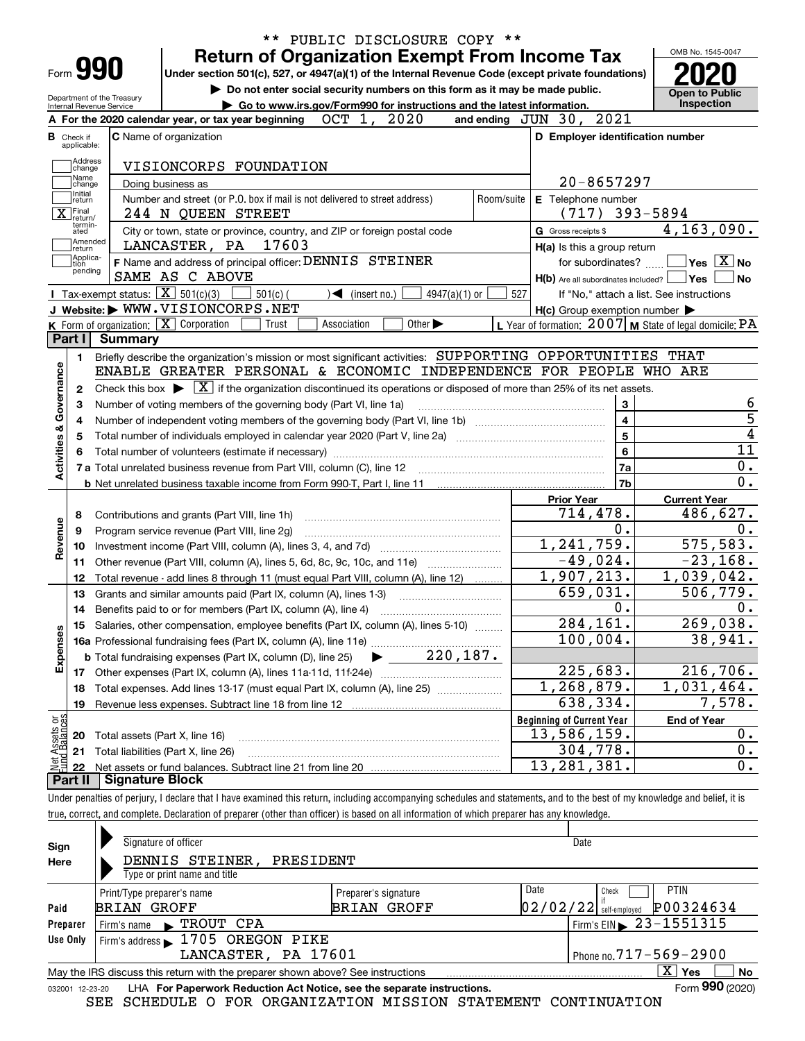| Form <b>990</b>                                               | <b>Return of Organization Exempt From Income Tax</b>                                                                                                                              |            |                                                           | OMB No. 1545-0047                                |
|---------------------------------------------------------------|-----------------------------------------------------------------------------------------------------------------------------------------------------------------------------------|------------|-----------------------------------------------------------|--------------------------------------------------|
|                                                               | Under section 501(c), 527, or 4947(a)(1) of the Internal Revenue Code (except private foundations)<br>Do not enter social security numbers on this form as it may be made public. |            |                                                           |                                                  |
| Department of the Treasury<br><b>Internal Revenue Service</b> | Go to www.irs.gov/Form990 for instructions and the latest information.                                                                                                            |            |                                                           | <b>Open to Public</b><br><b>Inspection</b>       |
|                                                               | OCT 1, 2020<br>A For the 2020 calendar year, or tax year beginning                                                                                                                |            | 2021<br>and ending $JUN$ 30,                              |                                                  |
| <b>B</b> Check if<br>applicable:                              | <b>C</b> Name of organization                                                                                                                                                     |            | D Employer identification number                          |                                                  |
|                                                               |                                                                                                                                                                                   |            |                                                           |                                                  |
| Address<br> change<br>Name                                    | VISIONCORPS FOUNDATION                                                                                                                                                            |            |                                                           |                                                  |
| change<br>Initial                                             | Doing business as                                                                                                                                                                 |            | $20 - 8657297$                                            |                                                  |
| return                                                        | Number and street (or P.O. box if mail is not delivered to street address)                                                                                                        | Room/suite | E Telephone number                                        |                                                  |
| $\overline{\mathbf{X}}$ Final<br>termin-                      | 244 N QUEEN STREET                                                                                                                                                                |            | $(717)$ 393-5894                                          |                                                  |
| ated<br> Amended                                              | City or town, state or province, country, and ZIP or foreign postal code                                                                                                          |            | G Gross receipts \$                                       | 4, 163, 090.                                     |
| ∣return<br>Applica-                                           | 17603<br>LANCASTER, PA                                                                                                                                                            |            | H(a) Is this a group return                               |                                                  |
| l tion<br>pending                                             | F Name and address of principal officer: DENNIS STEINER                                                                                                                           |            | for subordinates?                                         | $\sqrt{\mathsf{Yes}\mathord{\;\mathbb{X}}\,}$ No |
|                                                               | SAME AS C ABOVE                                                                                                                                                                   |            | $H(b)$ Are all subordinates included?                     | Yes                                              |
|                                                               | Tax-exempt status: $\boxed{\mathbf{X}}$ 501(c)(3)<br>$4947(a)(1)$ or<br>$501(c)$ (<br>$\triangleleft$ (insert no.)<br>J Website: WWW.VISIONCORPS.NET                              | 527        |                                                           | If "No," attach a list. See instructions         |
|                                                               | K Form of organization: X Corporation<br>Other $\blacktriangleright$<br>Association                                                                                               |            | $H(c)$ Group exemption number $\blacktriangleright$       |                                                  |
| Part I                                                        | Trust<br>Summary                                                                                                                                                                  |            | L Year of formation: $2007$ M State of legal domicile: PA |                                                  |
|                                                               |                                                                                                                                                                                   |            |                                                           |                                                  |
| 1.                                                            | Briefly describe the organization's mission or most significant activities: SUPPORTING OPPORTUNITIES THAT                                                                         |            |                                                           |                                                  |
|                                                               | ENABLE GREATER PERSONAL & ECONOMIC INDEPENDENCE FOR PEOPLE WHO ARE                                                                                                                |            |                                                           |                                                  |
| 2                                                             | Check this box $\triangleright \lfloor \frac{x}{1} \rfloor$ if the organization discontinued its operations or disposed of more than 25% of its net assets.                       |            |                                                           |                                                  |
| Activities & Governance<br>з                                  | Number of voting members of the governing body (Part VI, line 1a)                                                                                                                 |            | 3                                                         |                                                  |
| 4                                                             |                                                                                                                                                                                   |            | $\overline{\mathbf{4}}$                                   |                                                  |
| 5                                                             |                                                                                                                                                                                   |            | 5                                                         |                                                  |
|                                                               |                                                                                                                                                                                   |            | 6                                                         |                                                  |
|                                                               |                                                                                                                                                                                   |            | 7a                                                        |                                                  |
|                                                               |                                                                                                                                                                                   |            | 7b                                                        |                                                  |
|                                                               |                                                                                                                                                                                   |            | <b>Prior Year</b>                                         | <b>Current Year</b>                              |
| 8                                                             | Contributions and grants (Part VIII, line 1h)                                                                                                                                     |            | 714,478.                                                  | 486,627.                                         |
| Revenue<br>9                                                  | Program service revenue (Part VIII, line 2g)                                                                                                                                      |            | 0.                                                        |                                                  |
| 10                                                            |                                                                                                                                                                                   |            | 1,241,759.                                                | 575,583.                                         |
| 11                                                            | Other revenue (Part VIII, column (A), lines 5, 6d, 8c, 9c, 10c, and 11e)                                                                                                          |            | $-49,024.$                                                | $-23, 168.$                                      |
| 12                                                            | Total revenue - add lines 8 through 11 (must equal Part VIII, column (A), line 12)                                                                                                |            | 1,907,213.                                                | 1,039,042.                                       |
| 13                                                            | Grants and similar amounts paid (Part IX, column (A), lines 1-3)                                                                                                                  |            | 659,031.                                                  | 506,779.                                         |
| 14                                                            |                                                                                                                                                                                   |            | $0$ .                                                     |                                                  |
|                                                               | 15 Salaries, other compensation, employee benefits (Part IX, column (A), lines 5-10)                                                                                              |            | 284,161.                                                  | 269,038.                                         |
| Expenses                                                      |                                                                                                                                                                                   |            | 100,004.                                                  | 38,941.                                          |
|                                                               | 220, 187.<br><b>b</b> Total fundraising expenses (Part IX, column (D), line 25)                                                                                                   |            |                                                           |                                                  |
| 17                                                            |                                                                                                                                                                                   |            | 225,683.                                                  | 216,706.                                         |
|                                                               | Total expenses. Add lines 13-17 (must equal Part IX, column (A), line 25)                                                                                                         |            | 1,268,879.                                                | 1,031,464.                                       |
| 18                                                            | Revenue less expenses. Subtract line 18 from line 12                                                                                                                              |            | 638,334.                                                  | 7,578.                                           |
| 19                                                            |                                                                                                                                                                                   |            | <b>Beginning of Current Year</b>                          | <b>End of Year</b>                               |
|                                                               |                                                                                                                                                                                   |            |                                                           |                                                  |
|                                                               |                                                                                                                                                                                   |            |                                                           |                                                  |
| 20                                                            | Total assets (Part X, line 16)                                                                                                                                                    |            | 13,586,159.                                               |                                                  |
| t Assets or<br>d Balances<br>21<br>혏<br>22                    | Total liabilities (Part X, line 26)                                                                                                                                               |            | 304,778.<br>13, 281, 381.                                 |                                                  |

| Sign<br>Here    | Signature of officer<br>DENNIS STEINER,<br>PRESIDENT<br>Type or print name and title |                              |      | Date                                   |
|-----------------|--------------------------------------------------------------------------------------|------------------------------|------|----------------------------------------|
|                 | Print/Type preparer's name                                                           | Preparer's signature         | Date | <b>PTIN</b><br>Check                   |
| Paid            | <b>BRIAN GROFF</b>                                                                   | <b>BRIAN GROFF</b>           |      | P00324634<br>$02/02/22$ self-employed  |
| Preparer        | $\blacktriangleright$ TROUT CPA<br>Firm's name                                       |                              |      | Firm's EIN $\triangleright$ 23-1551315 |
| Use Only        | Firm's address 1705 OREGON PIKE                                                      |                              |      |                                        |
|                 | LANCASTER, PA 17601                                                                  | Phone no. $717 - 569 - 2900$ |      |                                        |
|                 | May the IRS discuss this return with the preparer shown above? See instructions      |                              |      | $X \mid$<br><b>Yes</b><br>No           |
| 032001 12-23-20 | LHA For Paperwork Reduction Act Notice, see the separate instructions.               |                              |      | Form 990 (2020)                        |

SEE SCHEDULE O FOR ORGANIZATION MISSION STATEMENT CONTINUATION

true, correct, and complete. Declaration of preparer (other than officer) is based on all information of which preparer has any knowledge.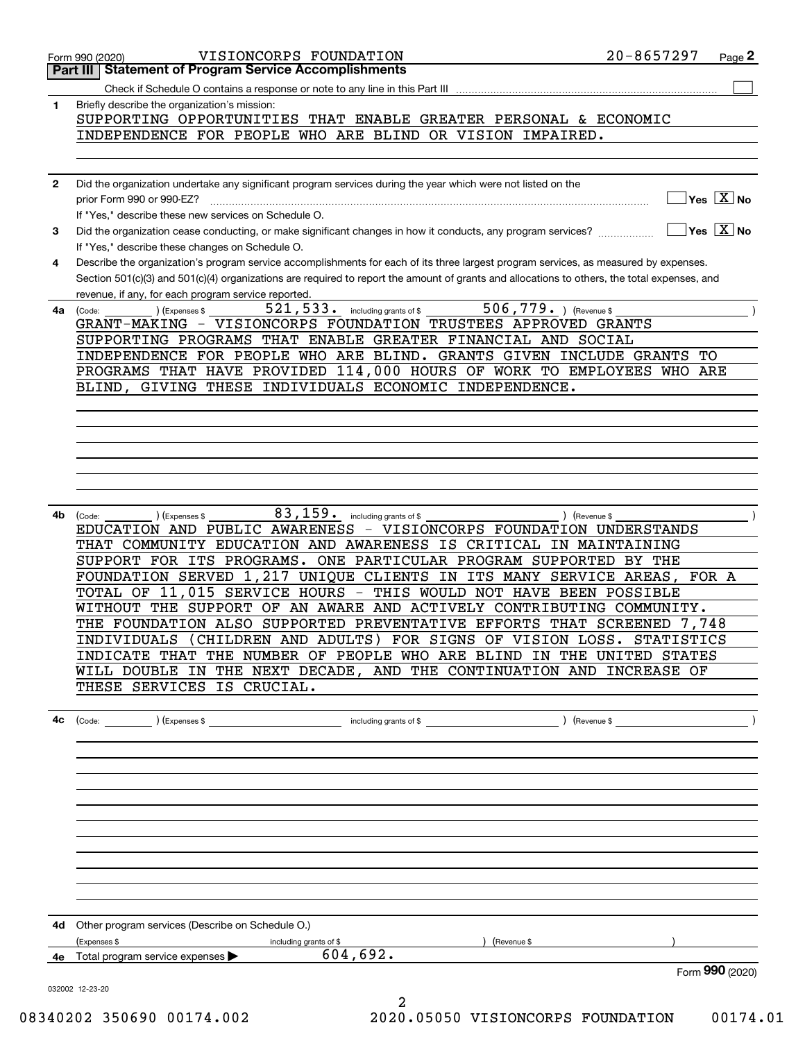|              | VISIONCORPS FOUNDATION<br>Form 990 (2020)                                                                                                    | 20-8657297 | $_{\text{Page}}$ 2                     |
|--------------|----------------------------------------------------------------------------------------------------------------------------------------------|------------|----------------------------------------|
|              | <b>Part III   Statement of Program Service Accomplishments</b>                                                                               |            |                                        |
|              |                                                                                                                                              |            |                                        |
| 1            | Briefly describe the organization's mission:                                                                                                 |            |                                        |
|              |                                                                                                                                              |            |                                        |
|              | SUPPORTING OPPORTUNITIES THAT ENABLE GREATER PERSONAL & ECONOMIC                                                                             |            |                                        |
|              | INDEPENDENCE FOR PEOPLE WHO ARE BLIND OR VISION IMPAIRED.                                                                                    |            |                                        |
|              |                                                                                                                                              |            |                                        |
|              |                                                                                                                                              |            |                                        |
| $\mathbf{2}$ | Did the organization undertake any significant program services during the year which were not listed on the                                 |            |                                        |
|              |                                                                                                                                              |            | $]$ Yes $[\overline{\mathrm{X}}]$ No   |
|              |                                                                                                                                              |            |                                        |
|              | If "Yes," describe these new services on Schedule O.                                                                                         |            |                                        |
| 3            | Did the organization cease conducting, or make significant changes in how it conducts, any program services?                                 |            | $\sqrt{}$ Yes $\sqrt{}$ X $\sqrt{}$ No |
|              | If "Yes," describe these changes on Schedule O.                                                                                              |            |                                        |
| 4            | Describe the organization's program service accomplishments for each of its three largest program services, as measured by expenses.         |            |                                        |
|              | Section 501(c)(3) and 501(c)(4) organizations are required to report the amount of grants and allocations to others, the total expenses, and |            |                                        |
|              | revenue, if any, for each program service reported.                                                                                          |            |                                        |
|              |                                                                                                                                              |            |                                        |
| 4a           | 521, 533. including grants of \$<br>506,779. Revenue \$<br>) (Expenses \$<br>(Code:                                                          |            |                                        |
|              | GRANT-MAKING - VISIONCORPS FOUNDATION TRUSTEES APPROVED GRANTS                                                                               |            |                                        |
|              | SUPPORTING PROGRAMS THAT ENABLE GREATER FINANCIAL AND SOCIAL                                                                                 |            |                                        |
|              | INDEPENDENCE FOR PEOPLE WHO ARE BLIND. GRANTS GIVEN INCLUDE GRANTS TO                                                                        |            |                                        |
|              | PROGRAMS THAT HAVE PROVIDED 114,000 HOURS OF WORK TO EMPLOYEES WHO ARE                                                                       |            |                                        |
|              | BLIND, GIVING THESE INDIVIDUALS ECONOMIC INDEPENDENCE.                                                                                       |            |                                        |
|              |                                                                                                                                              |            |                                        |
|              |                                                                                                                                              |            |                                        |
|              |                                                                                                                                              |            |                                        |
|              |                                                                                                                                              |            |                                        |
|              |                                                                                                                                              |            |                                        |
|              |                                                                                                                                              |            |                                        |
|              |                                                                                                                                              |            |                                        |
|              |                                                                                                                                              |            |                                        |
|              |                                                                                                                                              |            |                                        |
| 4b           | 83, 159. including grants of \$<br>) (Revenue \$<br>(Code:<br>(Expenses \$                                                                   |            |                                        |
|              | EDUCATION AND PUBLIC AWARENESS - VISIONCORPS FOUNDATION UNDERSTANDS                                                                          |            |                                        |
|              | THAT COMMUNITY EDUCATION AND AWARENESS IS CRITICAL IN MAINTAINING                                                                            |            |                                        |
|              | SUPPORT FOR ITS PROGRAMS. ONE PARTICULAR PROGRAM SUPPORTED BY THE                                                                            |            |                                        |
|              | FOUNDATION SERVED 1,217 UNIQUE CLIENTS IN ITS MANY SERVICE AREAS,                                                                            |            | FOR A                                  |
|              | TOTAL OF 11,015 SERVICE HOURS - THIS WOULD NOT HAVE BEEN POSSIBLE                                                                            |            |                                        |
|              | WITHOUT THE SUPPORT OF AN AWARE AND ACTIVELY CONTRIBUTING COMMUNITY.                                                                         |            |                                        |
|              |                                                                                                                                              |            |                                        |
|              | THE FOUNDATION ALSO SUPPORTED PREVENTATIVE EFFORTS THAT SCREENED 7,748                                                                       |            |                                        |
|              | INDIVIDUALS (CHILDREN AND ADULTS) FOR SIGNS OF VISION LOSS. STATISTICS                                                                       |            |                                        |
|              | INDICATE THAT THE NUMBER OF PEOPLE WHO ARE BLIND IN THE UNITED STATES                                                                        |            |                                        |
|              | WILL DOUBLE IN THE NEXT DECADE, AND THE CONTINUATION AND INCREASE OF                                                                         |            |                                        |
|              | THESE SERVICES IS CRUCIAL.                                                                                                                   |            |                                        |
|              |                                                                                                                                              |            |                                        |
|              |                                                                                                                                              |            |                                        |
|              |                                                                                                                                              |            |                                        |
|              |                                                                                                                                              |            |                                        |
|              |                                                                                                                                              |            |                                        |
|              |                                                                                                                                              |            |                                        |
|              |                                                                                                                                              |            |                                        |
|              |                                                                                                                                              |            |                                        |
|              |                                                                                                                                              |            |                                        |
|              |                                                                                                                                              |            |                                        |
|              |                                                                                                                                              |            |                                        |
|              |                                                                                                                                              |            |                                        |
|              |                                                                                                                                              |            |                                        |
|              |                                                                                                                                              |            |                                        |
|              |                                                                                                                                              |            |                                        |
|              |                                                                                                                                              |            |                                        |
|              |                                                                                                                                              |            |                                        |
|              | 4d Other program services (Describe on Schedule O.)                                                                                          |            |                                        |
|              | $\left($ Revenue \$<br>(Expenses \$<br>including grants of \$                                                                                |            |                                        |
|              | 4e Total program service expenses $\triangleright$ 604,692.                                                                                  |            |                                        |
|              |                                                                                                                                              |            | Form 990 (2020)                        |
|              |                                                                                                                                              |            |                                        |
|              | 032002 12-23-20                                                                                                                              |            |                                        |
|              | 2                                                                                                                                            |            |                                        |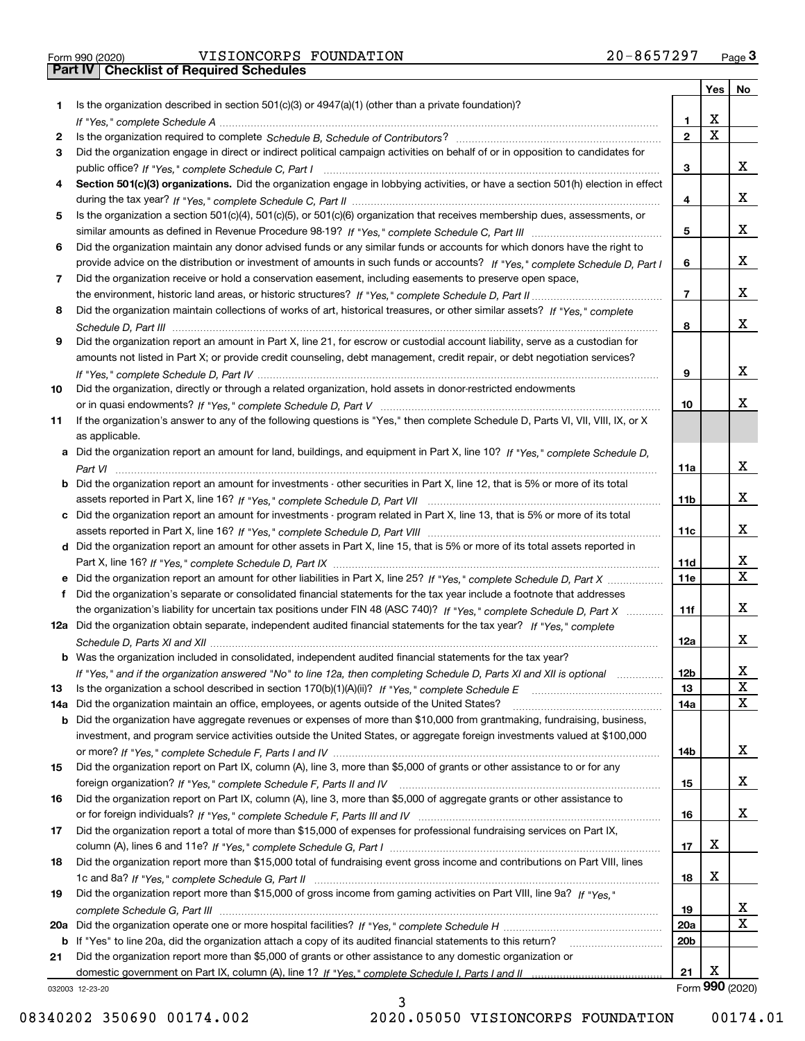Form 990 (2020) VISIONCORPS FOUNDATION 2 0-8 6 5 7 2 9 7 <sub>Page</sub> 3<br>**Part IV | Checklist of Required Schedules** 

|           |                                                                                                                                                                                                                              |                 |   | Yes   No        |
|-----------|------------------------------------------------------------------------------------------------------------------------------------------------------------------------------------------------------------------------------|-----------------|---|-----------------|
| 1         | Is the organization described in section $501(c)(3)$ or $4947(a)(1)$ (other than a private foundation)?                                                                                                                      |                 |   |                 |
|           | If "Yes," complete Schedule A measured and the complete schedule A measured and the Schedule A measured and the                                                                                                              | 1               | X |                 |
| 2         |                                                                                                                                                                                                                              | $\overline{2}$  | X |                 |
| 3         | Did the organization engage in direct or indirect political campaign activities on behalf of or in opposition to candidates for                                                                                              |                 |   |                 |
|           |                                                                                                                                                                                                                              | 3               |   | x               |
| 4         | Section 501(c)(3) organizations. Did the organization engage in lobbying activities, or have a section 501(h) election in effect                                                                                             |                 |   |                 |
|           |                                                                                                                                                                                                                              | 4               |   | x               |
| 5         | Is the organization a section 501(c)(4), 501(c)(5), or 501(c)(6) organization that receives membership dues, assessments, or                                                                                                 |                 |   |                 |
|           |                                                                                                                                                                                                                              | 5               |   | x               |
| 6         | Did the organization maintain any donor advised funds or any similar funds or accounts for which donors have the right to                                                                                                    |                 |   |                 |
|           | provide advice on the distribution or investment of amounts in such funds or accounts? If "Yes," complete Schedule D, Part I                                                                                                 | 6               |   | x               |
| 7         | Did the organization receive or hold a conservation easement, including easements to preserve open space,                                                                                                                    |                 |   |                 |
|           |                                                                                                                                                                                                                              | $\overline{7}$  |   | x               |
| 8         | Did the organization maintain collections of works of art, historical treasures, or other similar assets? If "Yes," complete                                                                                                 |                 |   |                 |
|           |                                                                                                                                                                                                                              | 8               |   | x               |
| 9         | Did the organization report an amount in Part X, line 21, for escrow or custodial account liability, serve as a custodian for                                                                                                |                 |   |                 |
|           | amounts not listed in Part X; or provide credit counseling, debt management, credit repair, or debt negotiation services?                                                                                                    |                 |   |                 |
|           |                                                                                                                                                                                                                              | 9               |   | x               |
| 10        | Did the organization, directly or through a related organization, hold assets in donor-restricted endowments                                                                                                                 |                 |   |                 |
|           |                                                                                                                                                                                                                              | 10              |   | x               |
| 11        | If the organization's answer to any of the following questions is "Yes," then complete Schedule D, Parts VI, VII, VIII, IX, or X                                                                                             |                 |   |                 |
|           | as applicable.                                                                                                                                                                                                               |                 |   |                 |
|           | a Did the organization report an amount for land, buildings, and equipment in Part X, line 10? If "Yes," complete Schedule D.                                                                                                |                 |   |                 |
|           |                                                                                                                                                                                                                              | 11a             |   | x               |
|           | <b>b</b> Did the organization report an amount for investments - other securities in Part X, line 12, that is 5% or more of its total                                                                                        |                 |   |                 |
|           |                                                                                                                                                                                                                              | 11 <sub>b</sub> |   | x               |
|           | c Did the organization report an amount for investments - program related in Part X, line 13, that is 5% or more of its total                                                                                                |                 |   |                 |
|           |                                                                                                                                                                                                                              | 11c             |   | x               |
|           | d Did the organization report an amount for other assets in Part X, line 15, that is 5% or more of its total assets reported in                                                                                              |                 |   |                 |
|           |                                                                                                                                                                                                                              | 11d             |   | x               |
|           | e Did the organization report an amount for other liabilities in Part X, line 25? If "Yes," complete Schedule D, Part X                                                                                                      | 11e             |   | X               |
| f         | Did the organization's separate or consolidated financial statements for the tax year include a footnote that addresses                                                                                                      |                 |   |                 |
|           | the organization's liability for uncertain tax positions under FIN 48 (ASC 740)? If "Yes," complete Schedule D, Part X                                                                                                       | 11f             |   | x               |
|           | 12a Did the organization obtain separate, independent audited financial statements for the tax year? If "Yes," complete                                                                                                      |                 |   |                 |
|           |                                                                                                                                                                                                                              | 12a             |   | x               |
|           | <b>b</b> Was the organization included in consolidated, independent audited financial statements for the tax year?                                                                                                           |                 |   |                 |
|           |                                                                                                                                                                                                                              | 12 <sub>b</sub> |   | X               |
|           | If "Yes," and if the organization answered "No" to line 12a, then completing Schedule D, Parts XI and XII is optional<br>Is the organization a school described in section $170(b)(1)(A)(ii)?$ If "Yes," complete Schedule E | 13              |   | X               |
| 13<br>14a | Did the organization maintain an office, employees, or agents outside of the United States?                                                                                                                                  | 14a             |   | X               |
|           | Did the organization have aggregate revenues or expenses of more than \$10,000 from grantmaking, fundraising, business,                                                                                                      |                 |   |                 |
| b         | investment, and program service activities outside the United States, or aggregate foreign investments valued at \$100,000                                                                                                   |                 |   |                 |
|           |                                                                                                                                                                                                                              | 14b             |   | x               |
|           | Did the organization report on Part IX, column (A), line 3, more than \$5,000 of grants or other assistance to or for any                                                                                                    |                 |   |                 |
| 15        |                                                                                                                                                                                                                              | 15              |   | x               |
| 16        | Did the organization report on Part IX, column (A), line 3, more than \$5,000 of aggregate grants or other assistance to                                                                                                     |                 |   |                 |
|           |                                                                                                                                                                                                                              | 16              |   | x               |
|           |                                                                                                                                                                                                                              |                 |   |                 |
| 17        | Did the organization report a total of more than \$15,000 of expenses for professional fundraising services on Part IX,                                                                                                      | 17              | х |                 |
|           | Did the organization report more than \$15,000 total of fundraising event gross income and contributions on Part VIII, lines                                                                                                 |                 |   |                 |
| 18        |                                                                                                                                                                                                                              |                 | х |                 |
|           |                                                                                                                                                                                                                              | 18              |   |                 |
| 19        | Did the organization report more than \$15,000 of gross income from gaming activities on Part VIII, line 9a? If "Yes."                                                                                                       |                 |   | x               |
|           |                                                                                                                                                                                                                              | 19              |   | X               |
| 20a       |                                                                                                                                                                                                                              | 20a             |   |                 |
|           | <b>b</b> If "Yes" to line 20a, did the organization attach a copy of its audited financial statements to this return?                                                                                                        | 20 <sub>b</sub> |   |                 |
| 21        | Did the organization report more than \$5,000 of grants or other assistance to any domestic organization or                                                                                                                  |                 | х |                 |
|           |                                                                                                                                                                                                                              | 21              |   | Form 990 (2020) |
|           | 032003 12-23-20                                                                                                                                                                                                              |                 |   |                 |

3

032003 12-23-20

08340202 350690 00174.002 2020.05050 VISIONCORPS FOUNDATION 00174.01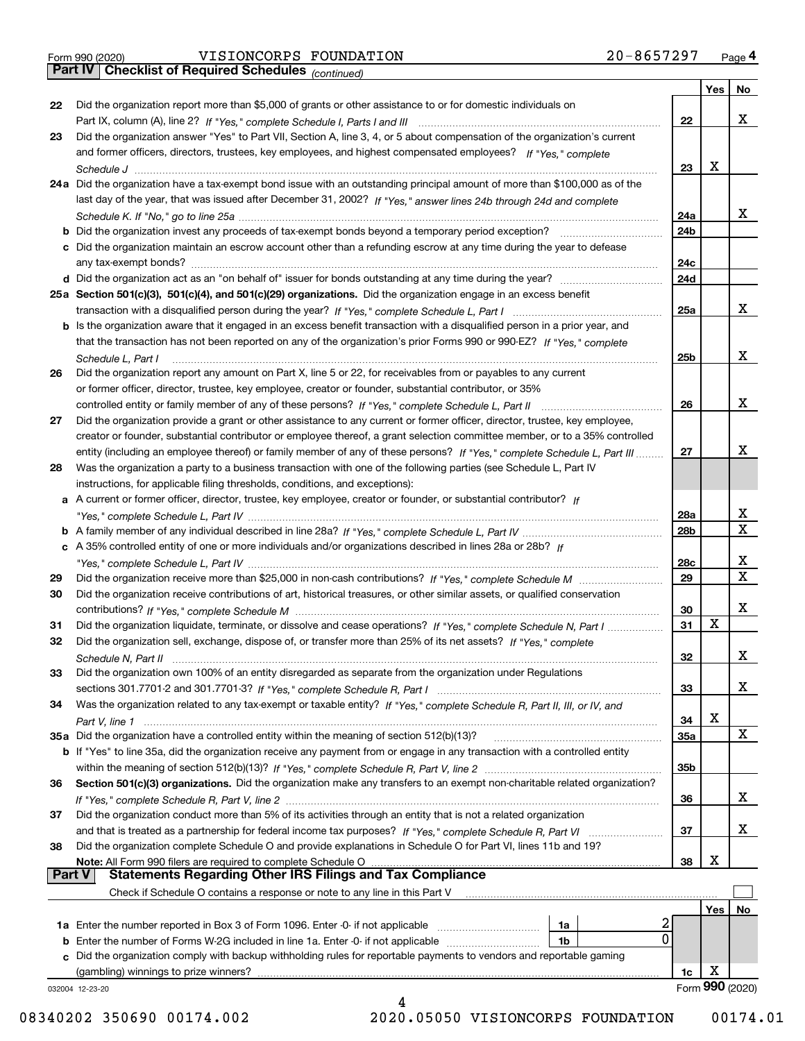*(continued)*

|               |                                                                                                                                                                                                                                                       |                 | Yes             | No.         |
|---------------|-------------------------------------------------------------------------------------------------------------------------------------------------------------------------------------------------------------------------------------------------------|-----------------|-----------------|-------------|
| 22            | Did the organization report more than \$5,000 of grants or other assistance to or for domestic individuals on                                                                                                                                         |                 |                 |             |
|               |                                                                                                                                                                                                                                                       | 22              |                 | x           |
| 23            | Did the organization answer "Yes" to Part VII, Section A, line 3, 4, or 5 about compensation of the organization's current                                                                                                                            |                 |                 |             |
|               | and former officers, directors, trustees, key employees, and highest compensated employees? If "Yes," complete                                                                                                                                        |                 |                 |             |
|               |                                                                                                                                                                                                                                                       | 23              | Х               |             |
|               | 24a Did the organization have a tax-exempt bond issue with an outstanding principal amount of more than \$100,000 as of the                                                                                                                           |                 |                 |             |
|               | last day of the year, that was issued after December 31, 2002? If "Yes," answer lines 24b through 24d and complete                                                                                                                                    |                 |                 |             |
|               |                                                                                                                                                                                                                                                       | 24a             |                 | x           |
|               | b Did the organization invest any proceeds of tax-exempt bonds beyond a temporary period exception?                                                                                                                                                   | 24b             |                 |             |
|               | c Did the organization maintain an escrow account other than a refunding escrow at any time during the year to defease                                                                                                                                |                 |                 |             |
|               |                                                                                                                                                                                                                                                       | 24c             |                 |             |
|               |                                                                                                                                                                                                                                                       | 24d             |                 |             |
|               | 25a Section 501(c)(3), 501(c)(4), and 501(c)(29) organizations. Did the organization engage in an excess benefit                                                                                                                                      |                 |                 | х           |
|               |                                                                                                                                                                                                                                                       | 25a             |                 |             |
|               | b Is the organization aware that it engaged in an excess benefit transaction with a disqualified person in a prior year, and<br>that the transaction has not been reported on any of the organization's prior Forms 990 or 990-EZ? If "Yes," complete |                 |                 |             |
|               |                                                                                                                                                                                                                                                       | 25 <sub>b</sub> |                 | х           |
| 26            | Schedule L, Part I<br>Did the organization report any amount on Part X, line 5 or 22, for receivables from or payables to any current                                                                                                                 |                 |                 |             |
|               | or former officer, director, trustee, key employee, creator or founder, substantial contributor, or 35%                                                                                                                                               |                 |                 |             |
|               |                                                                                                                                                                                                                                                       | 26              |                 | х           |
| 27            | Did the organization provide a grant or other assistance to any current or former officer, director, trustee, key employee,                                                                                                                           |                 |                 |             |
|               | creator or founder, substantial contributor or employee thereof, a grant selection committee member, or to a 35% controlled                                                                                                                           |                 |                 |             |
|               | entity (including an employee thereof) or family member of any of these persons? If "Yes," complete Schedule L, Part III                                                                                                                              | 27              |                 | х           |
| 28            | Was the organization a party to a business transaction with one of the following parties (see Schedule L, Part IV                                                                                                                                     |                 |                 |             |
|               | instructions, for applicable filing thresholds, conditions, and exceptions):                                                                                                                                                                          |                 |                 |             |
|               | a A current or former officer, director, trustee, key employee, creator or founder, or substantial contributor? If                                                                                                                                    |                 |                 |             |
|               |                                                                                                                                                                                                                                                       | 28a             |                 | x           |
|               |                                                                                                                                                                                                                                                       | 28b             |                 | $\mathbf X$ |
|               | c A 35% controlled entity of one or more individuals and/or organizations described in lines 28a or 28b? If                                                                                                                                           |                 |                 |             |
|               |                                                                                                                                                                                                                                                       | 28c             |                 | х           |
| 29            |                                                                                                                                                                                                                                                       | 29              |                 | $\mathbf X$ |
| 30            | Did the organization receive contributions of art, historical treasures, or other similar assets, or qualified conservation                                                                                                                           |                 |                 |             |
|               |                                                                                                                                                                                                                                                       | 30              |                 | х           |
| 31            | Did the organization liquidate, terminate, or dissolve and cease operations? If "Yes," complete Schedule N, Part I                                                                                                                                    | 31              | x               |             |
| 32            | Did the organization sell, exchange, dispose of, or transfer more than 25% of its net assets? If "Yes," complete                                                                                                                                      |                 |                 |             |
|               | Schedule N, Part II                                                                                                                                                                                                                                   | 32              |                 | х           |
| 33            | Did the organization own 100% of an entity disregarded as separate from the organization under Regulations                                                                                                                                            |                 |                 |             |
|               |                                                                                                                                                                                                                                                       | 33              |                 | х           |
| 34            | Was the organization related to any tax-exempt or taxable entity? If "Yes," complete Schedule R, Part II, III, or IV, and                                                                                                                             |                 |                 |             |
|               |                                                                                                                                                                                                                                                       | 34              | X               |             |
|               | 35a Did the organization have a controlled entity within the meaning of section 512(b)(13)?                                                                                                                                                           | <b>35a</b>      |                 | x           |
|               | b If "Yes" to line 35a, did the organization receive any payment from or engage in any transaction with a controlled entity                                                                                                                           |                 |                 |             |
|               |                                                                                                                                                                                                                                                       | 35 <sub>b</sub> |                 |             |
| 36            | Section 501(c)(3) organizations. Did the organization make any transfers to an exempt non-charitable related organization?                                                                                                                            |                 |                 |             |
|               |                                                                                                                                                                                                                                                       | 36              |                 | X           |
| 37            | Did the organization conduct more than 5% of its activities through an entity that is not a related organization                                                                                                                                      |                 |                 |             |
|               | and that is treated as a partnership for federal income tax purposes? If "Yes," complete Schedule R, Part VI                                                                                                                                          | 37              |                 | x           |
| 38            | Did the organization complete Schedule O and provide explanations in Schedule O for Part VI, lines 11b and 19?                                                                                                                                        | 38              | х               |             |
| <b>Part V</b> | Note: All Form 990 filers are required to complete Schedule O<br><b>Statements Regarding Other IRS Filings and Tax Compliance</b>                                                                                                                     |                 |                 |             |
|               | Check if Schedule O contains a response or note to any line in this Part V                                                                                                                                                                            |                 |                 |             |
|               |                                                                                                                                                                                                                                                       |                 | Yes             | No          |
|               | <b>1a</b> Enter the number reported in Box 3 of Form 1096. Enter -0- if not applicable <i>manumumumum</i><br>1a                                                                                                                                       | 4               |                 |             |
|               | 1b                                                                                                                                                                                                                                                    | 0               |                 |             |
|               | c Did the organization comply with backup withholding rules for reportable payments to vendors and reportable gaming                                                                                                                                  |                 |                 |             |
|               | (gambling) winnings to prize winners?                                                                                                                                                                                                                 | 1c              | х               |             |
|               | 032004 12-23-20                                                                                                                                                                                                                                       |                 | Form 990 (2020) |             |
|               | 4                                                                                                                                                                                                                                                     |                 |                 |             |

08340202 350690 00174.002 2020.05050 VISIONCORPS FOUNDATION 00174.01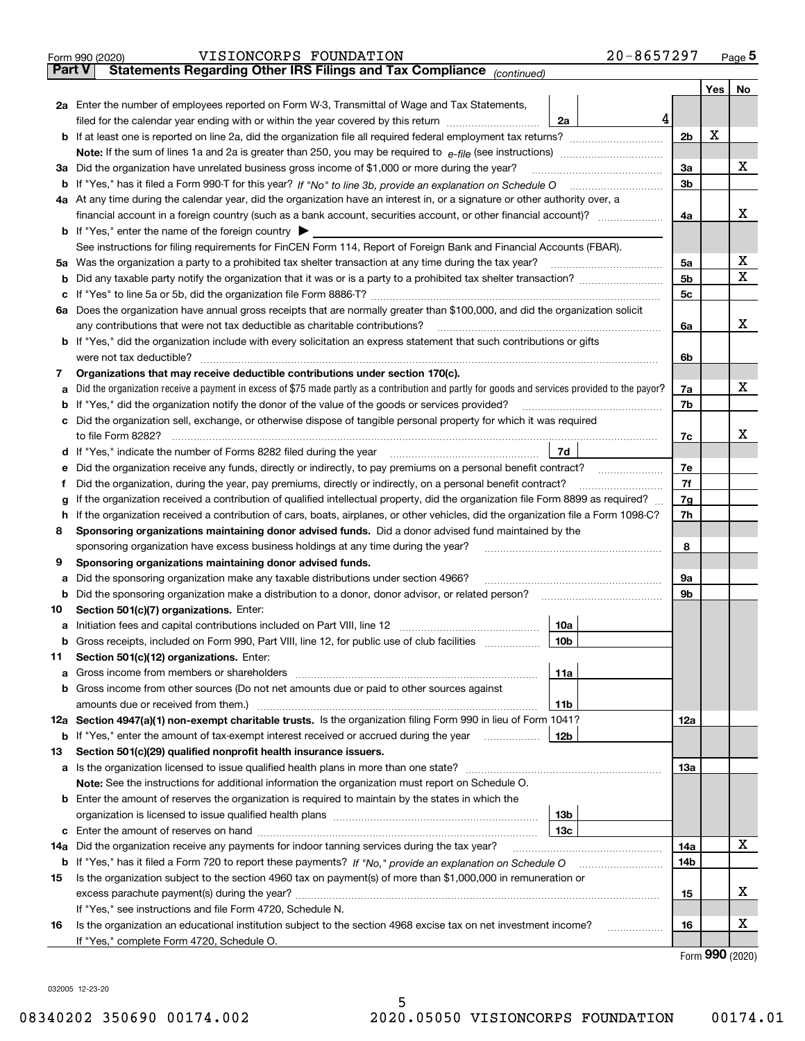|                                                                                                                     | 20-8657297<br>VISIONCORPS FOUNDATION<br>Form 990 (2020)                                                                                         |                |   | Page <sub>5</sub>     |  |  |  |  |
|---------------------------------------------------------------------------------------------------------------------|-------------------------------------------------------------------------------------------------------------------------------------------------|----------------|---|-----------------------|--|--|--|--|
| <b>Part V</b>                                                                                                       | Statements Regarding Other IRS Filings and Tax Compliance (continued)                                                                           |                |   |                       |  |  |  |  |
|                                                                                                                     |                                                                                                                                                 |                |   | Yes   No              |  |  |  |  |
|                                                                                                                     | 2a Enter the number of employees reported on Form W-3, Transmittal of Wage and Tax Statements,                                                  |                |   |                       |  |  |  |  |
|                                                                                                                     | 4<br>filed for the calendar year ending with or within the year covered by this return <i>manumumumum</i><br>2a                                 |                |   |                       |  |  |  |  |
|                                                                                                                     |                                                                                                                                                 | 2 <sub>b</sub> | х |                       |  |  |  |  |
|                                                                                                                     |                                                                                                                                                 |                |   |                       |  |  |  |  |
| За                                                                                                                  | Did the organization have unrelated business gross income of \$1,000 or more during the year?                                                   | 3a             |   | х                     |  |  |  |  |
|                                                                                                                     |                                                                                                                                                 | 3 <sub>b</sub> |   |                       |  |  |  |  |
|                                                                                                                     | 4a At any time during the calendar year, did the organization have an interest in, or a signature or other authority over, a                    |                |   |                       |  |  |  |  |
|                                                                                                                     |                                                                                                                                                 |                |   | х                     |  |  |  |  |
|                                                                                                                     |                                                                                                                                                 | 4a             |   |                       |  |  |  |  |
|                                                                                                                     | <b>b</b> If "Yes," enter the name of the foreign country $\blacktriangleright$                                                                  |                |   |                       |  |  |  |  |
|                                                                                                                     | See instructions for filing requirements for FinCEN Form 114, Report of Foreign Bank and Financial Accounts (FBAR).                             | 5a             |   | х                     |  |  |  |  |
| 5а                                                                                                                  |                                                                                                                                                 |                |   |                       |  |  |  |  |
| b                                                                                                                   |                                                                                                                                                 | 5b             |   | x                     |  |  |  |  |
| c                                                                                                                   |                                                                                                                                                 | 5c             |   |                       |  |  |  |  |
|                                                                                                                     | 6a Does the organization have annual gross receipts that are normally greater than \$100,000, and did the organization solicit                  |                |   |                       |  |  |  |  |
|                                                                                                                     |                                                                                                                                                 | 6a             |   | х                     |  |  |  |  |
|                                                                                                                     | <b>b</b> If "Yes," did the organization include with every solicitation an express statement that such contributions or gifts                   |                |   |                       |  |  |  |  |
|                                                                                                                     | were not tax deductible?                                                                                                                        | 6b             |   |                       |  |  |  |  |
| 7                                                                                                                   | Organizations that may receive deductible contributions under section 170(c).                                                                   |                |   |                       |  |  |  |  |
| а                                                                                                                   | Did the organization receive a payment in excess of \$75 made partly as a contribution and partly for goods and services provided to the payor? | 7a             |   | х                     |  |  |  |  |
|                                                                                                                     | <b>b</b> If "Yes," did the organization notify the donor of the value of the goods or services provided?                                        | 7b             |   |                       |  |  |  |  |
|                                                                                                                     | c Did the organization sell, exchange, or otherwise dispose of tangible personal property for which it was required                             |                |   |                       |  |  |  |  |
|                                                                                                                     |                                                                                                                                                 | 7c             |   | x                     |  |  |  |  |
|                                                                                                                     | 7d                                                                                                                                              |                |   |                       |  |  |  |  |
| е                                                                                                                   | Did the organization receive any funds, directly or indirectly, to pay premiums on a personal benefit contract?                                 | 7e             |   |                       |  |  |  |  |
| f                                                                                                                   | Did the organization, during the year, pay premiums, directly or indirectly, on a personal benefit contract?                                    | 7f             |   |                       |  |  |  |  |
| g                                                                                                                   | If the organization received a contribution of qualified intellectual property, did the organization file Form 8899 as required?                | 7g             |   |                       |  |  |  |  |
| h.                                                                                                                  | If the organization received a contribution of cars, boats, airplanes, or other vehicles, did the organization file a Form 1098-C?              | 7h             |   |                       |  |  |  |  |
| 8                                                                                                                   | Sponsoring organizations maintaining donor advised funds. Did a donor advised fund maintained by the                                            |                |   |                       |  |  |  |  |
|                                                                                                                     | sponsoring organization have excess business holdings at any time during the year?                                                              | 8              |   |                       |  |  |  |  |
| 9                                                                                                                   | Sponsoring organizations maintaining donor advised funds.                                                                                       |                |   |                       |  |  |  |  |
| а                                                                                                                   | Did the sponsoring organization make any taxable distributions under section 4966?                                                              | 9а             |   |                       |  |  |  |  |
| b                                                                                                                   | Did the sponsoring organization make a distribution to a donor, donor advisor, or related person?                                               | 9b             |   |                       |  |  |  |  |
|                                                                                                                     | Section 501(c)(7) organizations. Enter:                                                                                                         |                |   |                       |  |  |  |  |
| 10                                                                                                                  |                                                                                                                                                 |                |   |                       |  |  |  |  |
|                                                                                                                     | 10a<br> 10b                                                                                                                                     |                |   |                       |  |  |  |  |
|                                                                                                                     | Gross receipts, included on Form 990, Part VIII, line 12, for public use of club facilities                                                     |                |   |                       |  |  |  |  |
| 11                                                                                                                  | Section 501(c)(12) organizations. Enter:                                                                                                        |                |   |                       |  |  |  |  |
| a                                                                                                                   | Gross income from members or shareholders<br>11a                                                                                                |                |   |                       |  |  |  |  |
|                                                                                                                     | b Gross income from other sources (Do not net amounts due or paid to other sources against                                                      |                |   |                       |  |  |  |  |
|                                                                                                                     | 11b                                                                                                                                             |                |   |                       |  |  |  |  |
|                                                                                                                     | 12a Section 4947(a)(1) non-exempt charitable trusts. Is the organization filing Form 990 in lieu of Form 1041?                                  | 12a            |   |                       |  |  |  |  |
|                                                                                                                     | 12b<br><b>b</b> If "Yes," enter the amount of tax-exempt interest received or accrued during the year                                           |                |   |                       |  |  |  |  |
| 13                                                                                                                  | Section 501(c)(29) qualified nonprofit health insurance issuers.                                                                                |                |   |                       |  |  |  |  |
|                                                                                                                     | a Is the organization licensed to issue qualified health plans in more than one state?                                                          | 13а            |   |                       |  |  |  |  |
|                                                                                                                     | Note: See the instructions for additional information the organization must report on Schedule O.                                               |                |   |                       |  |  |  |  |
|                                                                                                                     | <b>b</b> Enter the amount of reserves the organization is required to maintain by the states in which the                                       |                |   |                       |  |  |  |  |
|                                                                                                                     | 13b                                                                                                                                             |                |   |                       |  |  |  |  |
|                                                                                                                     | 13 <sub>c</sub>                                                                                                                                 |                |   |                       |  |  |  |  |
|                                                                                                                     | 14a Did the organization receive any payments for indoor tanning services during the tax year?                                                  | 14a            |   | x                     |  |  |  |  |
|                                                                                                                     | <b>b</b> If "Yes," has it filed a Form 720 to report these payments? If "No," provide an explanation on Schedule O                              | 14b            |   |                       |  |  |  |  |
| Is the organization subject to the section 4960 tax on payment(s) of more than \$1,000,000 in remuneration or<br>15 |                                                                                                                                                 |                |   |                       |  |  |  |  |
|                                                                                                                     |                                                                                                                                                 | 15             |   | X                     |  |  |  |  |
|                                                                                                                     | If "Yes," see instructions and file Form 4720, Schedule N.                                                                                      |                |   |                       |  |  |  |  |
| 16                                                                                                                  | Is the organization an educational institution subject to the section 4968 excise tax on net investment income?                                 | 16             |   | х                     |  |  |  |  |
|                                                                                                                     | If "Yes," complete Form 4720, Schedule O.                                                                                                       |                |   |                       |  |  |  |  |
|                                                                                                                     |                                                                                                                                                 |                |   | $000 \; \text{const}$ |  |  |  |  |

| Form 990 (2020) |  |
|-----------------|--|
|-----------------|--|

032005 12-23-20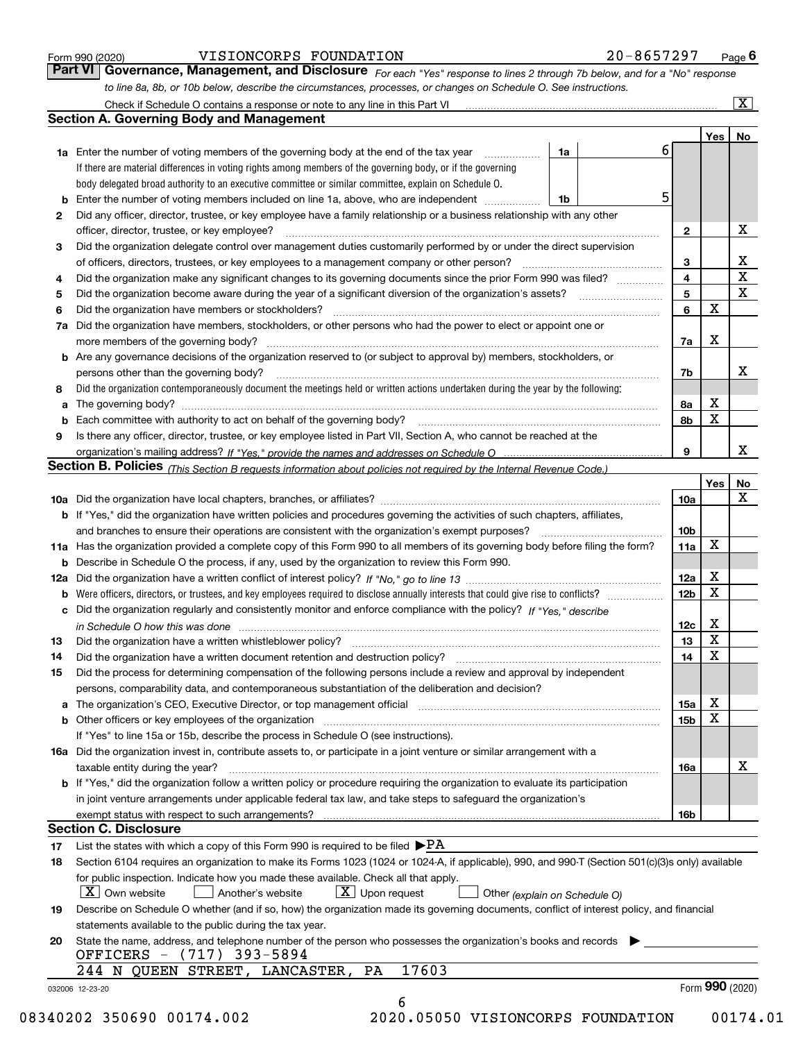|  | Form 990 (2020) |
|--|-----------------|

#### VISIONCORPS FOUNDATION 20-8657297

*For each "Yes" response to lines 2 through 7b below, and for a "No" response to line 8a, 8b, or 10b below, describe the circumstances, processes, or changes on Schedule O. See instructions.* Form 990 (2020) **COPEN BION CORPS FOUNDATION** 20-8657297 Page 6<br>**Part VI** | Governance, Management, and Disclosure *For each "Yes" response to lines 2 through 7b below, and for a "No" response* 

|              |                                                                                                                                                                             |                               |   |                         | Yes <sub>1</sub> | No          |
|--------------|-----------------------------------------------------------------------------------------------------------------------------------------------------------------------------|-------------------------------|---|-------------------------|------------------|-------------|
|              | <b>1a</b> Enter the number of voting members of the governing body at the end of the tax year <i>manumum</i>                                                                | 1a                            | 6 |                         |                  |             |
|              | If there are material differences in voting rights among members of the governing body, or if the governing                                                                 |                               |   |                         |                  |             |
|              | body delegated broad authority to an executive committee or similar committee, explain on Schedule O.                                                                       |                               |   |                         |                  |             |
|              | Enter the number of voting members included on line 1a, above, who are independent                                                                                          | 1b                            | 5 |                         |                  |             |
| $\mathbf{2}$ | Did any officer, director, trustee, or key employee have a family relationship or a business relationship with any other                                                    |                               |   |                         |                  |             |
|              | officer, director, trustee, or key employee?                                                                                                                                |                               |   | $\mathbf{2}$            |                  | х           |
| 3            | Did the organization delegate control over management duties customarily performed by or under the direct supervision                                                       |                               |   |                         |                  |             |
|              |                                                                                                                                                                             |                               |   | 3                       |                  | х           |
| 4            | Did the organization make any significant changes to its governing documents since the prior Form 990 was filed?                                                            |                               |   | $\overline{\mathbf{4}}$ |                  | $\mathbf X$ |
| 5            |                                                                                                                                                                             |                               |   | 5                       |                  | X           |
| 6            | Did the organization have members or stockholders?                                                                                                                          |                               |   | 6                       | $\mathbf X$      |             |
| 7a           | Did the organization have members, stockholders, or other persons who had the power to elect or appoint one or                                                              |                               |   |                         |                  |             |
|              |                                                                                                                                                                             |                               |   | 7a                      | х                |             |
|              | <b>b</b> Are any governance decisions of the organization reserved to (or subject to approval by) members, stockholders, or                                                 |                               |   |                         |                  |             |
|              | persons other than the governing body?                                                                                                                                      |                               |   | 7b                      |                  | х           |
| 8            | Did the organization contemporaneously document the meetings held or written actions undertaken during the year by the following:                                           |                               |   |                         |                  |             |
| a            |                                                                                                                                                                             |                               |   | 8a                      | х                |             |
|              |                                                                                                                                                                             |                               |   | 8b                      | X                |             |
| 9            | Is there any officer, director, trustee, or key employee listed in Part VII, Section A, who cannot be reached at the                                                        |                               |   |                         |                  |             |
|              |                                                                                                                                                                             |                               |   | 9                       |                  | х           |
|              | Section B. Policies (This Section B requests information about policies not required by the Internal Revenue Code.)                                                         |                               |   |                         |                  |             |
|              |                                                                                                                                                                             |                               |   |                         | Yes              | No          |
|              |                                                                                                                                                                             |                               |   | 10a                     |                  | X           |
|              | <b>b</b> If "Yes," did the organization have written policies and procedures governing the activities of such chapters, affiliates,                                         |                               |   |                         |                  |             |
|              |                                                                                                                                                                             |                               |   | 10 <sub>b</sub>         |                  |             |
|              | 11a Has the organization provided a complete copy of this Form 990 to all members of its governing body before filing the form?                                             |                               |   | 11a                     | X                |             |
|              | <b>b</b> Describe in Schedule O the process, if any, used by the organization to review this Form 990.                                                                      |                               |   |                         |                  |             |
| 12a          |                                                                                                                                                                             |                               |   | <b>12a</b>              | х                |             |
| b            |                                                                                                                                                                             |                               |   | 12b                     | X                |             |
|              | c Did the organization regularly and consistently monitor and enforce compliance with the policy? If "Yes," describe                                                        |                               |   |                         |                  |             |
|              |                                                                                                                                                                             |                               |   | 12c                     | х                |             |
| 13           | in Schedule O how this was done encourance and the control of the control of the control of the control of the<br>Did the organization have a written whistleblower policy? |                               |   | 13                      | X                |             |
|              |                                                                                                                                                                             |                               |   | 14                      | X                |             |
| 14           | Did the organization have a written document retention and destruction policy? manufactured and the organization have a written document retention and destruction policy?  |                               |   |                         |                  |             |
| 15           | Did the process for determining compensation of the following persons include a review and approval by independent                                                          |                               |   |                         |                  |             |
|              | persons, comparability data, and contemporaneous substantiation of the deliberation and decision?                                                                           |                               |   |                         | х                |             |
|              |                                                                                                                                                                             |                               |   | 15a                     | $\mathbf X$      |             |
|              |                                                                                                                                                                             |                               |   | 15b                     |                  |             |
|              | If "Yes" to line 15a or 15b, describe the process in Schedule O (see instructions).                                                                                         |                               |   |                         |                  |             |
|              | 16a Did the organization invest in, contribute assets to, or participate in a joint venture or similar arrangement with a                                                   |                               |   |                         |                  | х           |
|              | taxable entity during the year?                                                                                                                                             |                               |   | 16a                     |                  |             |
|              | b If "Yes," did the organization follow a written policy or procedure requiring the organization to evaluate its participation                                              |                               |   |                         |                  |             |
|              | in joint venture arrangements under applicable federal tax law, and take steps to safeguard the organization's                                                              |                               |   |                         |                  |             |
|              |                                                                                                                                                                             |                               |   | 16b                     |                  |             |
|              | <b>Section C. Disclosure</b>                                                                                                                                                |                               |   |                         |                  |             |
| 17           | List the states with which a copy of this Form 990 is required to be filed $\blacktriangleright$ PA                                                                         |                               |   |                         |                  |             |
| 18           | Section 6104 requires an organization to make its Forms 1023 (1024 or 1024-A, if applicable), 990, and 990-T (Section 501(c)(3)s only) available                            |                               |   |                         |                  |             |
|              | for public inspection. Indicate how you made these available. Check all that apply.                                                                                         |                               |   |                         |                  |             |
|              | $ X $ Own website<br>$\boxed{\textbf{X}}$ Upon request<br>Another's website                                                                                                 | Other (explain on Schedule O) |   |                         |                  |             |
| 19           | Describe on Schedule O whether (and if so, how) the organization made its governing documents, conflict of interest policy, and financial                                   |                               |   |                         |                  |             |
|              | statements available to the public during the tax year.                                                                                                                     |                               |   |                         |                  |             |
| 20           | State the name, address, and telephone number of the person who possesses the organization's books and records<br>OFFICERS - (717) 393-5894                                 |                               |   |                         |                  |             |
|              | 17603<br>244 N QUEEN STREET, LANCASTER,<br>PA                                                                                                                               |                               |   |                         |                  |             |
|              |                                                                                                                                                                             |                               |   |                         | Form 990 (2020)  |             |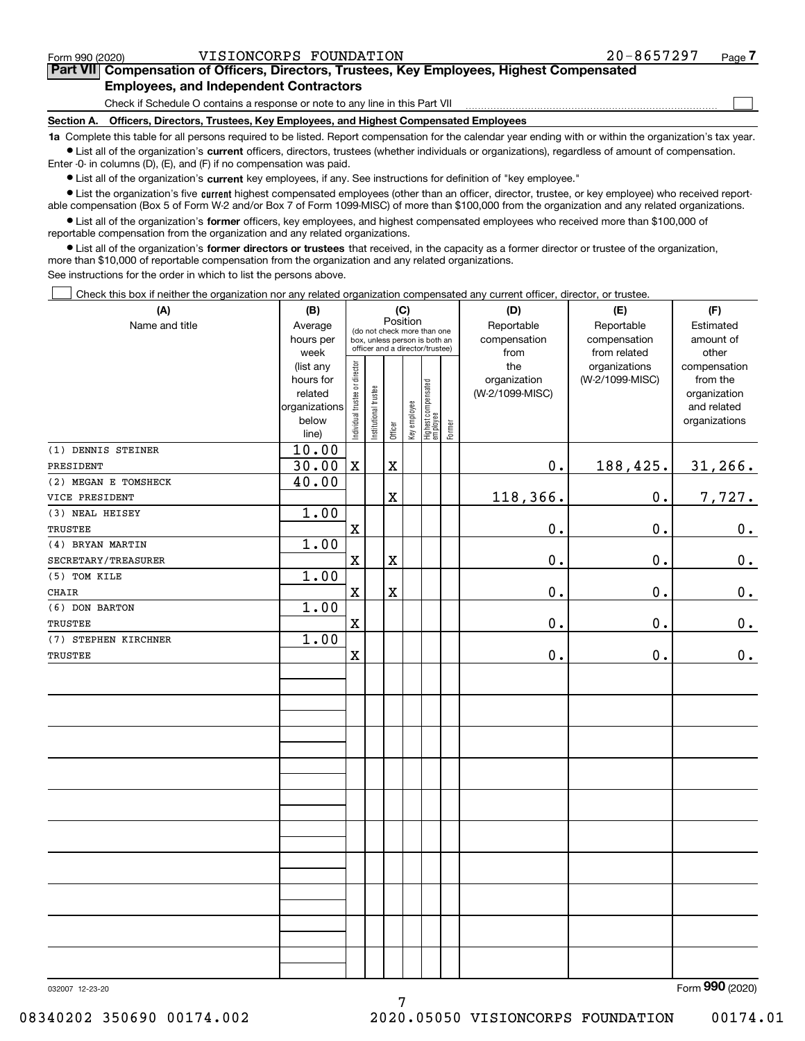|  | Form 990 (2020) |
|--|-----------------|
|  |                 |

 $\mathcal{L}^{\text{max}}$ 

| Form 990 (2020) | VISIONCORPS FOUNDATION                                                                     | $20 - 8657297$ | Page $\prime$ |
|-----------------|--------------------------------------------------------------------------------------------|----------------|---------------|
|                 | Part VII Compensation of Officers, Directors, Trustees, Key Employees, Highest Compensated |                |               |
|                 | <b>Employees, and Independent Contractors</b>                                              |                |               |

Check if Schedule O contains a response or note to any line in this Part VII

**Section A. Officers, Directors, Trustees, Key Employees, and Highest Compensated Employees**

**1a**  Complete this table for all persons required to be listed. Report compensation for the calendar year ending with or within the organization's tax year. **•** List all of the organization's current officers, directors, trustees (whether individuals or organizations), regardless of amount of compensation.

Enter -0- in columns (D), (E), and (F) if no compensation was paid.

 $\bullet$  List all of the organization's  $\,$ current key employees, if any. See instructions for definition of "key employee."

**•** List the organization's five current highest compensated employees (other than an officer, director, trustee, or key employee) who received reportable compensation (Box 5 of Form W-2 and/or Box 7 of Form 1099-MISC) of more than \$100,000 from the organization and any related organizations.

**•** List all of the organization's former officers, key employees, and highest compensated employees who received more than \$100,000 of reportable compensation from the organization and any related organizations.

**former directors or trustees**  ¥ List all of the organization's that received, in the capacity as a former director or trustee of the organization, more than \$10,000 of reportable compensation from the organization and any related organizations.

See instructions for the order in which to list the persons above.

Check this box if neither the organization nor any related organization compensated any current officer, director, or trustee.  $\mathcal{L}^{\text{max}}$ 

| (A)<br>Name and title | (B)<br>Average<br>hours per<br>week                                  |                                |                       | (C)<br>Position<br>(do not check more than one<br>box, unless person is both an<br>officer and a director/trustee) |              |                                   |        | (D)<br>Reportable<br>compensation<br>from | (E)<br>Reportable<br>compensation<br>from related | (F)<br>Estimated<br>amount of<br>other                                   |
|-----------------------|----------------------------------------------------------------------|--------------------------------|-----------------------|--------------------------------------------------------------------------------------------------------------------|--------------|-----------------------------------|--------|-------------------------------------------|---------------------------------------------------|--------------------------------------------------------------------------|
|                       | (list any<br>hours for<br>related<br>organizations<br>below<br>line) | Individual trustee or director | Institutional trustee | Officer                                                                                                            | Key employee | Highest compensated<br>  employee | Former | the<br>organization<br>(W-2/1099-MISC)    | organizations<br>(W-2/1099-MISC)                  | compensation<br>from the<br>organization<br>and related<br>organizations |
| (1) DENNIS STEINER    | 10.00                                                                |                                |                       |                                                                                                                    |              |                                   |        |                                           |                                                   |                                                                          |
| PRESIDENT             | 30.00                                                                | $\mathbf X$                    |                       | $\mathbf X$                                                                                                        |              |                                   |        | $\mathbf 0$ .                             | 188,425.                                          | 31, 266.                                                                 |
| (2) MEGAN E TOMSHECK  | 40.00                                                                |                                |                       |                                                                                                                    |              |                                   |        |                                           |                                                   |                                                                          |
| VICE PRESIDENT        |                                                                      |                                |                       | $\overline{\text{X}}$                                                                                              |              |                                   |        | 118,366.                                  | 0.                                                | 7,727.                                                                   |
| (3) NEAL HEISEY       | 1.00                                                                 |                                |                       |                                                                                                                    |              |                                   |        |                                           |                                                   |                                                                          |
| <b>TRUSTEE</b>        |                                                                      | $\mathbf X$                    |                       |                                                                                                                    |              |                                   |        | 0.                                        | 0.                                                | $0_{\cdot}$                                                              |
| (4) BRYAN MARTIN      | 1.00                                                                 |                                |                       |                                                                                                                    |              |                                   |        |                                           |                                                   |                                                                          |
| SECRETARY/TREASURER   |                                                                      | $\mathbf X$                    |                       | X                                                                                                                  |              |                                   |        | 0.                                        | $0$ .                                             | 0.                                                                       |
| (5) TOM KILE          | 1.00                                                                 |                                |                       |                                                                                                                    |              |                                   |        |                                           |                                                   |                                                                          |
| <b>CHAIR</b>          |                                                                      | $\mathbf X$                    |                       | X                                                                                                                  |              |                                   |        | $\mathbf 0$ .                             | 0.                                                | 0.                                                                       |
| (6) DON BARTON        | 1.00                                                                 |                                |                       |                                                                                                                    |              |                                   |        |                                           |                                                   |                                                                          |
| TRUSTEE               |                                                                      | $\mathbf X$                    |                       |                                                                                                                    |              |                                   |        | 0.                                        | 0.                                                | $0_{\cdot}$                                                              |
| (7) STEPHEN KIRCHNER  | 1.00                                                                 | $\mathbf x$                    |                       |                                                                                                                    |              |                                   |        | 0.                                        | 0.                                                |                                                                          |
| TRUSTEE               |                                                                      |                                |                       |                                                                                                                    |              |                                   |        |                                           |                                                   | 0.                                                                       |
|                       |                                                                      |                                |                       |                                                                                                                    |              |                                   |        |                                           |                                                   |                                                                          |
|                       |                                                                      |                                |                       |                                                                                                                    |              |                                   |        |                                           |                                                   |                                                                          |
|                       |                                                                      |                                |                       |                                                                                                                    |              |                                   |        |                                           |                                                   |                                                                          |
|                       |                                                                      |                                |                       |                                                                                                                    |              |                                   |        |                                           |                                                   |                                                                          |
|                       |                                                                      |                                |                       |                                                                                                                    |              |                                   |        |                                           |                                                   |                                                                          |
|                       |                                                                      |                                |                       |                                                                                                                    |              |                                   |        |                                           |                                                   |                                                                          |
|                       |                                                                      |                                |                       |                                                                                                                    |              |                                   |        |                                           |                                                   |                                                                          |
|                       |                                                                      |                                |                       |                                                                                                                    |              |                                   |        |                                           |                                                   |                                                                          |
|                       |                                                                      |                                |                       |                                                                                                                    |              |                                   |        |                                           |                                                   |                                                                          |
|                       |                                                                      |                                |                       |                                                                                                                    |              |                                   |        |                                           |                                                   |                                                                          |
|                       |                                                                      |                                |                       |                                                                                                                    |              |                                   |        |                                           |                                                   |                                                                          |
|                       |                                                                      |                                |                       |                                                                                                                    |              |                                   |        |                                           |                                                   |                                                                          |
|                       |                                                                      |                                |                       |                                                                                                                    |              |                                   |        |                                           |                                                   |                                                                          |
|                       |                                                                      |                                |                       |                                                                                                                    |              |                                   |        |                                           |                                                   |                                                                          |
|                       |                                                                      |                                |                       |                                                                                                                    |              |                                   |        |                                           |                                                   |                                                                          |
|                       |                                                                      |                                |                       |                                                                                                                    |              |                                   |        |                                           |                                                   |                                                                          |
|                       |                                                                      |                                |                       |                                                                                                                    |              |                                   |        |                                           |                                                   |                                                                          |
|                       |                                                                      |                                |                       |                                                                                                                    |              |                                   |        |                                           |                                                   |                                                                          |
|                       |                                                                      |                                |                       |                                                                                                                    |              |                                   |        |                                           |                                                   |                                                                          |
|                       |                                                                      |                                |                       |                                                                                                                    |              |                                   |        |                                           |                                                   |                                                                          |

7

Form (2020) **990**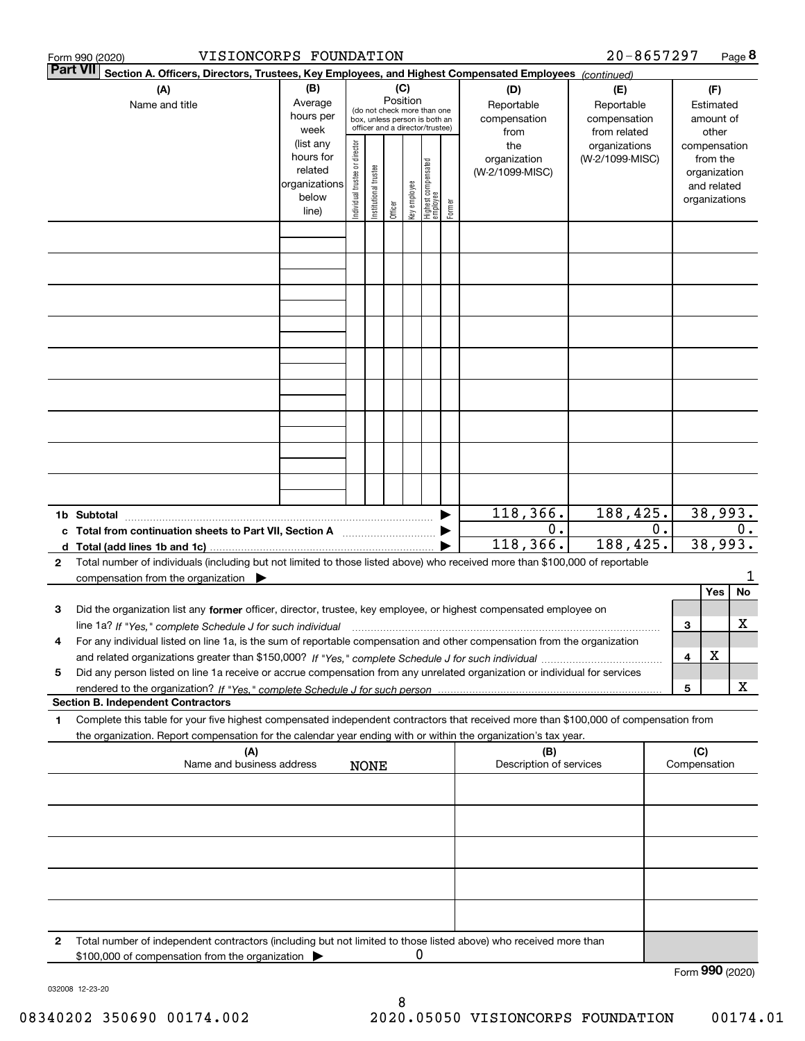|   | VISIONCORPS FOUNDATION<br>Form 990 (2020)                                                                                                                                                                                                                            |                                                                      |                                |                       |                 |              |                                                                                                 |        |                                           | 20-8657297                                        |    |     |                                                                          | Page 8 |
|---|----------------------------------------------------------------------------------------------------------------------------------------------------------------------------------------------------------------------------------------------------------------------|----------------------------------------------------------------------|--------------------------------|-----------------------|-----------------|--------------|-------------------------------------------------------------------------------------------------|--------|-------------------------------------------|---------------------------------------------------|----|-----|--------------------------------------------------------------------------|--------|
|   | <b>Part VII</b><br>Section A. Officers, Directors, Trustees, Key Employees, and Highest Compensated Employees (continued)                                                                                                                                            |                                                                      |                                |                       |                 |              |                                                                                                 |        |                                           |                                                   |    |     |                                                                          |        |
|   | (A)<br>Name and title                                                                                                                                                                                                                                                | (B)<br>Average<br>hours per<br>week                                  |                                |                       | (C)<br>Position |              | (do not check more than one<br>box, unless person is both an<br>officer and a director/trustee) |        | (D)<br>Reportable<br>compensation<br>from | (E)<br>Reportable<br>compensation<br>from related |    |     | (F)<br>Estimated<br>amount of<br>other                                   |        |
|   |                                                                                                                                                                                                                                                                      | (list any<br>hours for<br>related<br>organizations<br>below<br>line) | Individual trustee or director | Institutional trustee | Officer         | key employee | Highest compensated<br>  employee                                                               | Former | the<br>organization<br>(W-2/1099-MISC)    | organizations<br>(W-2/1099-MISC)                  |    |     | compensation<br>from the<br>organization<br>and related<br>organizations |        |
|   |                                                                                                                                                                                                                                                                      |                                                                      |                                |                       |                 |              |                                                                                                 |        |                                           |                                                   |    |     |                                                                          |        |
|   |                                                                                                                                                                                                                                                                      |                                                                      |                                |                       |                 |              |                                                                                                 |        |                                           |                                                   |    |     |                                                                          |        |
|   |                                                                                                                                                                                                                                                                      |                                                                      |                                |                       |                 |              |                                                                                                 |        |                                           |                                                   |    |     |                                                                          |        |
|   |                                                                                                                                                                                                                                                                      |                                                                      |                                |                       |                 |              |                                                                                                 |        |                                           |                                                   |    |     |                                                                          |        |
|   |                                                                                                                                                                                                                                                                      |                                                                      |                                |                       |                 |              |                                                                                                 |        |                                           |                                                   |    |     |                                                                          |        |
|   |                                                                                                                                                                                                                                                                      |                                                                      |                                |                       |                 |              |                                                                                                 |        |                                           |                                                   |    |     |                                                                          |        |
|   |                                                                                                                                                                                                                                                                      |                                                                      |                                |                       |                 |              |                                                                                                 |        |                                           |                                                   |    |     |                                                                          |        |
|   |                                                                                                                                                                                                                                                                      |                                                                      |                                |                       |                 |              |                                                                                                 |        |                                           |                                                   |    |     |                                                                          |        |
|   |                                                                                                                                                                                                                                                                      |                                                                      |                                |                       |                 |              |                                                                                                 |        |                                           |                                                   |    |     |                                                                          |        |
|   | 1b Subtotal                                                                                                                                                                                                                                                          |                                                                      |                                |                       |                 |              |                                                                                                 |        | 118,366.                                  | 188, 425.                                         |    |     | 38,993.                                                                  |        |
|   | c Total from continuation sheets to Part VII, Section A                                                                                                                                                                                                              |                                                                      |                                |                       |                 |              |                                                                                                 |        | 0.<br>118,366.                            | 188, 425.                                         | О. |     | $0$ .<br>38,993.                                                         |        |
| 2 | Total number of individuals (including but not limited to those listed above) who received more than \$100,000 of reportable<br>compensation from the organization $\blacktriangleright$                                                                             |                                                                      |                                |                       |                 |              |                                                                                                 |        |                                           |                                                   |    |     |                                                                          |        |
|   |                                                                                                                                                                                                                                                                      |                                                                      |                                |                       |                 |              |                                                                                                 |        |                                           |                                                   |    |     | Yes                                                                      | No     |
| з | Did the organization list any former officer, director, trustee, key employee, or highest compensated employee on<br>line 1a? If "Yes," complete Schedule J for such individual manufactured contained and the 1a? If "Yes," complete Schedule J for such individual |                                                                      |                                |                       |                 |              |                                                                                                 |        |                                           |                                                   |    | 3   |                                                                          | х      |
| 4 | For any individual listed on line 1a, is the sum of reportable compensation and other compensation from the organization                                                                                                                                             |                                                                      |                                |                       |                 |              |                                                                                                 |        |                                           |                                                   |    |     |                                                                          |        |
|   |                                                                                                                                                                                                                                                                      |                                                                      |                                |                       |                 |              |                                                                                                 |        |                                           |                                                   |    | 4   | X                                                                        |        |
| 5 | Did any person listed on line 1a receive or accrue compensation from any unrelated organization or individual for services                                                                                                                                           |                                                                      |                                |                       |                 |              |                                                                                                 |        |                                           |                                                   |    | 5   |                                                                          | X      |
|   | <b>Section B. Independent Contractors</b>                                                                                                                                                                                                                            |                                                                      |                                |                       |                 |              |                                                                                                 |        |                                           |                                                   |    |     |                                                                          |        |
| 1 | Complete this table for your five highest compensated independent contractors that received more than \$100,000 of compensation from<br>the organization. Report compensation for the calendar year ending with or within the organization's tax year.               |                                                                      |                                |                       |                 |              |                                                                                                 |        |                                           |                                                   |    |     |                                                                          |        |
|   | (A)                                                                                                                                                                                                                                                                  |                                                                      |                                |                       |                 |              |                                                                                                 |        | (B)                                       |                                                   |    | (C) |                                                                          |        |
|   | Name and business address                                                                                                                                                                                                                                            |                                                                      |                                | <b>NONE</b>           |                 |              |                                                                                                 |        | Description of services                   |                                                   |    |     | Compensation                                                             |        |
|   |                                                                                                                                                                                                                                                                      |                                                                      |                                |                       |                 |              |                                                                                                 |        |                                           |                                                   |    |     |                                                                          |        |
|   |                                                                                                                                                                                                                                                                      |                                                                      |                                |                       |                 |              |                                                                                                 |        |                                           |                                                   |    |     |                                                                          |        |
|   |                                                                                                                                                                                                                                                                      |                                                                      |                                |                       |                 |              |                                                                                                 |        |                                           |                                                   |    |     |                                                                          |        |
|   |                                                                                                                                                                                                                                                                      |                                                                      |                                |                       |                 |              |                                                                                                 |        |                                           |                                                   |    |     |                                                                          |        |
| 2 | Total number of independent contractors (including but not limited to those listed above) who received more than                                                                                                                                                     |                                                                      |                                |                       |                 |              |                                                                                                 |        |                                           |                                                   |    |     |                                                                          |        |
|   | \$100,000 of compensation from the organization                                                                                                                                                                                                                      |                                                                      |                                |                       |                 | 0            |                                                                                                 |        |                                           |                                                   |    |     |                                                                          |        |
|   |                                                                                                                                                                                                                                                                      |                                                                      |                                |                       |                 |              |                                                                                                 |        |                                           |                                                   |    |     | Form 990 (2020)                                                          |        |

032008 12-23-20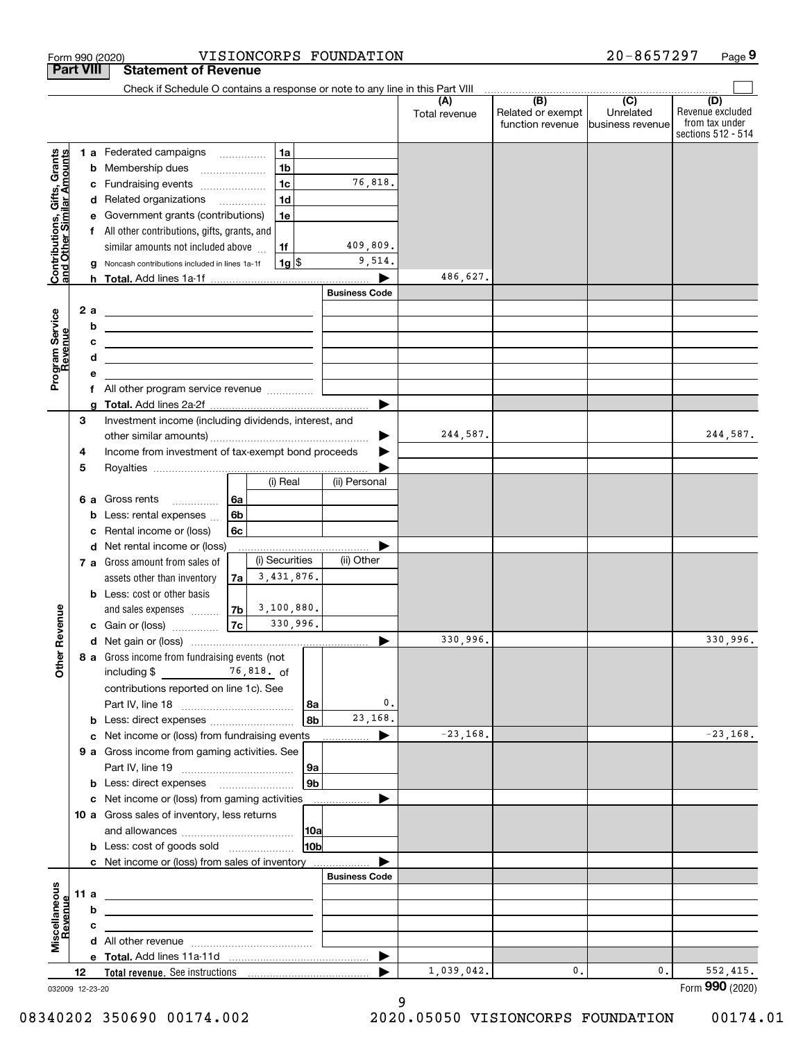|                                                           |                  | VISIONCORPS FOUNDATION<br>Form 990 (2020)                                                                                                      |                      |                                              | 20-8657297                                      | Page 9                                                          |
|-----------------------------------------------------------|------------------|------------------------------------------------------------------------------------------------------------------------------------------------|----------------------|----------------------------------------------|-------------------------------------------------|-----------------------------------------------------------------|
|                                                           | <b>Part VIII</b> | <b>Statement of Revenue</b>                                                                                                                    |                      |                                              |                                                 |                                                                 |
|                                                           |                  | Check if Schedule O contains a response or note to any line in this Part VIII                                                                  |                      |                                              |                                                 |                                                                 |
|                                                           |                  |                                                                                                                                                | (A)<br>Total revenue | (B)<br>Related or exempt<br>function revenue | $\overline{C}$<br>Unrelated<br>business revenue | (D)<br>Revenue excluded<br>from tax under<br>sections 512 - 514 |
|                                                           |                  | 1a<br>1 a Federated campaigns                                                                                                                  |                      |                                              |                                                 |                                                                 |
| Contributions, Gifts, Grants<br>and Other Similar Amounts | b                | 1 <sub>b</sub><br>Membership dues<br>$\ldots \ldots \ldots \ldots \ldots$                                                                      |                      |                                              |                                                 |                                                                 |
|                                                           | с                | 1 <sub>c</sub><br>76,818.<br>Fundraising events                                                                                                |                      |                                              |                                                 |                                                                 |
|                                                           |                  | 1 <sub>d</sub><br>d Related organizations                                                                                                      |                      |                                              |                                                 |                                                                 |
|                                                           | е                | 1e<br>Government grants (contributions)                                                                                                        |                      |                                              |                                                 |                                                                 |
|                                                           |                  | f All other contributions, gifts, grants, and                                                                                                  |                      |                                              |                                                 |                                                                 |
|                                                           |                  | 409,809.<br>similar amounts not included above<br>1f                                                                                           |                      |                                              |                                                 |                                                                 |
|                                                           |                  | 9,514.<br>$1g$ \$<br>Noncash contributions included in lines 1a-1f                                                                             |                      |                                              |                                                 |                                                                 |
|                                                           |                  |                                                                                                                                                | 486,627.             |                                              |                                                 |                                                                 |
|                                                           |                  | <b>Business Code</b>                                                                                                                           |                      |                                              |                                                 |                                                                 |
|                                                           | 2 a              | <u> 1989 - Andrea Barbara, amerikan personal (h. 1989).</u>                                                                                    |                      |                                              |                                                 |                                                                 |
| Program Service<br>Revenue                                | b<br>с           | <u> Alexandria de la contrada de la contrada de la contrada de la contrada de la contrada de la contrada de la c</u>                           |                      |                                              |                                                 |                                                                 |
|                                                           | d                | <u> 1989 - Andrea Stadt Britain, amerikansk politiker (</u><br>the contract of the contract of the contract of the contract of the contract of |                      |                                              |                                                 |                                                                 |
|                                                           | е                |                                                                                                                                                |                      |                                              |                                                 |                                                                 |
|                                                           |                  | f All other program service revenue                                                                                                            |                      |                                              |                                                 |                                                                 |
|                                                           | g                |                                                                                                                                                |                      |                                              |                                                 |                                                                 |
|                                                           | 3                | Investment income (including dividends, interest, and                                                                                          |                      |                                              |                                                 |                                                                 |
|                                                           |                  | ▶                                                                                                                                              | 244,587.             |                                              |                                                 | 244,587.                                                        |
|                                                           | 4                | Income from investment of tax-exempt bond proceeds                                                                                             |                      |                                              |                                                 |                                                                 |
|                                                           | 5                |                                                                                                                                                |                      |                                              |                                                 |                                                                 |
|                                                           |                  | (ii) Personal<br>(i) Real                                                                                                                      |                      |                                              |                                                 |                                                                 |
|                                                           | 6а               | 6a<br>Gross rents<br>.                                                                                                                         |                      |                                              |                                                 |                                                                 |
|                                                           | b                | 6b<br>Less: rental expenses                                                                                                                    |                      |                                              |                                                 |                                                                 |
|                                                           | c                | 6c<br>Rental income or (loss)<br>d Net rental income or (loss)                                                                                 |                      |                                              |                                                 |                                                                 |
|                                                           |                  | (i) Securities<br>(ii) Other<br>7 a Gross amount from sales of                                                                                 |                      |                                              |                                                 |                                                                 |
|                                                           |                  | 3,431,876.<br>assets other than inventory<br>7a                                                                                                |                      |                                              |                                                 |                                                                 |
|                                                           |                  | <b>b</b> Less: cost or other basis                                                                                                             |                      |                                              |                                                 |                                                                 |
|                                                           |                  | 3,100,880.<br>7b  <br>and sales expenses                                                                                                       |                      |                                              |                                                 |                                                                 |
| evenue                                                    |                  | 330,996.<br>7c<br>c Gain or (loss)                                                                                                             |                      |                                              |                                                 |                                                                 |
| Œ                                                         |                  |                                                                                                                                                | 330,996.             |                                              |                                                 | 330,996.                                                        |
|                                                           |                  | 8 a Gross income from fundraising events (not                                                                                                  |                      |                                              |                                                 |                                                                 |
|                                                           |                  | including \$ 76,818. of                                                                                                                        |                      |                                              |                                                 |                                                                 |
|                                                           |                  | contributions reported on line 1c). See                                                                                                        |                      |                                              |                                                 |                                                                 |
|                                                           |                  | 0.<br> 8a                                                                                                                                      |                      |                                              |                                                 |                                                                 |
|                                                           |                  | 23,168.<br>8 <sub>b</sub><br><b>b</b> Less: direct expenses <i></i>                                                                            |                      |                                              |                                                 |                                                                 |
|                                                           |                  | c Net income or (loss) from fundraising events<br>▶                                                                                            | $-23,168.$           |                                              |                                                 | $-23,168.$                                                      |
|                                                           |                  | 9 a Gross income from gaming activities. See                                                                                                   |                      |                                              |                                                 |                                                                 |
|                                                           |                  | 9а                                                                                                                                             |                      |                                              |                                                 |                                                                 |
|                                                           |                  | 9 <sub>b</sub><br><b>b</b> Less: direct expenses <b>manually</b>                                                                               |                      |                                              |                                                 |                                                                 |
|                                                           |                  | c Net income or (loss) from gaming activities<br>.<br>10 a Gross sales of inventory, less returns                                              |                      |                                              |                                                 |                                                                 |
|                                                           |                  | 10a                                                                                                                                            |                      |                                              |                                                 |                                                                 |
|                                                           |                  | 10 <sub>b</sub><br><b>b</b> Less: cost of goods sold                                                                                           |                      |                                              |                                                 |                                                                 |
|                                                           |                  | c Net income or (loss) from sales of inventory                                                                                                 |                      |                                              |                                                 |                                                                 |
|                                                           |                  | <b>Business Code</b>                                                                                                                           |                      |                                              |                                                 |                                                                 |
|                                                           | 11a              | <u> 1989 - Johann Stein, marwolaethau a bhann an t-Amhainn an t-Amhainn an t-Amhainn an t-Amhainn an t-Amhainn an</u>                          |                      |                                              |                                                 |                                                                 |
|                                                           | b                | the control of the control of the control of the control of the control of the control of                                                      |                      |                                              |                                                 |                                                                 |
| Revenue                                                   | с                | the control of the control of the control of the control of the control of the control of                                                      |                      |                                              |                                                 |                                                                 |
|                                                           |                  |                                                                                                                                                |                      |                                              |                                                 |                                                                 |
| Miscellaneous                                             |                  | ▶                                                                                                                                              |                      |                                              |                                                 |                                                                 |
|                                                           | 12               |                                                                                                                                                | 1,039,042.           | 0.                                           | 0.                                              | 552,415.                                                        |
|                                                           | 032009 12-23-20  |                                                                                                                                                |                      |                                              |                                                 | Form 990 (2020)                                                 |

032009 12-23-20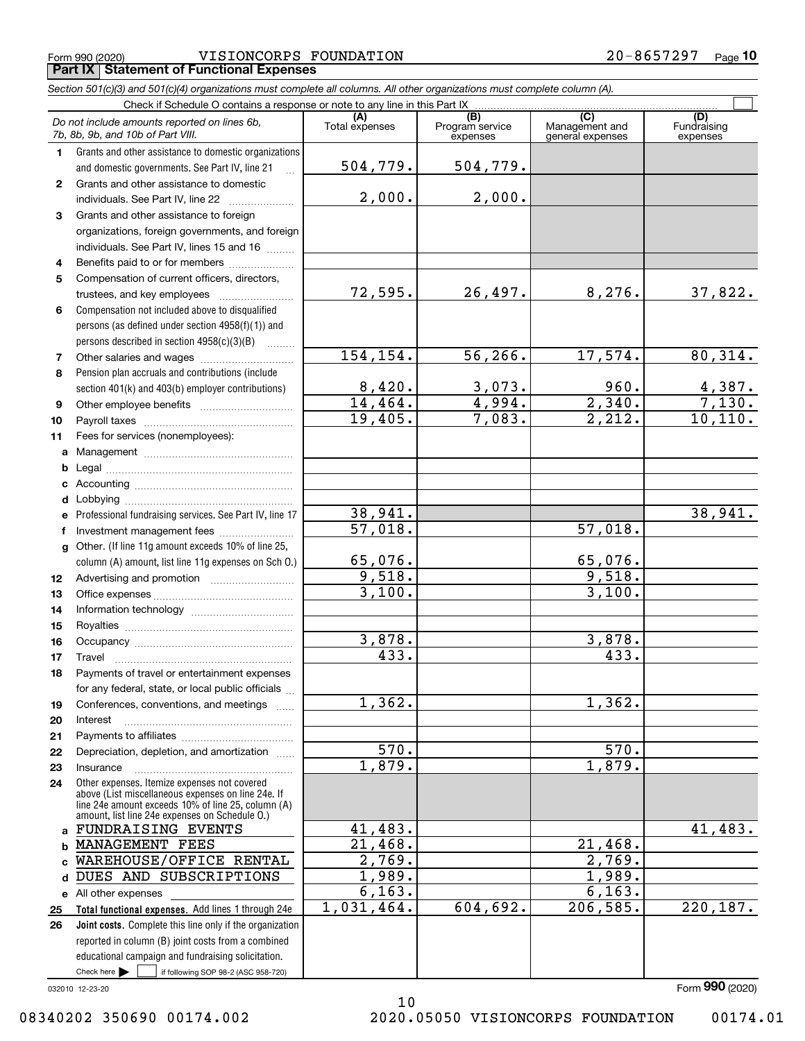Form 990 (2020) VISIONCORPS FOUNDATION 2 0-8 6 5 7 2 9 7 Page **Part IX Statement of Functional Expenses**

|              | Section 501(c)(3) and 501(c)(4) organizations must complete all columns. All other organizations must complete column (A).                                                                                 |                        |                                    |                                           |                                |
|--------------|------------------------------------------------------------------------------------------------------------------------------------------------------------------------------------------------------------|------------------------|------------------------------------|-------------------------------------------|--------------------------------|
|              | Check if Schedule O contains a response or note to any line in this Part IX                                                                                                                                |                        |                                    |                                           |                                |
|              | Do not include amounts reported on lines 6b,<br>7b, 8b, 9b, and 10b of Part VIII.                                                                                                                          | (A)<br>Total expenses  | (B)<br>Program service<br>expenses | (C)<br>Management and<br>general expenses | (D)<br>Fundraising<br>expenses |
| 1.           | Grants and other assistance to domestic organizations                                                                                                                                                      |                        |                                    |                                           |                                |
|              | and domestic governments. See Part IV, line 21                                                                                                                                                             | 504,779.               | 504,779.                           |                                           |                                |
| $\mathbf{2}$ | Grants and other assistance to domestic                                                                                                                                                                    |                        |                                    |                                           |                                |
|              | individuals. See Part IV, line 22                                                                                                                                                                          | 2,000.                 | 2,000.                             |                                           |                                |
| 3            | Grants and other assistance to foreign                                                                                                                                                                     |                        |                                    |                                           |                                |
|              | organizations, foreign governments, and foreign                                                                                                                                                            |                        |                                    |                                           |                                |
|              | individuals. See Part IV, lines 15 and 16                                                                                                                                                                  |                        |                                    |                                           |                                |
| 4            | Benefits paid to or for members                                                                                                                                                                            |                        |                                    |                                           |                                |
| 5            | Compensation of current officers, directors,                                                                                                                                                               |                        |                                    |                                           |                                |
|              |                                                                                                                                                                                                            | 72,595.                | 26,497.                            | 8,276.                                    | 37,822.                        |
| 6            | Compensation not included above to disqualified                                                                                                                                                            |                        |                                    |                                           |                                |
|              | persons (as defined under section 4958(f)(1)) and                                                                                                                                                          |                        |                                    |                                           |                                |
|              | persons described in section 4958(c)(3)(B)                                                                                                                                                                 |                        |                                    |                                           |                                |
| 7            | Other salaries and wages                                                                                                                                                                                   | 154, 154.              | 56, 266.                           | 17,574.                                   | 80,314.                        |
| 8            | Pension plan accruals and contributions (include                                                                                                                                                           |                        |                                    |                                           |                                |
|              | section 401(k) and 403(b) employer contributions)                                                                                                                                                          | $\frac{8,420}{14,464}$ | $\frac{3,073.}{4,994.}$            | 960.                                      | $\frac{4,387.}{7,130.}$        |
| 9            |                                                                                                                                                                                                            |                        |                                    | 2,340.                                    |                                |
| 10           |                                                                                                                                                                                                            | 19,405.                | 7,083.                             | 2,212.                                    | 10, 110.                       |
| 11           | Fees for services (nonemployees):                                                                                                                                                                          |                        |                                    |                                           |                                |
| a            |                                                                                                                                                                                                            |                        |                                    |                                           |                                |
| b            |                                                                                                                                                                                                            |                        |                                    |                                           |                                |
| c            |                                                                                                                                                                                                            |                        |                                    |                                           |                                |
| d            |                                                                                                                                                                                                            |                        |                                    |                                           |                                |
| е            | Professional fundraising services. See Part IV, line 17                                                                                                                                                    | 38,941.                |                                    |                                           | 38,941.                        |
| f            | Investment management fees                                                                                                                                                                                 | 57,018.                |                                    | 57,018.                                   |                                |
| g            | Other. (If line 11g amount exceeds 10% of line 25,                                                                                                                                                         |                        |                                    |                                           |                                |
|              | column (A) amount, list line 11g expenses on Sch O.)                                                                                                                                                       | 65,076.                |                                    | 65,076.                                   |                                |
| 12           |                                                                                                                                                                                                            | 9,518.                 |                                    | 9,518.                                    |                                |
| 13           |                                                                                                                                                                                                            | $\overline{3,100}$ .   |                                    | 3,100.                                    |                                |
| 14           |                                                                                                                                                                                                            |                        |                                    |                                           |                                |
| 15           |                                                                                                                                                                                                            |                        |                                    |                                           |                                |
| 16           |                                                                                                                                                                                                            | 3,878.                 |                                    | 3,878.                                    |                                |
| 17           |                                                                                                                                                                                                            | 433.                   |                                    | 433.                                      |                                |
| 18           | Payments of travel or entertainment expenses                                                                                                                                                               |                        |                                    |                                           |                                |
|              | for any federal, state, or local public officials                                                                                                                                                          |                        |                                    |                                           |                                |
| 19           | Conferences, conventions, and meetings                                                                                                                                                                     | 1,362.                 |                                    | 1,362.                                    |                                |
| 20           | Interest                                                                                                                                                                                                   |                        |                                    |                                           |                                |
| 21           |                                                                                                                                                                                                            |                        |                                    |                                           |                                |
| 22           | Depreciation, depletion, and amortization                                                                                                                                                                  | 570.                   |                                    | $\overline{570}$ .                        |                                |
| 23           | Insurance                                                                                                                                                                                                  | 1,879.                 |                                    | 1,879.                                    |                                |
| 24           | Other expenses. Itemize expenses not covered<br>above (List miscellaneous expenses on line 24e. If<br>line 24e amount exceeds 10% of line 25, column (A)<br>amount, list line 24e expenses on Schedule 0.) |                        |                                    |                                           |                                |
| a            | FUNDRAISING EVENTS                                                                                                                                                                                         | 41,483.                |                                    |                                           | 41,483.                        |
| b            | MANAGEMENT FEES                                                                                                                                                                                            | 21,468.                |                                    | 21,468.                                   |                                |
|              | WAREHOUSE/OFFICE RENTAL                                                                                                                                                                                    | 2,769.                 |                                    | 2,769.                                    |                                |
| d            | DUES AND SUBSCRIPTIONS                                                                                                                                                                                     | 1,989.                 |                                    | 1,989.                                    |                                |
|              | e All other expenses                                                                                                                                                                                       | 6,163.                 |                                    | 6,163.                                    |                                |
| 25           | Total functional expenses. Add lines 1 through 24e                                                                                                                                                         | 1,031,464.             | 604,692.                           | 206, 585.                                 | 220, 187.                      |
| 26           | Joint costs. Complete this line only if the organization                                                                                                                                                   |                        |                                    |                                           |                                |
|              | reported in column (B) joint costs from a combined                                                                                                                                                         |                        |                                    |                                           |                                |
|              | educational campaign and fundraising solicitation.                                                                                                                                                         |                        |                                    |                                           |                                |
|              | Check here $\blacktriangleright$<br>if following SOP 98-2 (ASC 958-720)                                                                                                                                    |                        |                                    |                                           |                                |

10

032010 12-23-20

Form (2020) **990**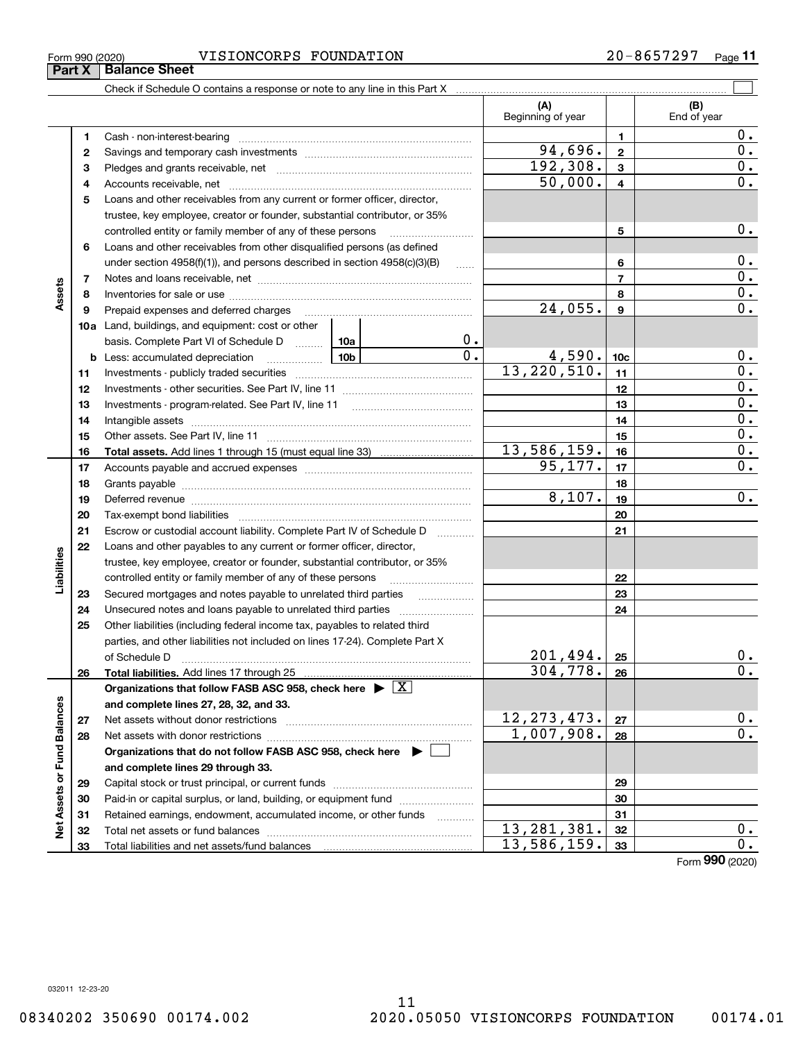**232425**

**Liabilities**

iabilities

**26**

**2728**

**Net Assets or Fund Balances**

 $\frac{1}{2}$ 

Assets or Fund Balances

**2324**

**2526**

 $201,494.$   $25$  0.  $304, 778. |26|$  0.

> **2728**

 $12, 273, 473. | z_7 | 0.$  $1,007,908.$  | 28 | 0.

 $13,281,381.$   $32$  0.  $13,586,159.$  33

Form (2020) **990**

Form 990 (2020) VISIONCORPS FOUNDATION 2 0-8 6 5 7 2 9 7 Page

Check if Schedule O contains a response or note to any line in this Part X

**Total liabilities.**  Add lines 17 through 25

Net assets without donor restrictions ~~~~~~~~~~~~~~~~~~~~ Net assets with donor restrictions ~~~~~~~~~~~~~~~~~~~~~~

Capital stock or trust principal, or current funds ~~~~~~~~~~~~~~~ Paid-in or capital surplus, or land, building, or equipment fund www.commun.com Retained earnings, endowment, accumulated income, or other funds www.com Total net assets or fund balances ~~~~~~~~~~~~~~~~~~~~~~

Secured mortgages and notes payable to unrelated third parties Unsecured notes and loans payable to unrelated third parties Other liabilities (including federal income tax, payables to related third parties, and other liabilities not included on lines 17-24). Complete Part X of Schedule D ~~~~~~~~~~~~~~~~~~~~~~~~~~~~~~~

**Organizations that do not follow FASB ASC 958, check here** |

**Organizations that follow FASB ASC 958, check here** | X

**and complete lines 27, 28, 32, and 33.**

**and complete lines 29 through 33.**

Total liabilities and net assets/fund balances

**(A) (B) 123** Pledges and grants receivable, net  $\ldots$  **multimes contained and grants receivable**, net **multimes contained and grants receivable**, net **multimes contained and grants receivable 45678910a**Land, buildings, and equipment: cost or other **11121314151617181920212212345678910c111213141516171819202122b** Less: accumulated depreciation  $\ldots$  **10b** basis. Complete Part VI of Schedule D will aller **Total assets.**  Add lines 1 through 15 (must equal line 33) Beginning of year | | End of year Cash - non-interest-bearing ~~~~~~~~~~~~~~~~~~~~~~~~~ Savings and temporary cash investments ~~~~~~~~~~~~~~~~~~Accounts receivable, net ~~~~~~~~~~~~~~~~~~~~~~~~~~ Loans and other receivables from any current or former officer, director, trustee, key employee, creator or founder, substantial contributor, or 35% controlled entity or family member of any of these persons ............................ Loans and other receivables from other disqualified persons (as defined under section  $4958(f)(1)$ , and persons described in section  $4958(c)(3)(B)$ Notes and loans receivable, net ~~~~~~~~~~~~~~~~~~~~~~~Inventories for sale or use ~~~~~~~~~~~~~~~~~~~~~~~~~~ Prepaid expenses and deferred charges ~~~~~~~~~~~~~~~~~~ Investments - publicly traded securities ~~~~~~~~~~~~~~~~~~~ Investments - other securities. See Part IV, line 11 ~~~~~~~~~~~~~~ Investments - program-related. See Part IV, line 11 ~~~~~~~~~~~~~Intangible assets ~~~~~~~~~~~~~~~~~~~~~~~~~~~~~~ Other assets. See Part IV, line 11 ~~~~~~~~~~~~~~~~~~~~~~ Accounts payable and accrued expenses ~~~~~~~~~~~~~~~~~~ Grants payable ~~~~~~~~~~~~~~~~~~~~~~~~~~~~~~~ Deferred revenue ~~~~~~~~~~~~~~~~~~~~~~~~~~~~~~ Tax-exempt bond liabilities …………………………………………………………… Escrow or custodial account liability. Complete Part IV of Schedule D Loans and other payables to any current or former officer, director, trustee, key employee, creator or founder, substantial contributor, or 35% controlled entity or family member of any of these persons ~~~~~~~~~ $50,000$ .  $4$  0.  $192,308.$   $3$  | 0.  $24,055.$  | 9 | 0.  $13,220,510.$  | 11 | 0. 0.  $[0.1 \t 4,590.$  |  $10c$  |  $[0.1 \t 0.$  $13,586,159.$  16  $94,696.$  2 0.  $95, 177.$  |  $17$  | 0.  $8,107.$  19 0.

 $\mathcal{L}^{\text{max}}$ 

0.

0.

0. 0.

 $0$  .

0.

 $0.$ 

 $0$  .

0.

**Part X** Balance Sheet

**Assets**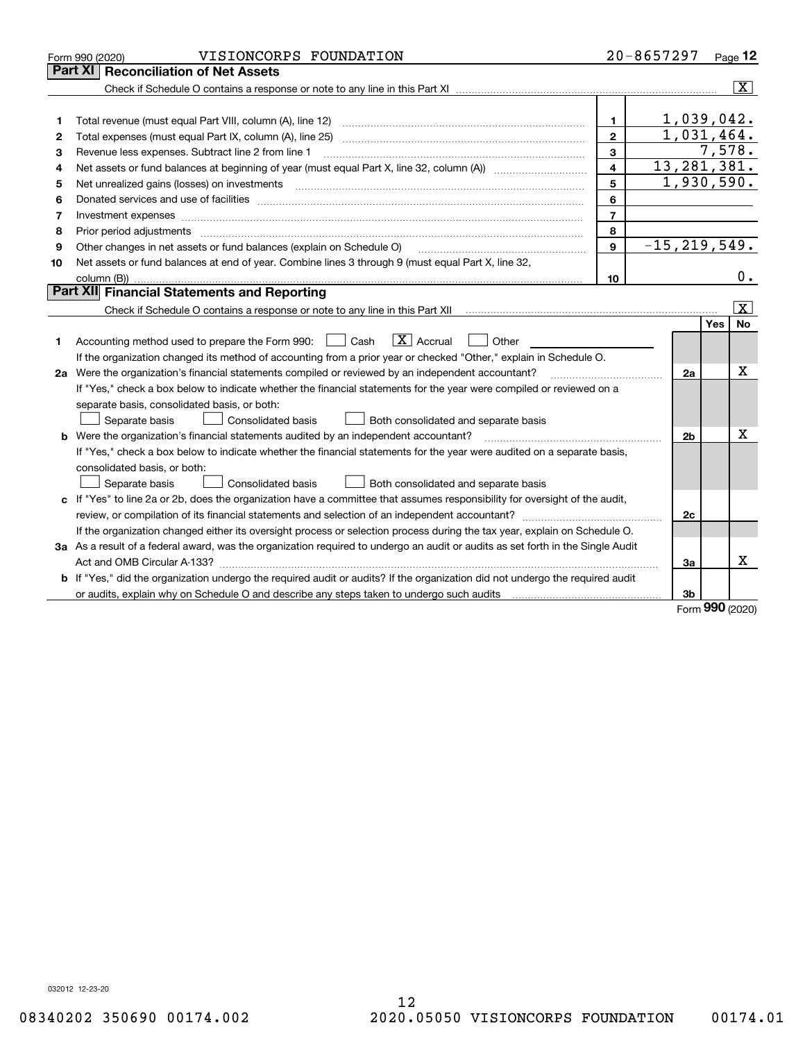|    | VISIONCORPS FOUNDATION<br>Form 990 (2020)                                                                                                                                              |                         | $20 - 8657297$             | Page 12                 |
|----|----------------------------------------------------------------------------------------------------------------------------------------------------------------------------------------|-------------------------|----------------------------|-------------------------|
|    | Part XI<br><b>Reconciliation of Net Assets</b>                                                                                                                                         |                         |                            |                         |
|    |                                                                                                                                                                                        |                         |                            | $ \mathbf{X} $          |
|    |                                                                                                                                                                                        |                         |                            |                         |
| 1  | Total revenue (must equal Part VIII, column (A), line 12)                                                                                                                              | $\mathbf{1}$            |                            | 1,039,042.              |
| 2  |                                                                                                                                                                                        | $\overline{2}$          |                            | 1,031,464.              |
| 3  | Revenue less expenses. Subtract line 2 from line 1                                                                                                                                     | $\mathbf{3}$            |                            | 7,578.                  |
| 4  |                                                                                                                                                                                        | $\overline{\mathbf{4}}$ | 13, 281, 381.              |                         |
| 5  |                                                                                                                                                                                        | 5                       |                            | 1,930,590.              |
| 6  |                                                                                                                                                                                        | 6                       |                            |                         |
| 7  |                                                                                                                                                                                        | $\overline{7}$          |                            |                         |
| 8  |                                                                                                                                                                                        | 8                       |                            |                         |
| 9  | Other changes in net assets or fund balances (explain on Schedule O)                                                                                                                   | 9                       | $\overline{-15,219,549}$ . |                         |
| 10 | Net assets or fund balances at end of year. Combine lines 3 through 9 (must equal Part X, line 32,                                                                                     |                         |                            |                         |
|    |                                                                                                                                                                                        | 10                      |                            | 0.                      |
|    | Part XII Financial Statements and Reporting                                                                                                                                            |                         |                            |                         |
|    |                                                                                                                                                                                        |                         |                            | $\vert$ X $\vert$       |
|    |                                                                                                                                                                                        |                         |                            | <b>No</b><br><b>Yes</b> |
| 1  | $\boxed{\text{X}}$ Accrual<br>Accounting method used to prepare the Form 990: [130] Cash<br>  Other                                                                                    |                         |                            |                         |
|    | If the organization changed its method of accounting from a prior year or checked "Other," explain in Schedule O.                                                                      |                         |                            |                         |
|    | 2a Were the organization's financial statements compiled or reviewed by an independent accountant?                                                                                     |                         | 2a                         | Χ                       |
|    | If "Yes," check a box below to indicate whether the financial statements for the year were compiled or reviewed on a                                                                   |                         |                            |                         |
|    | separate basis, consolidated basis, or both:                                                                                                                                           |                         |                            |                         |
|    | Separate basis<br>Consolidated basis<br>Both consolidated and separate basis                                                                                                           |                         |                            |                         |
|    | <b>b</b> Were the organization's financial statements audited by an independent accountant?                                                                                            |                         | 2b                         | X                       |
|    | If "Yes," check a box below to indicate whether the financial statements for the year were audited on a separate basis,                                                                |                         |                            |                         |
|    | consolidated basis, or both:                                                                                                                                                           |                         |                            |                         |
|    | Separate basis<br>Consolidated basis<br>Both consolidated and separate basis                                                                                                           |                         |                            |                         |
|    | c If "Yes" to line 2a or 2b, does the organization have a committee that assumes responsibility for oversight of the audit,                                                            |                         |                            |                         |
|    |                                                                                                                                                                                        |                         | 2c                         |                         |
|    | If the organization changed either its oversight process or selection process during the tax year, explain on Schedule O.                                                              |                         |                            |                         |
|    | 3a As a result of a federal award, was the organization required to undergo an audit or audits as set forth in the Single Audit                                                        |                         |                            |                         |
|    |                                                                                                                                                                                        |                         | 3a                         | x                       |
|    | b If "Yes," did the organization undergo the required audit or audits? If the organization did not undergo the required audit                                                          |                         |                            |                         |
|    | or audits, explain why on Schedule O and describe any steps taken to undergo such audits [11] or audits, explain why on Schedule O and describe any steps taken to undergo such audits |                         | 3b                         | $000 -$                 |

Form (2020) **990**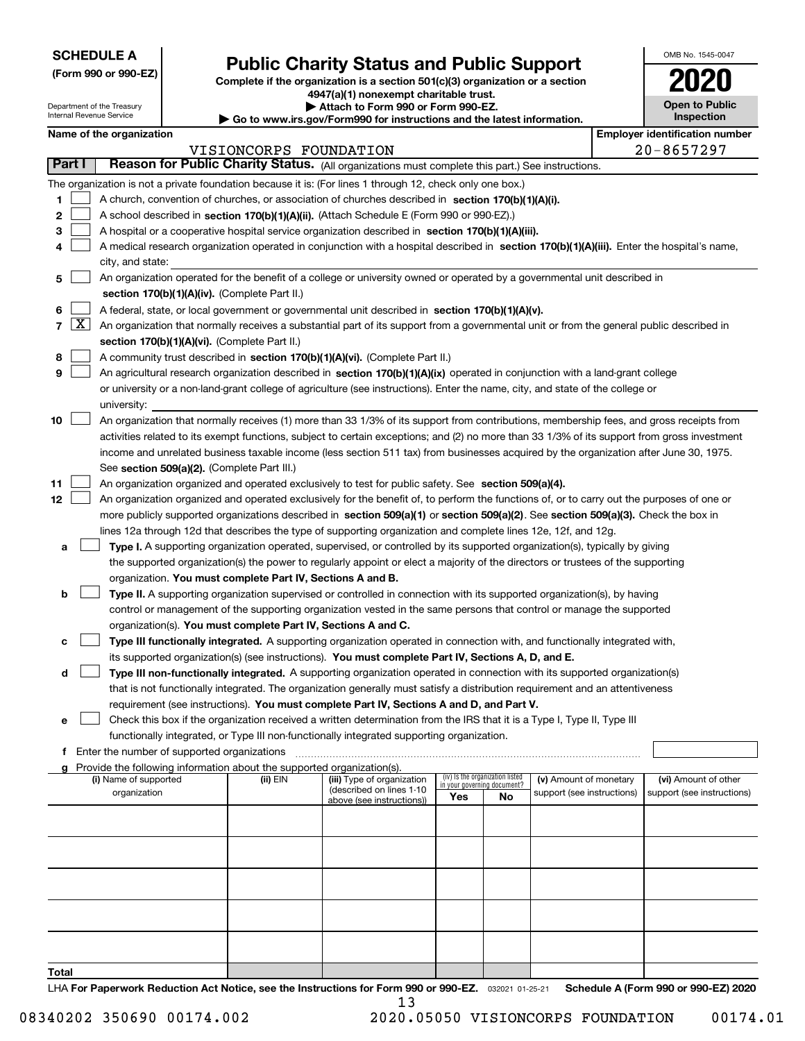| <b>SCHEDULE A</b> |
|-------------------|
|-------------------|

Department of the Treasury Internal Revenue Service

**(Form 990 or 990-EZ)**

## **Public Charity Status and Public Support**

**Complete if the organization is a section 501(c)(3) organization or a section 4947(a)(1) nonexempt charitable trust.**

**| Attach to Form 990 or Form 990-EZ.** 

**| Go to www.irs.gov/Form990 for instructions and the latest information.**

| OMB No 1545-0047                    |
|-------------------------------------|
| U20                                 |
| <b>Open to Public</b><br>Inspection |

|  | Name of the organization |
|--|--------------------------|
|--|--------------------------|

|        |            | Name of the organization                                                                                                                     |                        |                            |                                 |    |                                                      | <b>Employer identification number</b>              |  |
|--------|------------|----------------------------------------------------------------------------------------------------------------------------------------------|------------------------|----------------------------|---------------------------------|----|------------------------------------------------------|----------------------------------------------------|--|
| Part I |            |                                                                                                                                              | VISIONCORPS FOUNDATION |                            |                                 |    |                                                      | $20 - 8657297$                                     |  |
|        |            | Reason for Public Charity Status. (All organizations must complete this part.) See instructions.                                             |                        |                            |                                 |    |                                                      |                                                    |  |
|        |            | The organization is not a private foundation because it is: (For lines 1 through 12, check only one box.)                                    |                        |                            |                                 |    |                                                      |                                                    |  |
| 1.     |            | A church, convention of churches, or association of churches described in section 170(b)(1)(A)(i).                                           |                        |                            |                                 |    |                                                      |                                                    |  |
| 2      |            | A school described in section 170(b)(1)(A)(ii). (Attach Schedule E (Form 990 or 990-EZ).)                                                    |                        |                            |                                 |    |                                                      |                                                    |  |
| з      |            | A hospital or a cooperative hospital service organization described in section $170(b)(1)(A)(iii)$ .                                         |                        |                            |                                 |    |                                                      |                                                    |  |
| 4      |            | A medical research organization operated in conjunction with a hospital described in section 170(b)(1)(A)(iii). Enter the hospital's name,   |                        |                            |                                 |    |                                                      |                                                    |  |
|        |            | city, and state:                                                                                                                             |                        |                            |                                 |    |                                                      |                                                    |  |
| 5      |            | An organization operated for the benefit of a college or university owned or operated by a governmental unit described in                    |                        |                            |                                 |    |                                                      |                                                    |  |
|        |            | section 170(b)(1)(A)(iv). (Complete Part II.)                                                                                                |                        |                            |                                 |    |                                                      |                                                    |  |
| 6      |            | A federal, state, or local government or governmental unit described in section 170(b)(1)(A)(v).                                             |                        |                            |                                 |    |                                                      |                                                    |  |
|        | $7 \times$ | An organization that normally receives a substantial part of its support from a governmental unit or from the general public described in    |                        |                            |                                 |    |                                                      |                                                    |  |
|        |            | section 170(b)(1)(A)(vi). (Complete Part II.)                                                                                                |                        |                            |                                 |    |                                                      |                                                    |  |
| 8      |            | A community trust described in section 170(b)(1)(A)(vi). (Complete Part II.)                                                                 |                        |                            |                                 |    |                                                      |                                                    |  |
| 9      |            | An agricultural research organization described in section 170(b)(1)(A)(ix) operated in conjunction with a land-grant college                |                        |                            |                                 |    |                                                      |                                                    |  |
|        |            | or university or a non-land-grant college of agriculture (see instructions). Enter the name, city, and state of the college or               |                        |                            |                                 |    |                                                      |                                                    |  |
|        |            | university:                                                                                                                                  |                        |                            |                                 |    |                                                      |                                                    |  |
| 10     |            | An organization that normally receives (1) more than 33 1/3% of its support from contributions, membership fees, and gross receipts from     |                        |                            |                                 |    |                                                      |                                                    |  |
|        |            | activities related to its exempt functions, subject to certain exceptions; and (2) no more than 33 1/3% of its support from gross investment |                        |                            |                                 |    |                                                      |                                                    |  |
|        |            | income and unrelated business taxable income (less section 511 tax) from businesses acquired by the organization after June 30, 1975.        |                        |                            |                                 |    |                                                      |                                                    |  |
|        |            | See section 509(a)(2). (Complete Part III.)                                                                                                  |                        |                            |                                 |    |                                                      |                                                    |  |
| 11     |            | An organization organized and operated exclusively to test for public safety. See section 509(a)(4).                                         |                        |                            |                                 |    |                                                      |                                                    |  |
| 12     |            | An organization organized and operated exclusively for the benefit of, to perform the functions of, or to carry out the purposes of one or   |                        |                            |                                 |    |                                                      |                                                    |  |
|        |            | more publicly supported organizations described in section 509(a)(1) or section 509(a)(2). See section 509(a)(3). Check the box in           |                        |                            |                                 |    |                                                      |                                                    |  |
|        |            | lines 12a through 12d that describes the type of supporting organization and complete lines 12e, 12f, and 12g.                               |                        |                            |                                 |    |                                                      |                                                    |  |
| а      |            | Type I. A supporting organization operated, supervised, or controlled by its supported organization(s), typically by giving                  |                        |                            |                                 |    |                                                      |                                                    |  |
|        |            | the supported organization(s) the power to regularly appoint or elect a majority of the directors or trustees of the supporting              |                        |                            |                                 |    |                                                      |                                                    |  |
|        |            | organization. You must complete Part IV, Sections A and B.                                                                                   |                        |                            |                                 |    |                                                      |                                                    |  |
| b      |            | Type II. A supporting organization supervised or controlled in connection with its supported organization(s), by having                      |                        |                            |                                 |    |                                                      |                                                    |  |
|        |            | control or management of the supporting organization vested in the same persons that control or manage the supported                         |                        |                            |                                 |    |                                                      |                                                    |  |
|        |            | organization(s). You must complete Part IV, Sections A and C.                                                                                |                        |                            |                                 |    |                                                      |                                                    |  |
| с      |            | Type III functionally integrated. A supporting organization operated in connection with, and functionally integrated with,                   |                        |                            |                                 |    |                                                      |                                                    |  |
|        |            | its supported organization(s) (see instructions). You must complete Part IV, Sections A, D, and E.                                           |                        |                            |                                 |    |                                                      |                                                    |  |
| d      |            | Type III non-functionally integrated. A supporting organization operated in connection with its supported organization(s)                    |                        |                            |                                 |    |                                                      |                                                    |  |
|        |            | that is not functionally integrated. The organization generally must satisfy a distribution requirement and an attentiveness                 |                        |                            |                                 |    |                                                      |                                                    |  |
|        |            | requirement (see instructions). You must complete Part IV, Sections A and D, and Part V.                                                     |                        |                            |                                 |    |                                                      |                                                    |  |
|        |            | Check this box if the organization received a written determination from the IRS that it is a Type I, Type II, Type III                      |                        |                            |                                 |    |                                                      |                                                    |  |
|        |            | functionally integrated, or Type III non-functionally integrated supporting organization.                                                    |                        |                            |                                 |    |                                                      |                                                    |  |
|        |            | f Enter the number of supported organizations                                                                                                |                        |                            |                                 |    |                                                      |                                                    |  |
|        |            | g Provide the following information about the supported organization(s).<br>(i) Name of supported                                            | (ii) EIN               | (iii) Type of organization | (iv) Is the organization listed |    |                                                      |                                                    |  |
|        |            | organization                                                                                                                                 |                        | (described on lines 1-10   | in your governing document?     |    | (v) Amount of monetary<br>support (see instructions) | (vi) Amount of other<br>support (see instructions) |  |
|        |            |                                                                                                                                              |                        | above (see instructions))  | Yes                             | No |                                                      |                                                    |  |
|        |            |                                                                                                                                              |                        |                            |                                 |    |                                                      |                                                    |  |
|        |            |                                                                                                                                              |                        |                            |                                 |    |                                                      |                                                    |  |
|        |            |                                                                                                                                              |                        |                            |                                 |    |                                                      |                                                    |  |
|        |            |                                                                                                                                              |                        |                            |                                 |    |                                                      |                                                    |  |
|        |            |                                                                                                                                              |                        |                            |                                 |    |                                                      |                                                    |  |
|        |            |                                                                                                                                              |                        |                            |                                 |    |                                                      |                                                    |  |
|        |            |                                                                                                                                              |                        |                            |                                 |    |                                                      |                                                    |  |
|        |            |                                                                                                                                              |                        |                            |                                 |    |                                                      |                                                    |  |
| Total  |            |                                                                                                                                              |                        |                            |                                 |    |                                                      |                                                    |  |

LHA For Paperwork Reduction Act Notice, see the Instructions for Form 990 or 990-EZ. <sub>032021</sub> o1-25-21 Schedule A (Form 990 or 990-EZ) 2020 13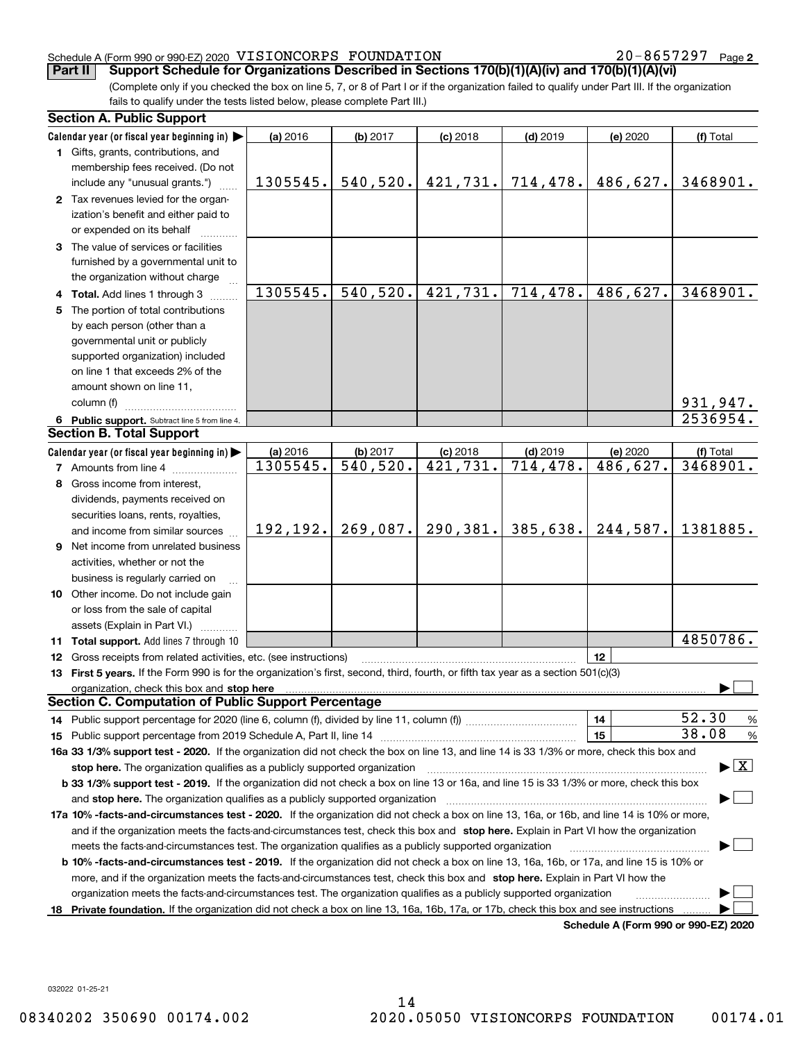**2**

(Complete only if you checked the box on line 5, 7, or 8 of Part I or if the organization failed to qualify under Part III. If the organization fails to qualify under the tests listed below, please complete Part III.) **Part II Support Schedule for Organizations Described in Sections 170(b)(1)(A)(iv) and 170(b)(1)(A)(vi)**

|    | <b>Section A. Public Support</b>                                                                                                               |           |                         |            |            |                                      |                                          |
|----|------------------------------------------------------------------------------------------------------------------------------------------------|-----------|-------------------------|------------|------------|--------------------------------------|------------------------------------------|
|    | Calendar year (or fiscal year beginning in) $\blacktriangleright$                                                                              | (a) 2016  | (b) 2017                | $(c)$ 2018 | $(d)$ 2019 | (e) 2020                             | (f) Total                                |
|    | <b>1</b> Gifts, grants, contributions, and                                                                                                     |           |                         |            |            |                                      |                                          |
|    | membership fees received. (Do not                                                                                                              |           |                         |            |            |                                      |                                          |
|    | include any "unusual grants.")                                                                                                                 | 1305545.  | 540, 520.               | 421,731.   | 714,478.   | 486,627.                             | 3468901.                                 |
|    | 2 Tax revenues levied for the organ-                                                                                                           |           |                         |            |            |                                      |                                          |
|    | ization's benefit and either paid to                                                                                                           |           |                         |            |            |                                      |                                          |
|    | or expended on its behalf                                                                                                                      |           |                         |            |            |                                      |                                          |
|    | 3 The value of services or facilities                                                                                                          |           |                         |            |            |                                      |                                          |
|    | furnished by a governmental unit to                                                                                                            |           |                         |            |            |                                      |                                          |
|    | the organization without charge                                                                                                                |           |                         |            |            |                                      |                                          |
|    | 4 Total. Add lines 1 through 3                                                                                                                 | 1305545.  | 540, 520.               | 421,731.   | 714,478.   | 486,627.                             | 3468901.                                 |
|    | 5 The portion of total contributions                                                                                                           |           |                         |            |            |                                      |                                          |
|    | by each person (other than a                                                                                                                   |           |                         |            |            |                                      |                                          |
|    | governmental unit or publicly                                                                                                                  |           |                         |            |            |                                      |                                          |
|    | supported organization) included                                                                                                               |           |                         |            |            |                                      |                                          |
|    | on line 1 that exceeds 2% of the                                                                                                               |           |                         |            |            |                                      |                                          |
|    | amount shown on line 11,                                                                                                                       |           |                         |            |            |                                      |                                          |
|    | column (f)                                                                                                                                     |           |                         |            |            |                                      | 931,947.                                 |
|    | 6 Public support. Subtract line 5 from line 4.                                                                                                 |           |                         |            |            |                                      | 2536954.                                 |
|    | <b>Section B. Total Support</b>                                                                                                                |           |                         |            |            |                                      |                                          |
|    | Calendar year (or fiscal year beginning in)                                                                                                    | (a) 2016  | (b) 2017                | $(c)$ 2018 | $(d)$ 2019 | (e) 2020                             | (f) Total                                |
|    | <b>7</b> Amounts from line 4                                                                                                                   | 1305545.  | $\overline{540}$ , 520. | 421,731.   | 714, 478.  | 486,627.                             | 3468901.                                 |
|    | 8 Gross income from interest,                                                                                                                  |           |                         |            |            |                                      |                                          |
|    | dividends, payments received on                                                                                                                |           |                         |            |            |                                      |                                          |
|    | securities loans, rents, royalties,                                                                                                            |           |                         |            |            |                                      |                                          |
|    | and income from similar sources                                                                                                                | 192, 192. | 269,087.                | 290,381.   | 385,638.   | 244,587.                             | 1381885.                                 |
|    | 9 Net income from unrelated business                                                                                                           |           |                         |            |            |                                      |                                          |
|    | activities, whether or not the                                                                                                                 |           |                         |            |            |                                      |                                          |
|    | business is regularly carried on                                                                                                               |           |                         |            |            |                                      |                                          |
|    | <b>10</b> Other income. Do not include gain                                                                                                    |           |                         |            |            |                                      |                                          |
|    | or loss from the sale of capital                                                                                                               |           |                         |            |            |                                      |                                          |
|    | assets (Explain in Part VI.)                                                                                                                   |           |                         |            |            |                                      |                                          |
|    | <b>11 Total support.</b> Add lines 7 through 10                                                                                                |           |                         |            |            |                                      | 4850786.                                 |
|    | <b>12</b> Gross receipts from related activities, etc. (see instructions)                                                                      |           |                         |            |            | 12                                   |                                          |
|    | 13 First 5 years. If the Form 990 is for the organization's first, second, third, fourth, or fifth tax year as a section 501(c)(3)             |           |                         |            |            |                                      |                                          |
|    | organization, check this box and stop here                                                                                                     |           |                         |            |            |                                      |                                          |
|    | <b>Section C. Computation of Public Support Percentage</b>                                                                                     |           |                         |            |            |                                      |                                          |
|    |                                                                                                                                                |           |                         |            |            | 14                                   | 52.30<br>%                               |
|    |                                                                                                                                                |           |                         |            |            | 15                                   | 38.08<br>$\%$                            |
|    | 16a 33 1/3% support test - 2020. If the organization did not check the box on line 13, and line 14 is 33 1/3% or more, check this box and      |           |                         |            |            |                                      |                                          |
|    | stop here. The organization qualifies as a publicly supported organization                                                                     |           |                         |            |            |                                      | $\blacktriangleright$ $\boxed{\text{X}}$ |
|    | b 33 1/3% support test - 2019. If the organization did not check a box on line 13 or 16a, and line 15 is 33 1/3% or more, check this box       |           |                         |            |            |                                      |                                          |
|    | and stop here. The organization qualifies as a publicly supported organization                                                                 |           |                         |            |            |                                      |                                          |
|    | 17a 10% -facts-and-circumstances test - 2020. If the organization did not check a box on line 13, 16a, or 16b, and line 14 is 10% or more,     |           |                         |            |            |                                      |                                          |
|    | and if the organization meets the facts-and-circumstances test, check this box and stop here. Explain in Part VI how the organization          |           |                         |            |            |                                      |                                          |
|    | meets the facts-and-circumstances test. The organization qualifies as a publicly supported organization                                        |           |                         |            |            |                                      |                                          |
|    | <b>b 10% -facts-and-circumstances test - 2019.</b> If the organization did not check a box on line 13, 16a, 16b, or 17a, and line 15 is 10% or |           |                         |            |            |                                      |                                          |
|    | more, and if the organization meets the facts-and-circumstances test, check this box and stop here. Explain in Part VI how the                 |           |                         |            |            |                                      |                                          |
|    | organization meets the facts-and-circumstances test. The organization qualifies as a publicly supported organization                           |           |                         |            |            |                                      |                                          |
| 18 | Private foundation. If the organization did not check a box on line 13, 16a, 16b, 17a, or 17b, check this box and see instructions             |           |                         |            |            |                                      |                                          |
|    |                                                                                                                                                |           |                         |            |            | Schedule A (Form 990 or 990-EZ) 2020 |                                          |

**Schedule A (Form 990 or 990-EZ) 2020**

032022 01-25-21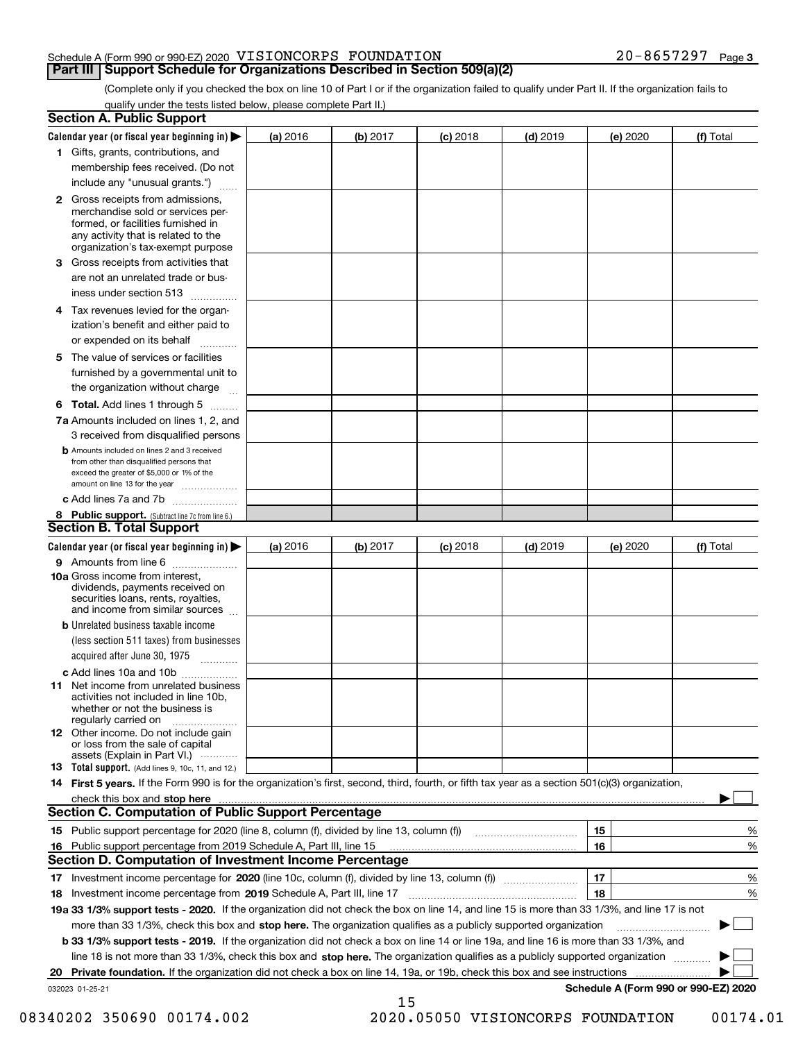(Complete only if you checked the box on line 10 of Part I or if the organization failed to qualify under Part II. If the organization fails to qualify under the tests listed below, please complete Part II.)

|    | <b>Section A. Public Support</b>                                                                                                                                                                                                    |          |          |                 |            |          |                                      |
|----|-------------------------------------------------------------------------------------------------------------------------------------------------------------------------------------------------------------------------------------|----------|----------|-----------------|------------|----------|--------------------------------------|
|    | Calendar year (or fiscal year beginning in) $\blacktriangleright$                                                                                                                                                                   | (a) 2016 | (b) 2017 | <b>(c)</b> 2018 | $(d)$ 2019 | (e) 2020 | (f) Total                            |
|    | 1 Gifts, grants, contributions, and                                                                                                                                                                                                 |          |          |                 |            |          |                                      |
|    | membership fees received. (Do not                                                                                                                                                                                                   |          |          |                 |            |          |                                      |
|    | include any "unusual grants.")                                                                                                                                                                                                      |          |          |                 |            |          |                                      |
|    | <b>2</b> Gross receipts from admissions,<br>merchandise sold or services per-<br>formed, or facilities furnished in<br>any activity that is related to the<br>organization's tax-exempt purpose                                     |          |          |                 |            |          |                                      |
|    | 3 Gross receipts from activities that<br>are not an unrelated trade or bus-                                                                                                                                                         |          |          |                 |            |          |                                      |
|    | iness under section 513                                                                                                                                                                                                             |          |          |                 |            |          |                                      |
|    | 4 Tax revenues levied for the organ-<br>ization's benefit and either paid to<br>or expended on its behalf<br>.                                                                                                                      |          |          |                 |            |          |                                      |
|    | 5 The value of services or facilities<br>furnished by a governmental unit to                                                                                                                                                        |          |          |                 |            |          |                                      |
|    | the organization without charge                                                                                                                                                                                                     |          |          |                 |            |          |                                      |
|    | <b>6 Total.</b> Add lines 1 through 5                                                                                                                                                                                               |          |          |                 |            |          |                                      |
|    | 7a Amounts included on lines 1, 2, and<br>3 received from disqualified persons                                                                                                                                                      |          |          |                 |            |          |                                      |
|    | <b>b</b> Amounts included on lines 2 and 3 received<br>from other than disqualified persons that<br>exceed the greater of \$5,000 or 1% of the<br>amount on line 13 for the year                                                    |          |          |                 |            |          |                                      |
|    | c Add lines 7a and 7b                                                                                                                                                                                                               |          |          |                 |            |          |                                      |
|    | 8 Public support. (Subtract line 7c from line 6.)                                                                                                                                                                                   |          |          |                 |            |          |                                      |
|    | <b>Section B. Total Support</b>                                                                                                                                                                                                     |          |          |                 |            |          |                                      |
|    | Calendar year (or fiscal year beginning in)                                                                                                                                                                                         | (a) 2016 | (b) 2017 | <b>(c)</b> 2018 | $(d)$ 2019 | (e) 2020 | (f) Total                            |
|    | 9 Amounts from line 6<br><b>10a</b> Gross income from interest,<br>dividends, payments received on<br>securities loans, rents, royalties,<br>and income from similar sources                                                        |          |          |                 |            |          |                                      |
|    | <b>b</b> Unrelated business taxable income<br>(less section 511 taxes) from businesses<br>acquired after June 30, 1975                                                                                                              |          |          |                 |            |          |                                      |
|    | c Add lines 10a and 10b                                                                                                                                                                                                             |          |          |                 |            |          |                                      |
|    | 11 Net income from unrelated business<br>activities not included in line 10b,<br>whether or not the business is<br>regularly carried on                                                                                             |          |          |                 |            |          |                                      |
|    | <b>12</b> Other income. Do not include gain<br>or loss from the sale of capital<br>assets (Explain in Part VI.)                                                                                                                     |          |          |                 |            |          |                                      |
|    | 13 Total support. (Add lines 9, 10c, 11, and 12.)                                                                                                                                                                                   |          |          |                 |            |          |                                      |
|    | 14 First 5 years. If the Form 990 is for the organization's first, second, third, fourth, or fifth tax year as a section 501(c)(3) organization,                                                                                    |          |          |                 |            |          |                                      |
|    | check this box and stop here <b>contractly constructed</b> the state of the state of the state of the state of the state of the state of the state of the state of the state of the state of the state of the state of the state of |          |          |                 |            |          |                                      |
|    | <b>Section C. Computation of Public Support Percentage</b>                                                                                                                                                                          |          |          |                 |            |          |                                      |
|    |                                                                                                                                                                                                                                     |          |          |                 |            | 15       | %                                    |
|    | 16 Public support percentage from 2019 Schedule A, Part III, line 15<br><b>Section D. Computation of Investment Income Percentage</b>                                                                                               |          |          |                 |            | 16       | %                                    |
|    |                                                                                                                                                                                                                                     |          |          |                 |            |          |                                      |
| 17 | Investment income percentage from 2019 Schedule A, Part III, line 17                                                                                                                                                                |          |          |                 |            | 17<br>18 | $\%$<br>%                            |
| 18 | 19a 33 1/3% support tests - 2020. If the organization did not check the box on line 14, and line 15 is more than 33 1/3%, and line 17 is not                                                                                        |          |          |                 |            |          |                                      |
|    | more than 33 1/3%, check this box and stop here. The organization qualifies as a publicly supported organization                                                                                                                    |          |          |                 |            |          | ▶                                    |
|    | b 33 1/3% support tests - 2019. If the organization did not check a box on line 14 or line 19a, and line 16 is more than 33 1/3%, and                                                                                               |          |          |                 |            |          |                                      |
|    | line 18 is not more than 33 1/3%, check this box and stop here. The organization qualifies as a publicly supported organization                                                                                                     |          |          |                 |            |          |                                      |
| 20 | Private foundation. If the organization did not check a box on line 14, 19a, or 19b, check this box and see instructions                                                                                                            |          |          |                 |            |          |                                      |
|    | 032023 01-25-21                                                                                                                                                                                                                     |          |          |                 |            |          | Schedule A (Form 990 or 990-EZ) 2020 |
|    |                                                                                                                                                                                                                                     |          | 15       |                 |            |          |                                      |

 <sup>08340202 350690 00174.002 2020.05050</sup> VISIONCORPS FOUNDATION 00174.01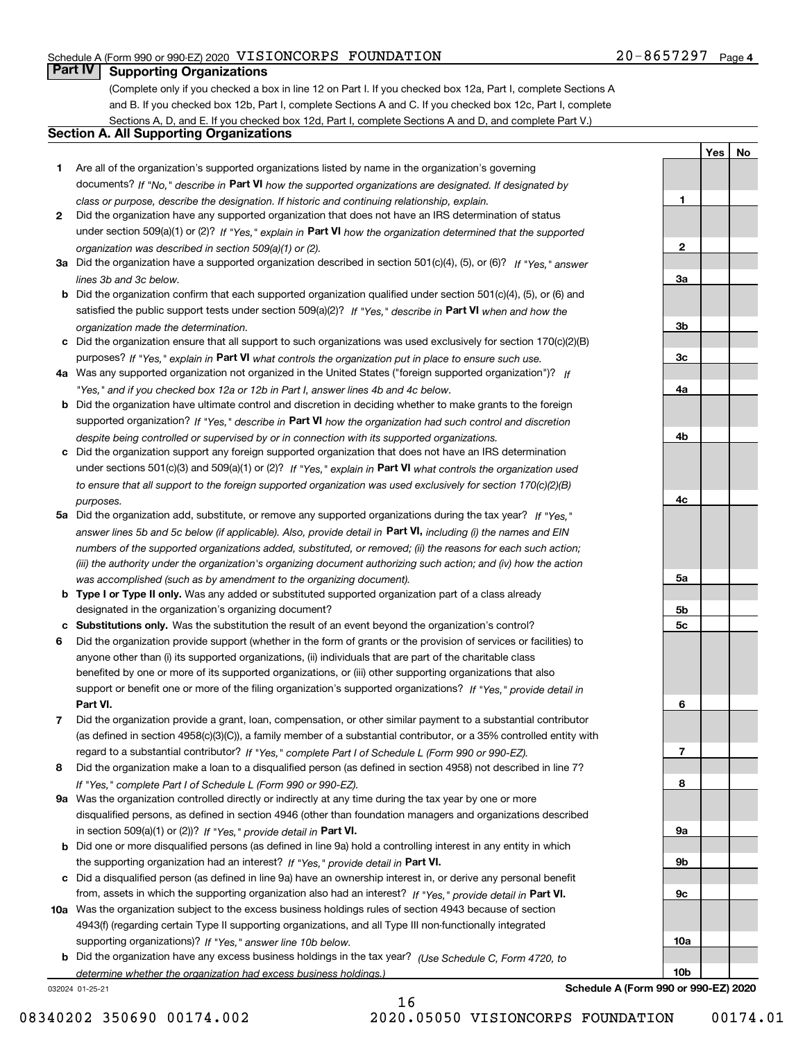**1**

**2**

**3a**

**3b**

**3c**

**4a**

**4b**

**4c**

**5a**

**5b5c**

**6**

**7**

**8**

**9a**

**9b**

**9c**

**10a**

**10b**

**YesNo**

### **Part IV Supporting Organizations**

(Complete only if you checked a box in line 12 on Part I. If you checked box 12a, Part I, complete Sections A and B. If you checked box 12b, Part I, complete Sections A and C. If you checked box 12c, Part I, complete Sections A, D, and E. If you checked box 12d, Part I, complete Sections A and D, and complete Part V.)

#### **Section A. All Supporting Organizations**

- **1** Are all of the organization's supported organizations listed by name in the organization's governing documents? If "No," describe in **Part VI** how the supported organizations are designated. If designated by *class or purpose, describe the designation. If historic and continuing relationship, explain.*
- **2** Did the organization have any supported organization that does not have an IRS determination of status under section 509(a)(1) or (2)? If "Yes," explain in Part VI how the organization determined that the supported *organization was described in section 509(a)(1) or (2).*
- **3a** Did the organization have a supported organization described in section 501(c)(4), (5), or (6)? If "Yes," answer *lines 3b and 3c below.*
- **b** Did the organization confirm that each supported organization qualified under section 501(c)(4), (5), or (6) and satisfied the public support tests under section 509(a)(2)? If "Yes," describe in **Part VI** when and how the *organization made the determination.*
- **c**Did the organization ensure that all support to such organizations was used exclusively for section 170(c)(2)(B) purposes? If "Yes," explain in **Part VI** what controls the organization put in place to ensure such use.
- **4a***If* Was any supported organization not organized in the United States ("foreign supported organization")? *"Yes," and if you checked box 12a or 12b in Part I, answer lines 4b and 4c below.*
- **b** Did the organization have ultimate control and discretion in deciding whether to make grants to the foreign supported organization? If "Yes," describe in **Part VI** how the organization had such control and discretion *despite being controlled or supervised by or in connection with its supported organizations.*
- **c** Did the organization support any foreign supported organization that does not have an IRS determination under sections 501(c)(3) and 509(a)(1) or (2)? If "Yes," explain in **Part VI** what controls the organization used *to ensure that all support to the foreign supported organization was used exclusively for section 170(c)(2)(B) purposes.*
- **5a** Did the organization add, substitute, or remove any supported organizations during the tax year? If "Yes," answer lines 5b and 5c below (if applicable). Also, provide detail in **Part VI,** including (i) the names and EIN *numbers of the supported organizations added, substituted, or removed; (ii) the reasons for each such action; (iii) the authority under the organization's organizing document authorizing such action; and (iv) how the action was accomplished (such as by amendment to the organizing document).*
- **b** Type I or Type II only. Was any added or substituted supported organization part of a class already designated in the organization's organizing document?
- **cSubstitutions only.**  Was the substitution the result of an event beyond the organization's control?
- **6** Did the organization provide support (whether in the form of grants or the provision of services or facilities) to **Part VI.** *If "Yes," provide detail in* support or benefit one or more of the filing organization's supported organizations? anyone other than (i) its supported organizations, (ii) individuals that are part of the charitable class benefited by one or more of its supported organizations, or (iii) other supporting organizations that also
- **7**Did the organization provide a grant, loan, compensation, or other similar payment to a substantial contributor *If "Yes," complete Part I of Schedule L (Form 990 or 990-EZ).* regard to a substantial contributor? (as defined in section 4958(c)(3)(C)), a family member of a substantial contributor, or a 35% controlled entity with
- **8** Did the organization make a loan to a disqualified person (as defined in section 4958) not described in line 7? *If "Yes," complete Part I of Schedule L (Form 990 or 990-EZ).*
- **9a** Was the organization controlled directly or indirectly at any time during the tax year by one or more in section 509(a)(1) or (2))? If "Yes," *provide detail in* <code>Part VI.</code> disqualified persons, as defined in section 4946 (other than foundation managers and organizations described
- **b** Did one or more disqualified persons (as defined in line 9a) hold a controlling interest in any entity in which the supporting organization had an interest? If "Yes," provide detail in P**art VI**.
- **c**Did a disqualified person (as defined in line 9a) have an ownership interest in, or derive any personal benefit from, assets in which the supporting organization also had an interest? If "Yes," provide detail in P**art VI.**
- **10a** Was the organization subject to the excess business holdings rules of section 4943 because of section supporting organizations)? If "Yes," answer line 10b below. 4943(f) (regarding certain Type II supporting organizations, and all Type III non-functionally integrated
- **b** Did the organization have any excess business holdings in the tax year? (Use Schedule C, Form 4720, to *determine whether the organization had excess business holdings.)*

16

032024 01-25-21

**Schedule A (Form 990 or 990-EZ) 2020**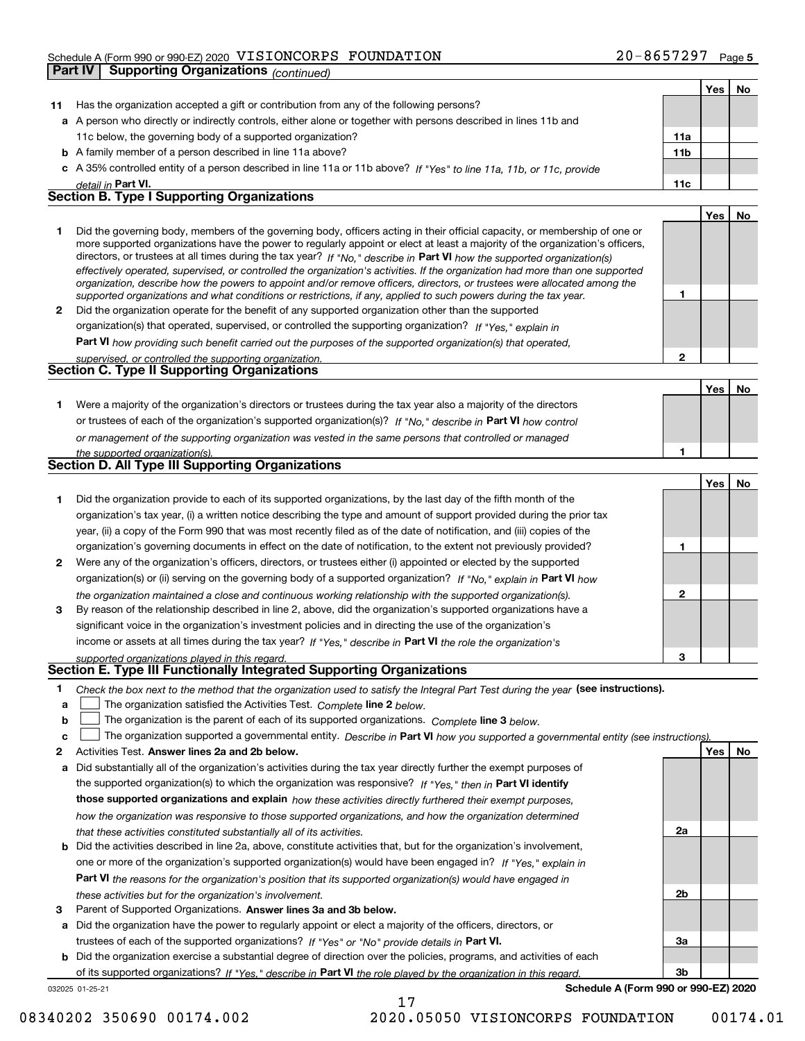#### Schedule A (Form 990 or 990-EZ) 2020 Page VISIONCORPS FOUNDATION 20-8657297 **Part IV Supporting Organizations** *(continued)*

|    | Part IV<br>Supporting Organizations (continued)                                                                                                                                                                                                             |     |     |    |
|----|-------------------------------------------------------------------------------------------------------------------------------------------------------------------------------------------------------------------------------------------------------------|-----|-----|----|
|    |                                                                                                                                                                                                                                                             |     | Yes | No |
| 11 | Has the organization accepted a gift or contribution from any of the following persons?                                                                                                                                                                     |     |     |    |
|    | a A person who directly or indirectly controls, either alone or together with persons described in lines 11b and                                                                                                                                            |     |     |    |
|    | 11c below, the governing body of a supported organization?                                                                                                                                                                                                  | 11a |     |    |
|    | <b>b</b> A family member of a person described in line 11a above?                                                                                                                                                                                           | 11b |     |    |
|    | c A 35% controlled entity of a person described in line 11a or 11b above? If "Yes" to line 11a, 11b, or 11c, provide                                                                                                                                        |     |     |    |
|    | detail in Part VI.                                                                                                                                                                                                                                          | 11c |     |    |
|    | <b>Section B. Type I Supporting Organizations</b>                                                                                                                                                                                                           |     |     |    |
|    |                                                                                                                                                                                                                                                             |     | Yes | No |
| 1  | Did the governing body, members of the governing body, officers acting in their official capacity, or membership of one or<br>more supported organizations have the power to regularly appoint or elect at least a majority of the organization's officers, |     |     |    |
|    | directors, or trustees at all times during the tax year? If "No," describe in Part VI how the supported organization(s)                                                                                                                                     |     |     |    |
|    | effectively operated, supervised, or controlled the organization's activities. If the organization had more than one supported                                                                                                                              |     |     |    |
|    | organization, describe how the powers to appoint and/or remove officers, directors, or trustees were allocated among the                                                                                                                                    |     |     |    |
|    | supported organizations and what conditions or restrictions, if any, applied to such powers during the tax year.                                                                                                                                            | 1   |     |    |
| 2  | Did the organization operate for the benefit of any supported organization other than the supported                                                                                                                                                         |     |     |    |
|    | organization(s) that operated, supervised, or controlled the supporting organization? If "Yes," explain in                                                                                                                                                  |     |     |    |
|    | Part VI how providing such benefit carried out the purposes of the supported organization(s) that operated,                                                                                                                                                 |     |     |    |
|    | supervised, or controlled the supporting organization.<br>Section C. Type II Supporting Organizations                                                                                                                                                       | 2   |     |    |
|    |                                                                                                                                                                                                                                                             |     |     |    |
|    |                                                                                                                                                                                                                                                             |     | Yes | No |
| 1. | Were a majority of the organization's directors or trustees during the tax year also a majority of the directors<br>or trustees of each of the organization's supported organization(s)? If "No," describe in Part VI how control                           |     |     |    |
|    |                                                                                                                                                                                                                                                             |     |     |    |
|    | or management of the supporting organization was vested in the same persons that controlled or managed                                                                                                                                                      | 1   |     |    |
|    | the supported organization(s).<br>Section D. All Type III Supporting Organizations                                                                                                                                                                          |     |     |    |
|    |                                                                                                                                                                                                                                                             |     | Yes | No |
| 1  | Did the organization provide to each of its supported organizations, by the last day of the fifth month of the                                                                                                                                              |     |     |    |
|    | organization's tax year, (i) a written notice describing the type and amount of support provided during the prior tax                                                                                                                                       |     |     |    |
|    | year, (ii) a copy of the Form 990 that was most recently filed as of the date of notification, and (iii) copies of the                                                                                                                                      |     |     |    |
|    | organization's governing documents in effect on the date of notification, to the extent not previously provided?                                                                                                                                            | 1   |     |    |
| 2  | Were any of the organization's officers, directors, or trustees either (i) appointed or elected by the supported                                                                                                                                            |     |     |    |
|    |                                                                                                                                                                                                                                                             |     |     |    |
|    | organization(s) or (ii) serving on the governing body of a supported organization? If "No," explain in Part VI how                                                                                                                                          | 2   |     |    |
| 3  | the organization maintained a close and continuous working relationship with the supported organization(s).<br>By reason of the relationship described in line 2, above, did the organization's supported organizations have a                              |     |     |    |
|    | significant voice in the organization's investment policies and in directing the use of the organization's                                                                                                                                                  |     |     |    |
|    | income or assets at all times during the tax year? If "Yes," describe in Part VI the role the organization's                                                                                                                                                |     |     |    |
|    | supported organizations played in this regard.                                                                                                                                                                                                              | з   |     |    |
|    | Section E. Type III Functionally Integrated Supporting Organizations                                                                                                                                                                                        |     |     |    |
| 1. | Check the box next to the method that the organization used to satisfy the Integral Part Test during the year (see instructions).                                                                                                                           |     |     |    |
| a  | The organization satisfied the Activities Test. Complete line 2 below.                                                                                                                                                                                      |     |     |    |
| b  | The organization is the parent of each of its supported organizations. Complete line 3 below.                                                                                                                                                               |     |     |    |
| c  | The organization supported a governmental entity. Describe in Part VI how you supported a governmental entity (see instructions)                                                                                                                            |     |     |    |
| 2  | Activities Test. Answer lines 2a and 2b below.                                                                                                                                                                                                              |     | Yes | No |
| а  | Did substantially all of the organization's activities during the tax year directly further the exempt purposes of                                                                                                                                          |     |     |    |
|    | the supported organization(s) to which the organization was responsive? If "Yes." then in Part VI identify                                                                                                                                                  |     |     |    |
|    | those supported organizations and explain how these activities directly furthered their exempt purposes,                                                                                                                                                    |     |     |    |
|    | how the organization was responsive to those supported organizations, and how the organization determined                                                                                                                                                   |     |     |    |
|    | that these activities constituted substantially all of its activities.                                                                                                                                                                                      | 2a  |     |    |
| b  | Did the activities described in line 2a, above, constitute activities that, but for the organization's involvement,                                                                                                                                         |     |     |    |
|    | one or more of the organization's supported organization(s) would have been engaged in? If "Yes," explain in                                                                                                                                                |     |     |    |
|    | Part VI the reasons for the organization's position that its supported organization(s) would have engaged in                                                                                                                                                |     |     |    |
|    |                                                                                                                                                                                                                                                             |     |     |    |

- *these activities but for the organization's involvement.*
- **3** Parent of Supported Organizations. Answer lines 3a and 3b below.

**a** Did the organization have the power to regularly appoint or elect a majority of the officers, directors, or trustees of each of the supported organizations? If "Yes" or "No" provide details in **Part VI.** 

032025 01-25-21 **b** Did the organization exercise a substantial degree of direction over the policies, programs, and activities of each of its supported organizations? If "Yes," describe in Part VI the role played by the organization in this regard.

17

**Schedule A (Form 990 or 990-EZ) 2020**

**2b**

**3a**

**3b**

08340202 350690 00174.002 2020.05050 VISIONCORPS FOUNDATION 00174.01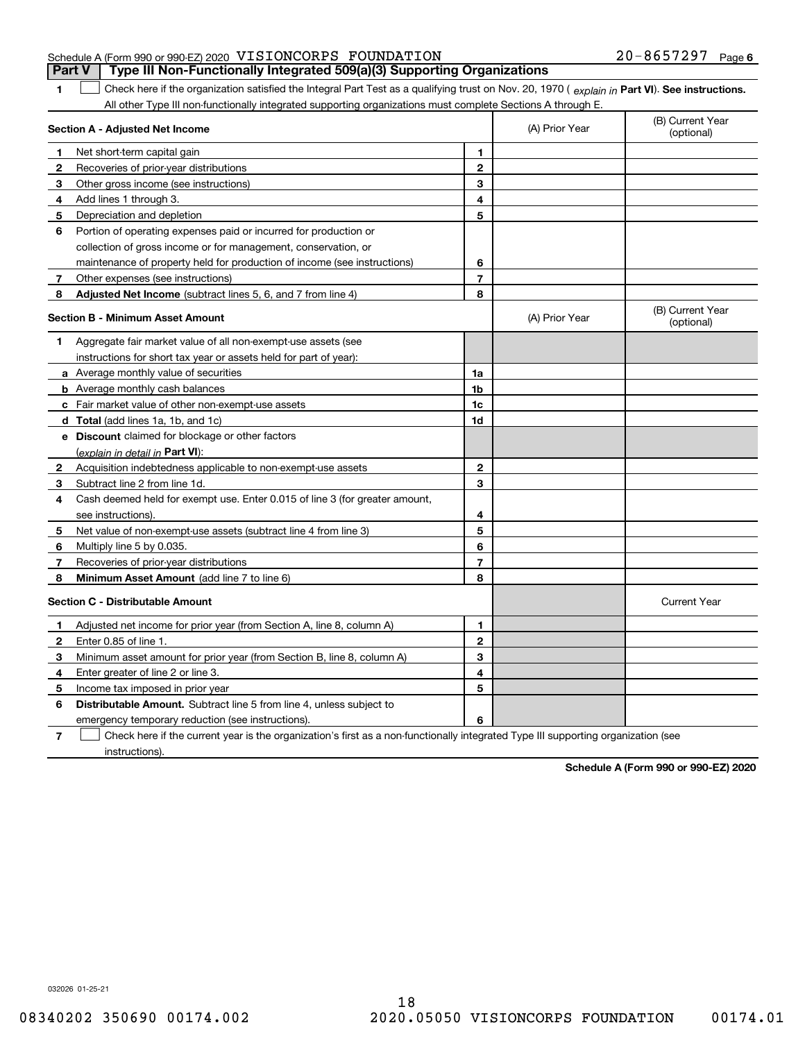#### Schedule A (Form 990 or 990-EZ) 2020 Page VISIONCORPS FOUNDATION 20-8657297 **Part V Type III Non-Functionally Integrated 509(a)(3) Supporting Organizations**

1 Check here if the organization satisfied the Integral Part Test as a qualifying trust on Nov. 20, 1970 (explain in Part VI). See instructions. All other Type III non-functionally integrated supporting organizations must complete Sections A through E.

|              | Section A - Adjusted Net Income                                                                                                   |                | (A) Prior Year | (B) Current Year<br>(optional) |
|--------------|-----------------------------------------------------------------------------------------------------------------------------------|----------------|----------------|--------------------------------|
| 1            | Net short-term capital gain                                                                                                       | 1              |                |                                |
| 2            | Recoveries of prior-year distributions                                                                                            | $\overline{2}$ |                |                                |
| 3            | Other gross income (see instructions)                                                                                             | 3              |                |                                |
| 4            | Add lines 1 through 3.                                                                                                            | 4              |                |                                |
| 5            | Depreciation and depletion                                                                                                        | 5              |                |                                |
| 6            | Portion of operating expenses paid or incurred for production or                                                                  |                |                |                                |
|              | collection of gross income or for management, conservation, or                                                                    |                |                |                                |
|              | maintenance of property held for production of income (see instructions)                                                          | 6              |                |                                |
| 7            | Other expenses (see instructions)                                                                                                 | $\overline{7}$ |                |                                |
| 8            | <b>Adjusted Net Income</b> (subtract lines 5, 6, and 7 from line 4)                                                               | 8              |                |                                |
|              | <b>Section B - Minimum Asset Amount</b>                                                                                           |                | (A) Prior Year | (B) Current Year<br>(optional) |
| 1            | Aggregate fair market value of all non-exempt-use assets (see                                                                     |                |                |                                |
|              | instructions for short tax year or assets held for part of year):                                                                 |                |                |                                |
|              | <b>a</b> Average monthly value of securities                                                                                      | 1a             |                |                                |
|              | <b>b</b> Average monthly cash balances                                                                                            | 1b             |                |                                |
|              | c Fair market value of other non-exempt-use assets                                                                                | 1c             |                |                                |
|              | d Total (add lines 1a, 1b, and 1c)                                                                                                | 1d             |                |                                |
|              | e Discount claimed for blockage or other factors                                                                                  |                |                |                                |
|              | (explain in detail in Part VI):                                                                                                   |                |                |                                |
| $\mathbf{2}$ | Acquisition indebtedness applicable to non-exempt-use assets                                                                      | 2              |                |                                |
| 3            | Subtract line 2 from line 1d.                                                                                                     | 3              |                |                                |
| 4            | Cash deemed held for exempt use. Enter 0.015 of line 3 (for greater amount,                                                       |                |                |                                |
|              | see instructions)                                                                                                                 | 4              |                |                                |
| 5            | Net value of non-exempt-use assets (subtract line 4 from line 3)                                                                  | 5              |                |                                |
| 6            | Multiply line 5 by 0.035.                                                                                                         | 6              |                |                                |
| 7            | Recoveries of prior-year distributions                                                                                            | $\overline{7}$ |                |                                |
| 8            | Minimum Asset Amount (add line 7 to line 6)                                                                                       | 8              |                |                                |
|              | <b>Section C - Distributable Amount</b>                                                                                           |                |                | <b>Current Year</b>            |
| 1            | Adjusted net income for prior year (from Section A, line 8, column A)                                                             | 1              |                |                                |
| 2            | Enter 0.85 of line 1.                                                                                                             | $\overline{2}$ |                |                                |
| з            | Minimum asset amount for prior year (from Section B, line 8, column A)                                                            | 3              |                |                                |
| 4            | Enter greater of line 2 or line 3.                                                                                                | 4              |                |                                |
| 5            | Income tax imposed in prior year                                                                                                  | 5              |                |                                |
| 6            | <b>Distributable Amount.</b> Subtract line 5 from line 4, unless subject to                                                       |                |                |                                |
|              | emergency temporary reduction (see instructions).                                                                                 | 6              |                |                                |
| 7            | Check here if the current year is the organization's first as a non-functionally integrated Type III supporting organization (see |                |                |                                |

instructions).

**1**

**Schedule A (Form 990 or 990-EZ) 2020**

032026 01-25-21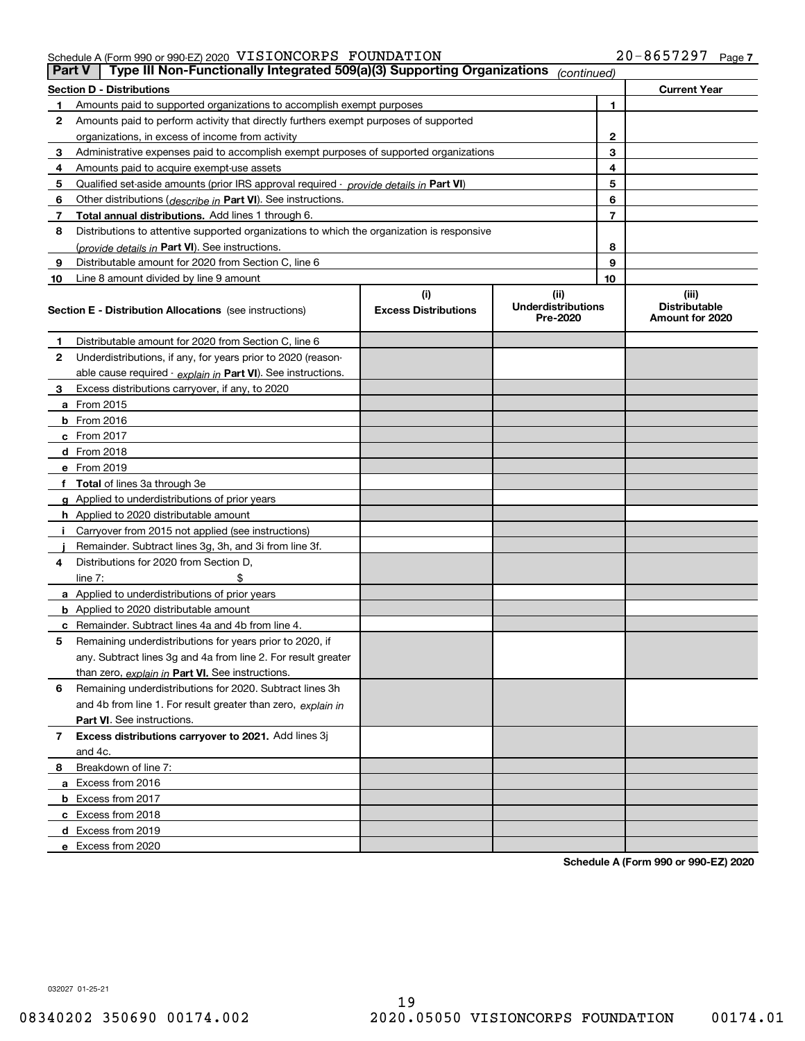| <b>Part V</b>  | Type III Non-Functionally Integrated 509(a)(3) Supporting Organizations                    |                                    | (continued)                                   |                                                  |
|----------------|--------------------------------------------------------------------------------------------|------------------------------------|-----------------------------------------------|--------------------------------------------------|
|                | <b>Section D - Distributions</b>                                                           |                                    |                                               | <b>Current Year</b>                              |
| 1              | Amounts paid to supported organizations to accomplish exempt purposes                      |                                    | 1                                             |                                                  |
| 2              | Amounts paid to perform activity that directly furthers exempt purposes of supported       |                                    |                                               |                                                  |
|                | organizations, in excess of income from activity                                           | 2                                  |                                               |                                                  |
| 3              | Administrative expenses paid to accomplish exempt purposes of supported organizations      |                                    | 3                                             |                                                  |
| 4              | Amounts paid to acquire exempt-use assets                                                  |                                    | 4                                             |                                                  |
| 5              | Qualified set aside amounts (prior IRS approval required - provide details in Part VI)     |                                    | 5                                             |                                                  |
| 6              | Other distributions ( <i>describe in</i> Part VI). See instructions.                       |                                    | 6                                             |                                                  |
| 7              | Total annual distributions. Add lines 1 through 6.                                         |                                    | 7                                             |                                                  |
| 8              | Distributions to attentive supported organizations to which the organization is responsive |                                    |                                               |                                                  |
|                | (provide details in Part VI). See instructions.                                            |                                    | 8                                             |                                                  |
| 9              | Distributable amount for 2020 from Section C, line 6                                       |                                    | 9                                             |                                                  |
| 10             | Line 8 amount divided by line 9 amount                                                     |                                    | 10                                            |                                                  |
|                | <b>Section E - Distribution Allocations</b> (see instructions)                             | (i)<br><b>Excess Distributions</b> | (ii)<br><b>Underdistributions</b><br>Pre-2020 | (iii)<br><b>Distributable</b><br>Amount for 2020 |
| 1              | Distributable amount for 2020 from Section C, line 6                                       |                                    |                                               |                                                  |
| $\mathbf{2}$   | Underdistributions, if any, for years prior to 2020 (reason-                               |                                    |                                               |                                                  |
|                | able cause required - explain in Part VI). See instructions.                               |                                    |                                               |                                                  |
| 3              | Excess distributions carryover, if any, to 2020                                            |                                    |                                               |                                                  |
|                | a From 2015                                                                                |                                    |                                               |                                                  |
|                | $b$ From 2016                                                                              |                                    |                                               |                                                  |
|                | c From 2017                                                                                |                                    |                                               |                                                  |
|                | <b>d</b> From 2018                                                                         |                                    |                                               |                                                  |
|                | e From 2019                                                                                |                                    |                                               |                                                  |
|                | f Total of lines 3a through 3e                                                             |                                    |                                               |                                                  |
|                | g Applied to underdistributions of prior years                                             |                                    |                                               |                                                  |
|                | <b>h</b> Applied to 2020 distributable amount                                              |                                    |                                               |                                                  |
|                | Carryover from 2015 not applied (see instructions)                                         |                                    |                                               |                                                  |
|                | Remainder. Subtract lines 3g, 3h, and 3i from line 3f.                                     |                                    |                                               |                                                  |
| 4              | Distributions for 2020 from Section D,                                                     |                                    |                                               |                                                  |
|                | line $7:$                                                                                  |                                    |                                               |                                                  |
|                | a Applied to underdistributions of prior years                                             |                                    |                                               |                                                  |
|                | <b>b</b> Applied to 2020 distributable amount                                              |                                    |                                               |                                                  |
|                | c Remainder. Subtract lines 4a and 4b from line 4.                                         |                                    |                                               |                                                  |
| 5              | Remaining underdistributions for years prior to 2020, if                                   |                                    |                                               |                                                  |
|                | any. Subtract lines 3g and 4a from line 2. For result greater                              |                                    |                                               |                                                  |
|                | than zero, explain in Part VI. See instructions.                                           |                                    |                                               |                                                  |
| 6              | Remaining underdistributions for 2020. Subtract lines 3h                                   |                                    |                                               |                                                  |
|                | and 4b from line 1. For result greater than zero, explain in                               |                                    |                                               |                                                  |
|                | <b>Part VI.</b> See instructions.                                                          |                                    |                                               |                                                  |
| $\overline{7}$ | Excess distributions carryover to 2021. Add lines 3j                                       |                                    |                                               |                                                  |
|                | and 4c.                                                                                    |                                    |                                               |                                                  |
| 8              | Breakdown of line 7:                                                                       |                                    |                                               |                                                  |
|                | a Excess from 2016                                                                         |                                    |                                               |                                                  |
|                | <b>b</b> Excess from 2017                                                                  |                                    |                                               |                                                  |
|                | c Excess from 2018                                                                         |                                    |                                               |                                                  |
|                | d Excess from 2019                                                                         |                                    |                                               |                                                  |
|                | e Excess from 2020                                                                         |                                    |                                               |                                                  |

**Schedule A (Form 990 or 990-EZ) 2020**

032027 01-25-21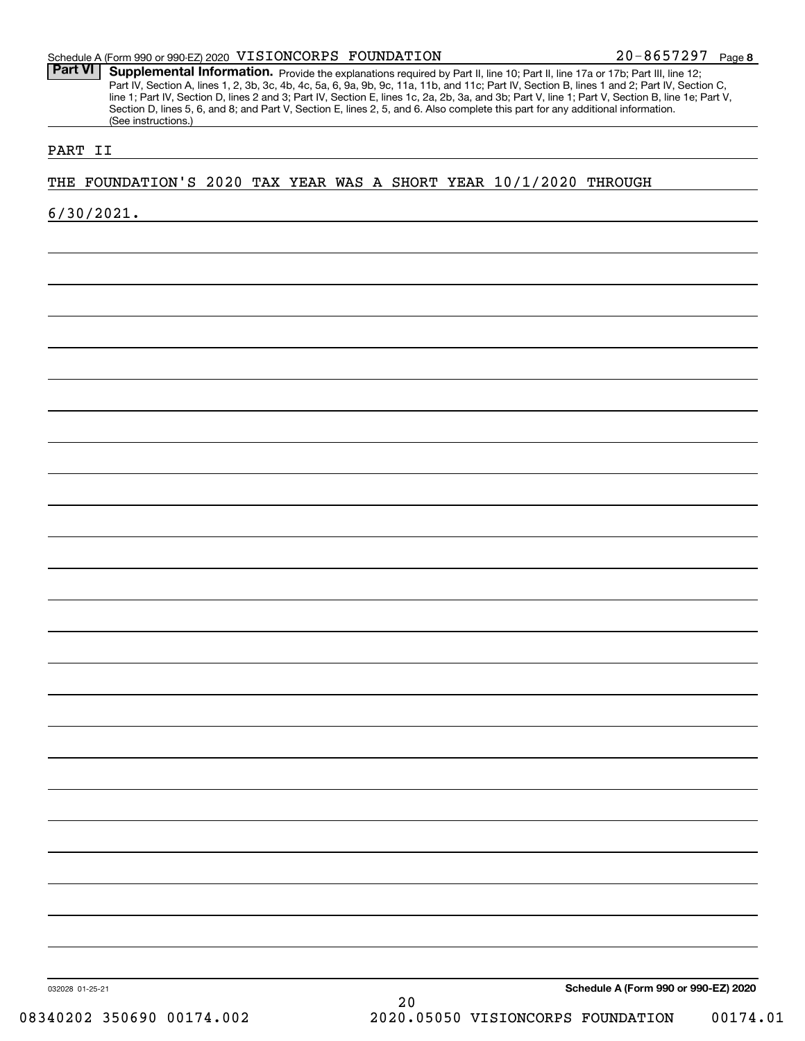**8** 20-8657297

Part VI | Supplemental Information. Provide the explanations required by Part II, line 10; Part II, line 17a or 17b; Part III, line 12; Part IV, Section A, lines 1, 2, 3b, 3c, 4b, 4c, 5a, 6, 9a, 9b, 9c, 11a, 11b, and 11c; Part IV, Section B, lines 1 and 2; Part IV, Section C, line 1; Part IV, Section D, lines 2 and 3; Part IV, Section E, lines 1c, 2a, 2b, 3a, and 3b; Part V, line 1; Part V, Section B, line 1e; Part V, Section D, lines 5, 6, and 8; and Part V, Section E, lines 2, 5, and 6. Also complete this part for any additional information. (See instructions.)

#### PART II

THE FOUNDATION'S 2020 TAX YEAR WAS A SHORT YEAR 10/1/2020 THROUGH

6/30/2021.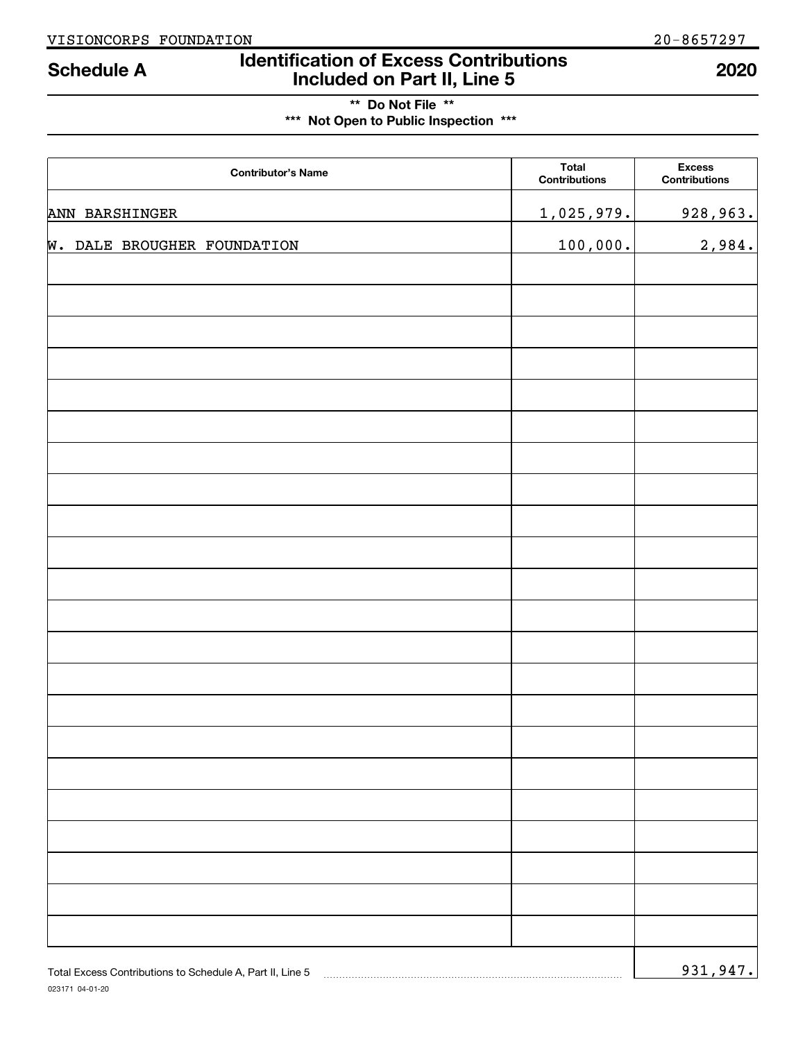# **Identification of Excess Contributions Included on Part II, Line 5 Schedule A 2020**

# **\*\* Do Not File \*\* \*\*\* Not Open to Public Inspection \*\*\***

| <b>Contributor's Name</b>                                 | <b>Total</b><br><b>Contributions</b> | <b>Excess</b><br><b>Contributions</b> |
|-----------------------------------------------------------|--------------------------------------|---------------------------------------|
| ANN BARSHINGER                                            | 1,025,979.                           | 928,963.                              |
| <b>W. DALE BROUGHER FOUNDATION</b>                        | 100,000.                             | 2,984.                                |
|                                                           |                                      |                                       |
|                                                           |                                      |                                       |
|                                                           |                                      |                                       |
|                                                           |                                      |                                       |
|                                                           |                                      |                                       |
|                                                           |                                      |                                       |
|                                                           |                                      |                                       |
|                                                           |                                      |                                       |
|                                                           |                                      |                                       |
|                                                           |                                      |                                       |
|                                                           |                                      |                                       |
|                                                           |                                      |                                       |
|                                                           |                                      |                                       |
|                                                           |                                      |                                       |
|                                                           |                                      |                                       |
|                                                           |                                      |                                       |
|                                                           |                                      |                                       |
|                                                           |                                      |                                       |
|                                                           |                                      |                                       |
|                                                           |                                      |                                       |
|                                                           |                                      |                                       |
| Total Excess Contributions to Schedule A, Part II, Line 5 |                                      | 931,947.                              |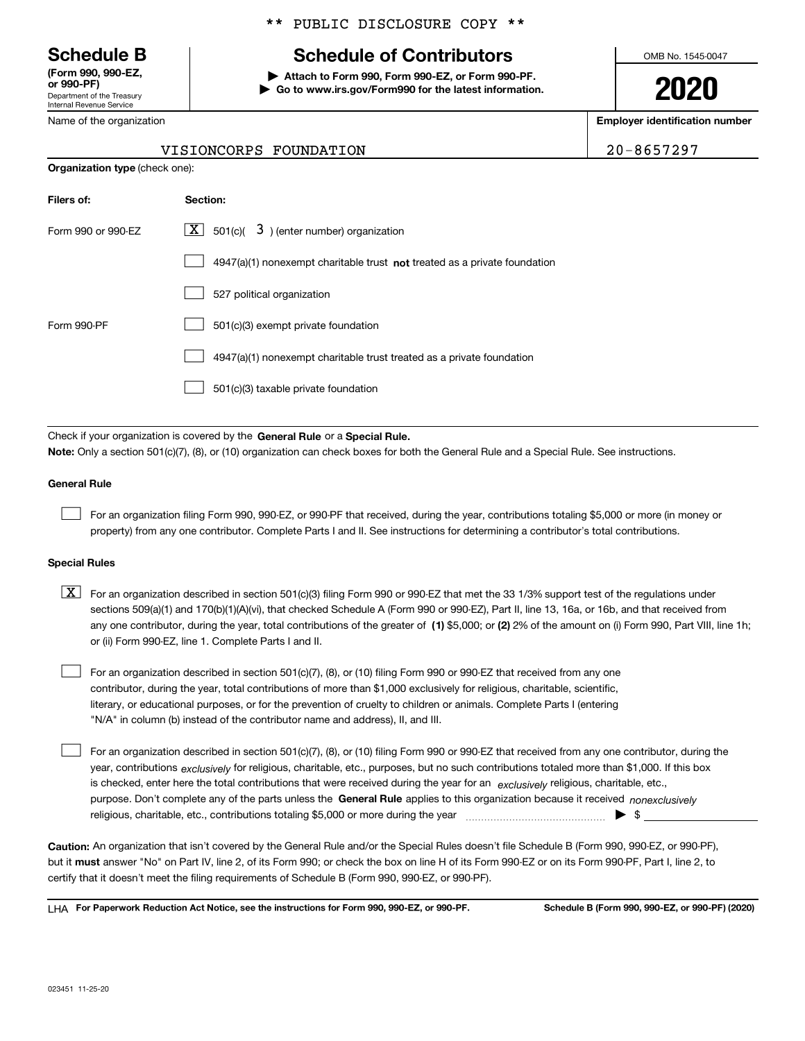Department of the Treasury Internal Revenue Service **(Form 990, 990-EZ, or 990-PF)**

Name of the organization

#### \*\* PUBLIC DISCLOSURE COPY \*\*

# **Schedule B Schedule of Contributors**

**| Attach to Form 990, Form 990-EZ, or Form 990-PF. | Go to www.irs.gov/Form990 for the latest information.** OMB No. 1545-0047

**2020**

**Employer identification number**

VISIONCORPS FOUNDATION 20-8657297

|                                       | VISIONCORPS FOUNDATIO |  |
|---------------------------------------|-----------------------|--|
| <b>Organization type (check one):</b> |                       |  |

| Filers of:         | Section:                                                                           |
|--------------------|------------------------------------------------------------------------------------|
| Form 990 or 990-EZ | $\lfloor x \rfloor$ 501(c)( 3) (enter number) organization                         |
|                    | $4947(a)(1)$ nonexempt charitable trust <b>not</b> treated as a private foundation |
|                    | 527 political organization                                                         |
| Form 990-PF        | 501(c)(3) exempt private foundation                                                |
|                    | 4947(a)(1) nonexempt charitable trust treated as a private foundation              |
|                    | 501(c)(3) taxable private foundation                                               |

Check if your organization is covered by the **General Rule** or a **Special Rule. Note:**  Only a section 501(c)(7), (8), or (10) organization can check boxes for both the General Rule and a Special Rule. See instructions.

#### **General Rule**

 $\mathcal{L}^{\text{max}}$ 

For an organization filing Form 990, 990-EZ, or 990-PF that received, during the year, contributions totaling \$5,000 or more (in money or property) from any one contributor. Complete Parts I and II. See instructions for determining a contributor's total contributions.

#### **Special Rules**

any one contributor, during the year, total contributions of the greater of  $\,$  (1) \$5,000; or **(2)** 2% of the amount on (i) Form 990, Part VIII, line 1h;  $\boxed{\textbf{X}}$  For an organization described in section 501(c)(3) filing Form 990 or 990-EZ that met the 33 1/3% support test of the regulations under sections 509(a)(1) and 170(b)(1)(A)(vi), that checked Schedule A (Form 990 or 990-EZ), Part II, line 13, 16a, or 16b, and that received from or (ii) Form 990-EZ, line 1. Complete Parts I and II.

For an organization described in section 501(c)(7), (8), or (10) filing Form 990 or 990-EZ that received from any one contributor, during the year, total contributions of more than \$1,000 exclusively for religious, charitable, scientific, literary, or educational purposes, or for the prevention of cruelty to children or animals. Complete Parts I (entering "N/A" in column (b) instead of the contributor name and address), II, and III.  $\mathcal{L}^{\text{max}}$ 

purpose. Don't complete any of the parts unless the **General Rule** applies to this organization because it received *nonexclusively* year, contributions <sub>exclusively</sub> for religious, charitable, etc., purposes, but no such contributions totaled more than \$1,000. If this box is checked, enter here the total contributions that were received during the year for an  $\;$ exclusively religious, charitable, etc., For an organization described in section 501(c)(7), (8), or (10) filing Form 990 or 990-EZ that received from any one contributor, during the religious, charitable, etc., contributions totaling \$5,000 or more during the year  $\Box$ — $\Box$   $\Box$  $\mathcal{L}^{\text{max}}$ 

**Caution:**  An organization that isn't covered by the General Rule and/or the Special Rules doesn't file Schedule B (Form 990, 990-EZ, or 990-PF),  **must** but it answer "No" on Part IV, line 2, of its Form 990; or check the box on line H of its Form 990-EZ or on its Form 990-PF, Part I, line 2, to certify that it doesn't meet the filing requirements of Schedule B (Form 990, 990-EZ, or 990-PF).

**For Paperwork Reduction Act Notice, see the instructions for Form 990, 990-EZ, or 990-PF. Schedule B (Form 990, 990-EZ, or 990-PF) (2020)** LHA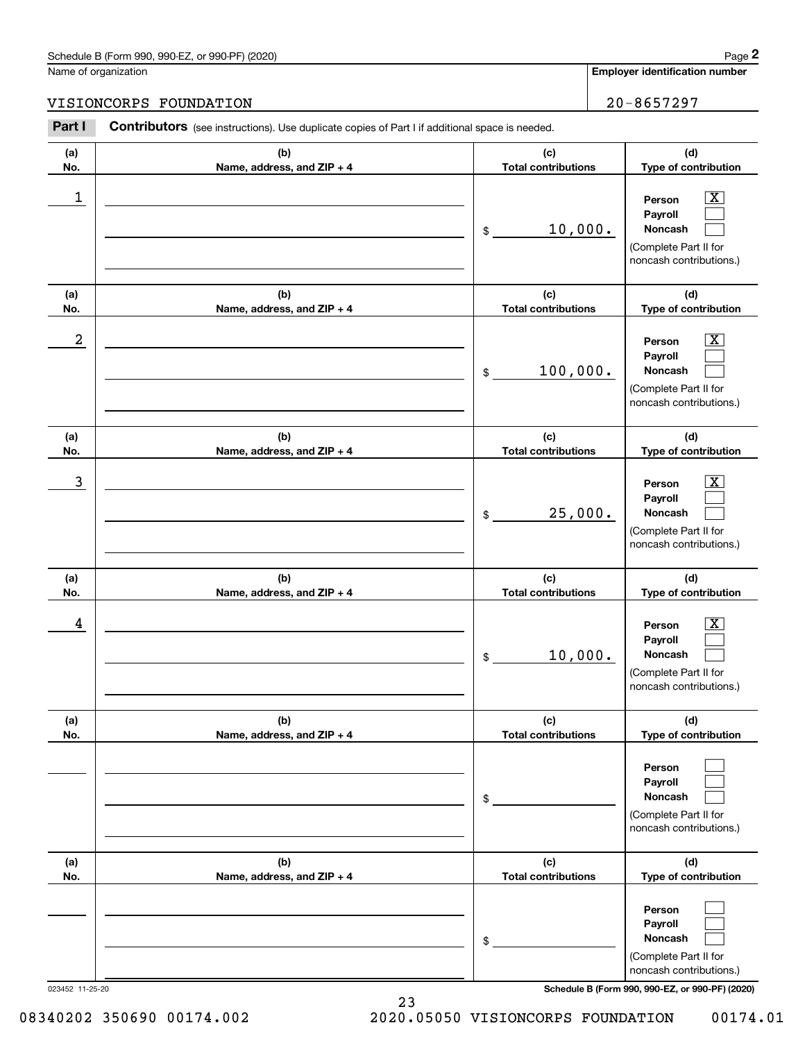## Schedule B (Form 990, 990-EZ, or 990-PF) (2020) Page 2

Name of organization

**(a)No.**

**(a) No.**

**(a) No.**

**(a) No.**

**(d) Type of contribution**

> $\lfloor x \rfloor$  $\mathcal{L}^{\text{max}}$  $\mathcal{L}^{\text{max}}$

 $\boxed{\text{X}}$  $\mathcal{L}^{\text{max}}$  $\mathcal{L}^{\text{max}}$ 

**(d) Type of contribution**

**Person Payroll Noncash**

(Complete Part II for noncash contributions.)

**Person**

### VISIONC

|            | chedule B (Form 990, 990-EZ, or 990-PF) (2020)                                                        |                                   | Page 2                                                                                                           |
|------------|-------------------------------------------------------------------------------------------------------|-----------------------------------|------------------------------------------------------------------------------------------------------------------|
|            | lame of organization                                                                                  |                                   | <b>Employer identification number</b>                                                                            |
|            | <b>ISIONCORPS FOUNDATION</b>                                                                          |                                   | 20-8657297                                                                                                       |
| Part I     | <b>Contributors</b> (see instructions). Use duplicate copies of Part I if additional space is needed. |                                   |                                                                                                                  |
| (a)<br>No. | (b)<br>Name, address, and $ZIP + 4$                                                                   | (c)<br><b>Total contributions</b> | (d)<br>Type of contribution                                                                                      |
| 1          |                                                                                                       | 10,000.<br>\$                     | $\overline{\text{X}}$<br>Person<br>Payroll<br><b>Noncash</b><br>(Complete Part II for<br>noncash contributions.) |
| (a)        | (b)                                                                                                   | (c)                               | (d)                                                                                                              |
| No.        | Name, address, and $ZIP + 4$                                                                          | <b>Total contributions</b>        | Type of contribution                                                                                             |
| 2          |                                                                                                       | 100,000.<br>\$                    | $\overline{\text{X}}$<br>Person<br>Payroll<br><b>Noncash</b><br>(Complete Part II for<br>noncash contributions.) |

|                                     | 10,000.<br>$\frac{1}{2}$          | Payroll<br><b>Noncash</b><br>(Complete Part II for<br>noncash contributions.)           |
|-------------------------------------|-----------------------------------|-----------------------------------------------------------------------------------------|
| (b)<br>Name, address, and $ZIP + 4$ | (c)<br><b>Total contributions</b> | (d)<br><b>Type of contribution</b>                                                      |
|                                     | \$                                | Person<br><b>Payroll</b><br>Noncash<br>(Complete Part II for<br>noncash contributions.) |
| (b)<br>Name, address, and ZIP + 4   | (c)<br><b>Total contributions</b> | (d)<br>Type of contribution                                                             |
|                                     | \$                                | Person<br><b>Payroll</b><br><b>Noncash</b>                                              |

 $\overline{3}$  | Person  $\overline{X}$ 

 $4$  | Person  $\overline{\text{X}}$ 

023452 11-25-20 **Schedule B (Form 990, 990-EZ, or 990-PF) (2020)**

(Complete Part II for noncash contributions.)

08340202 350690 00174.002 2020.05050 VISIONCORPS FOUNDATION 00174.01

**(c) Total contributions**

**(c) Total contributions**

25,000.

\$

**(b)Name, address, and ZIP + 4**

**(b) Name, address, and ZIP + 4**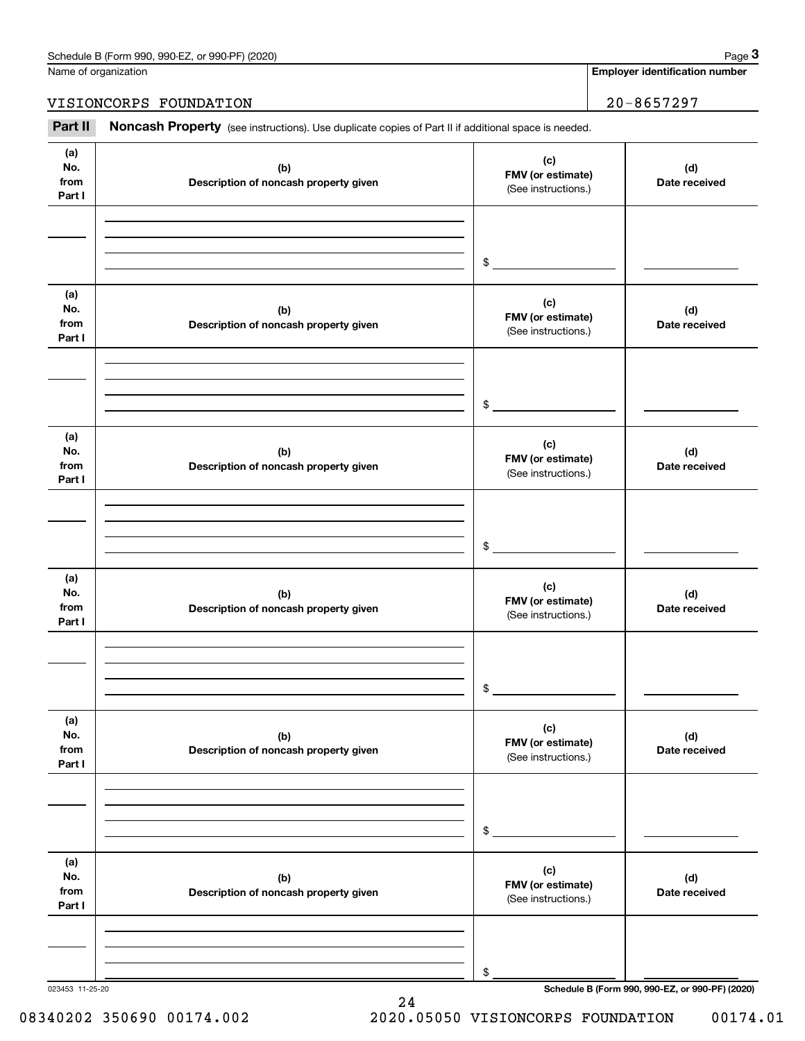Name of organization

**Employer identification number**

#### VISIONCORPS FOUNDATION  $\vert$  20-8657297

Noncash Property (see instructions). Use duplicate copies of Part II if additional space is needed. Chedule B (Form 990, 990-EZ, or 990-PF) (2020)<br> **2Part II Noncash Property** (see instructions). Use duplicate copies of Part II if additional space is needed.<br> **20** − 8657297<br>
Part II **Noncash Property** (see instruction

023453 11-25-20 **Schedule B (Form 990, 990-EZ, or 990-PF) (2020) (a)No.fromPart I (c) FMV (or estimate) (b) Description of noncash property given (d) Date received (a)No.fromPart I (c) FMV (or estimate) (b) Description of noncash property given (d) Date received (a)No.fromPart I (c) FMV (or estimate) (b) Description of noncash property given (d) Date received (a) No.fromPart I (c) FMV (or estimate) (b)Description of noncash property given (d)Date received (a) No.fromPart I (c) FMV (or estimate) (b) Description of noncash property given (d) Date received (a) No.fromPart I (c)FMV (or estimate) (b)Description of noncash property given (d)Date received** (See instructions.) \$(See instructions.) \$(See instructions.) \$(See instructions.) \$(See instructions.) \$(See instructions.) \$

24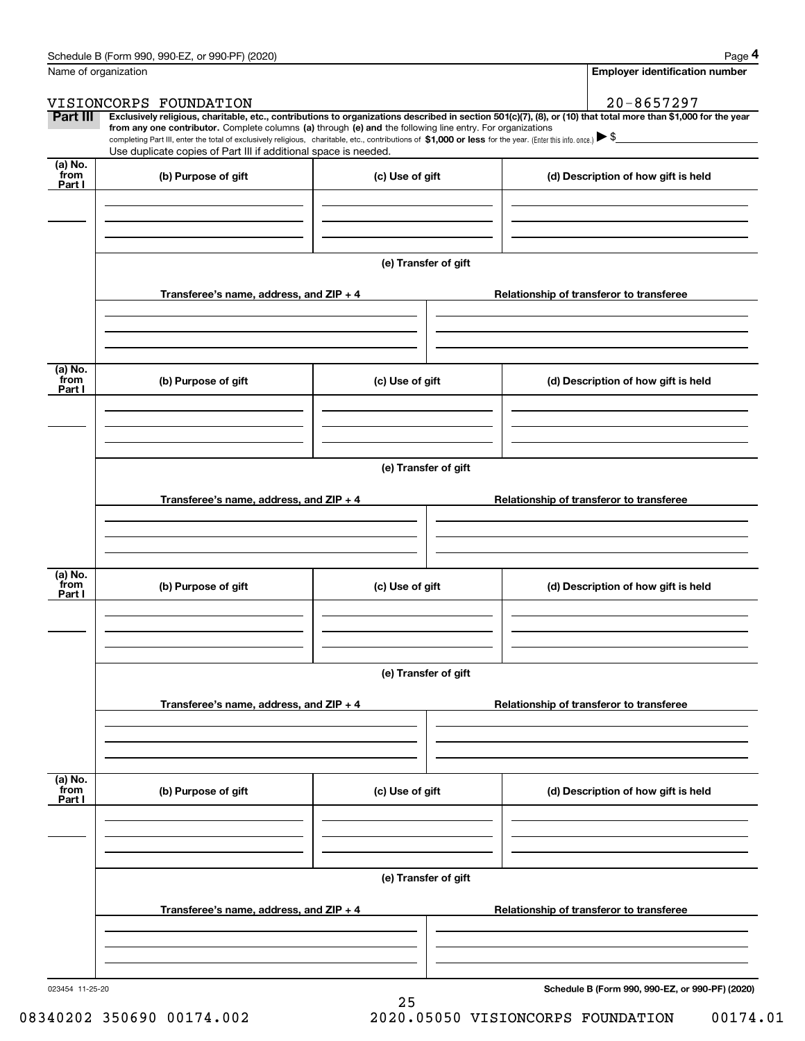|                           | Schedule B (Form 990, 990-EZ, or 990-PF) (2020)                                                                                                                                                                                                                                                 |                      |                                          | Page 4                                                                                                                                                         |  |  |  |
|---------------------------|-------------------------------------------------------------------------------------------------------------------------------------------------------------------------------------------------------------------------------------------------------------------------------------------------|----------------------|------------------------------------------|----------------------------------------------------------------------------------------------------------------------------------------------------------------|--|--|--|
|                           | Name of organization                                                                                                                                                                                                                                                                            |                      |                                          | <b>Employer identification number</b>                                                                                                                          |  |  |  |
|                           | VISIONCORPS FOUNDATION                                                                                                                                                                                                                                                                          |                      |                                          | 20-8657297                                                                                                                                                     |  |  |  |
| Part III                  | from any one contributor. Complete columns (a) through (e) and the following line entry. For organizations<br>completing Part III, enter the total of exclusively religious, charitable, etc., contributions of \$1,000 or less for the year. (Enter this info. once.) $\blacktriangleright$ \$ |                      |                                          | Exclusively religious, charitable, etc., contributions to organizations described in section 501(c)(7), (8), or (10) that total more than \$1,000 for the year |  |  |  |
|                           | Use duplicate copies of Part III if additional space is needed.                                                                                                                                                                                                                                 |                      |                                          |                                                                                                                                                                |  |  |  |
| (a) No.<br>from<br>Part I | (b) Purpose of gift                                                                                                                                                                                                                                                                             | (c) Use of gift      |                                          | (d) Description of how gift is held                                                                                                                            |  |  |  |
|                           |                                                                                                                                                                                                                                                                                                 |                      |                                          |                                                                                                                                                                |  |  |  |
|                           |                                                                                                                                                                                                                                                                                                 |                      |                                          |                                                                                                                                                                |  |  |  |
|                           |                                                                                                                                                                                                                                                                                                 | (e) Transfer of gift |                                          |                                                                                                                                                                |  |  |  |
|                           | Transferee's name, address, and ZIP + 4                                                                                                                                                                                                                                                         |                      |                                          | Relationship of transferor to transferee                                                                                                                       |  |  |  |
|                           |                                                                                                                                                                                                                                                                                                 |                      |                                          |                                                                                                                                                                |  |  |  |
| (a) No.<br>from<br>Part I | (b) Purpose of gift                                                                                                                                                                                                                                                                             | (c) Use of gift      |                                          | (d) Description of how gift is held                                                                                                                            |  |  |  |
|                           |                                                                                                                                                                                                                                                                                                 |                      |                                          |                                                                                                                                                                |  |  |  |
|                           | (e) Transfer of gift                                                                                                                                                                                                                                                                            |                      |                                          |                                                                                                                                                                |  |  |  |
|                           |                                                                                                                                                                                                                                                                                                 |                      |                                          |                                                                                                                                                                |  |  |  |
|                           | Transferee's name, address, and ZIP + 4                                                                                                                                                                                                                                                         |                      |                                          | Relationship of transferor to transferee                                                                                                                       |  |  |  |
|                           |                                                                                                                                                                                                                                                                                                 |                      |                                          |                                                                                                                                                                |  |  |  |
| (a) No.<br>from<br>Part I | (b) Purpose of gift                                                                                                                                                                                                                                                                             | (c) Use of gift      |                                          | (d) Description of how gift is held                                                                                                                            |  |  |  |
|                           |                                                                                                                                                                                                                                                                                                 |                      |                                          |                                                                                                                                                                |  |  |  |
|                           |                                                                                                                                                                                                                                                                                                 |                      |                                          |                                                                                                                                                                |  |  |  |
|                           |                                                                                                                                                                                                                                                                                                 | (e) Transfer of gift |                                          |                                                                                                                                                                |  |  |  |
|                           | Transferee's name, address, and $ZIP + 4$                                                                                                                                                                                                                                                       |                      |                                          | Relationship of transferor to transferee                                                                                                                       |  |  |  |
|                           |                                                                                                                                                                                                                                                                                                 |                      |                                          |                                                                                                                                                                |  |  |  |
| (a) No.<br>from           |                                                                                                                                                                                                                                                                                                 |                      |                                          |                                                                                                                                                                |  |  |  |
| Part I                    | (b) Purpose of gift                                                                                                                                                                                                                                                                             | (c) Use of gift      |                                          | (d) Description of how gift is held                                                                                                                            |  |  |  |
|                           |                                                                                                                                                                                                                                                                                                 |                      |                                          |                                                                                                                                                                |  |  |  |
|                           |                                                                                                                                                                                                                                                                                                 | (e) Transfer of gift |                                          |                                                                                                                                                                |  |  |  |
|                           | Transferee's name, address, and ZIP + 4                                                                                                                                                                                                                                                         |                      | Relationship of transferor to transferee |                                                                                                                                                                |  |  |  |
|                           |                                                                                                                                                                                                                                                                                                 |                      |                                          |                                                                                                                                                                |  |  |  |
|                           |                                                                                                                                                                                                                                                                                                 |                      |                                          |                                                                                                                                                                |  |  |  |
|                           |                                                                                                                                                                                                                                                                                                 |                      |                                          |                                                                                                                                                                |  |  |  |

25

023454 11-25-20

**Schedule B (Form 990, 990-EZ, or 990-PF) (2020)**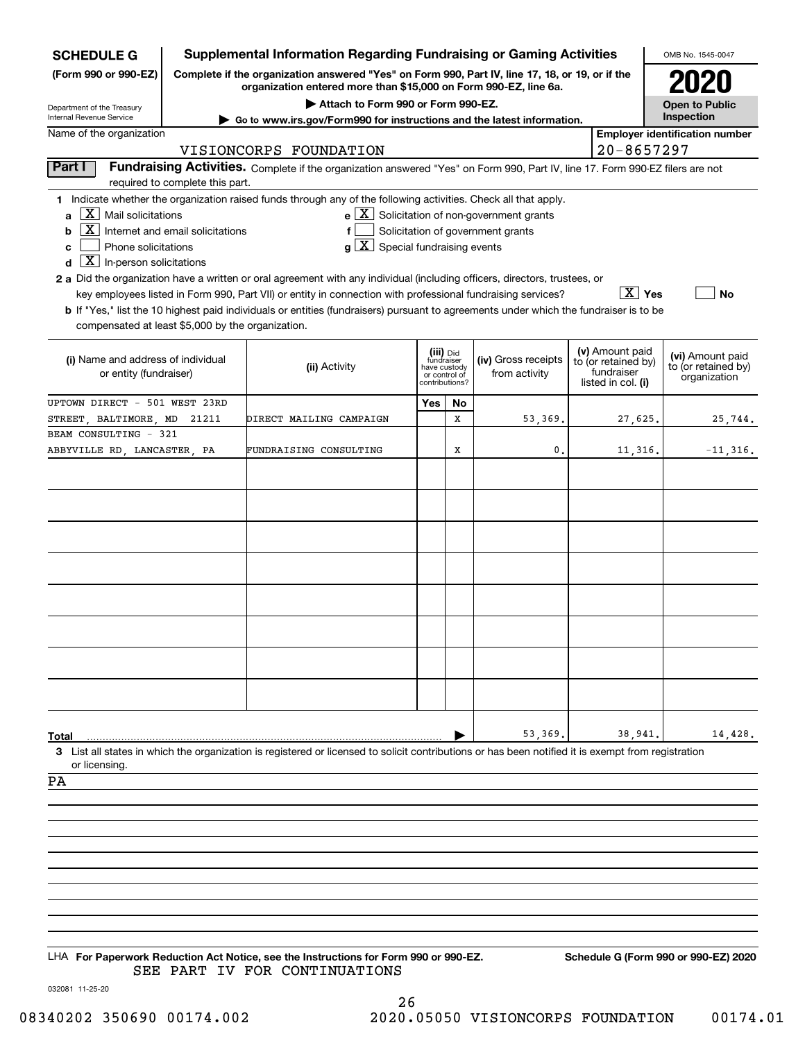| <b>SCHEDULE G</b>                                                                                                                                                      |                                                                                                                                                                     | <b>Supplemental Information Regarding Fundraising or Gaming Activities</b>                                                                                                                                                                                                            |                                                                            |    |                                                                                                              |  |                                                                            | OMB No. 1545-0047                                       |
|------------------------------------------------------------------------------------------------------------------------------------------------------------------------|---------------------------------------------------------------------------------------------------------------------------------------------------------------------|---------------------------------------------------------------------------------------------------------------------------------------------------------------------------------------------------------------------------------------------------------------------------------------|----------------------------------------------------------------------------|----|--------------------------------------------------------------------------------------------------------------|--|----------------------------------------------------------------------------|---------------------------------------------------------|
| (Form 990 or 990-EZ)                                                                                                                                                   | Complete if the organization answered "Yes" on Form 990, Part IV, line 17, 18, or 19, or if the<br>organization entered more than \$15,000 on Form 990-EZ, line 6a. |                                                                                                                                                                                                                                                                                       |                                                                            |    |                                                                                                              |  |                                                                            |                                                         |
| Attach to Form 990 or Form 990-EZ.<br>Department of the Treasury<br>Internal Revenue Service<br>Go to www.irs.gov/Form990 for instructions and the latest information. |                                                                                                                                                                     |                                                                                                                                                                                                                                                                                       |                                                                            |    |                                                                                                              |  |                                                                            | <b>Open to Public</b><br>Inspection                     |
| Name of the organization<br>VISIONCORPS FOUNDATION                                                                                                                     |                                                                                                                                                                     |                                                                                                                                                                                                                                                                                       |                                                                            |    |                                                                                                              |  | $20 - 8657297$                                                             | <b>Employer identification number</b>                   |
| Part I                                                                                                                                                                 |                                                                                                                                                                     | Fundraising Activities. Complete if the organization answered "Yes" on Form 990, Part IV, line 17. Form 990-EZ filers are not                                                                                                                                                         |                                                                            |    |                                                                                                              |  |                                                                            |                                                         |
|                                                                                                                                                                        | required to complete this part.                                                                                                                                     |                                                                                                                                                                                                                                                                                       |                                                                            |    |                                                                                                              |  |                                                                            |                                                         |
| $X$ Mail solicitations<br>a<br>X  <br>b<br>Phone solicitations<br>c<br>$\boxed{\textbf{X}}$ In-person solicitations<br>d                                               | Internet and email solicitations                                                                                                                                    | 1 Indicate whether the organization raised funds through any of the following activities. Check all that apply.<br>$g\mid X$ Special fundraising events<br>2 a Did the organization have a written or oral agreement with any individual (including officers, directors, trustees, or |                                                                            |    | $\mathbf{e}$ $\boxed{\mathbf{X}}$ Solicitation of non-government grants<br>Solicitation of government grants |  |                                                                            |                                                         |
| compensated at least \$5,000 by the organization.                                                                                                                      |                                                                                                                                                                     | key employees listed in Form 990, Part VII) or entity in connection with professional fundraising services?<br><b>b</b> If "Yes," list the 10 highest paid individuals or entities (fundraisers) pursuant to agreements under which the fundraiser is to be                           |                                                                            |    |                                                                                                              |  | $X$ Yes                                                                    | No                                                      |
| (i) Name and address of individual<br>or entity (fundraiser)                                                                                                           |                                                                                                                                                                     | (ii) Activity                                                                                                                                                                                                                                                                         | (iii) Did<br>fundraiser<br>have custody<br>or control of<br>contributions? |    | (iv) Gross receipts<br>from activity                                                                         |  | (v) Amount paid<br>to (or retained by)<br>fundraiser<br>listed in col. (i) | (vi) Amount paid<br>to (or retained by)<br>organization |
| UPTOWN DIRECT - 501 WEST 23RD                                                                                                                                          |                                                                                                                                                                     |                                                                                                                                                                                                                                                                                       | Yes                                                                        | No |                                                                                                              |  |                                                                            |                                                         |
| STREET, BALTIMORE, MD 21211<br>BEAM CONSULTING - 321                                                                                                                   |                                                                                                                                                                     | DIRECT MAILING CAMPAIGN                                                                                                                                                                                                                                                               |                                                                            | х  | 53,369.                                                                                                      |  | 27,625.                                                                    | 25,744.                                                 |
| ABBYVILLE RD, LANCASTER, PA                                                                                                                                            |                                                                                                                                                                     | FUNDRAISING CONSULTING                                                                                                                                                                                                                                                                |                                                                            | х  | 0.                                                                                                           |  | 11,316.                                                                    | $-11, 316.$                                             |
|                                                                                                                                                                        |                                                                                                                                                                     |                                                                                                                                                                                                                                                                                       |                                                                            |    | 53,369.                                                                                                      |  | 38,941.                                                                    | 14,428.                                                 |
| Total<br>or licensing.                                                                                                                                                 |                                                                                                                                                                     | 3 List all states in which the organization is registered or licensed to solicit contributions or has been notified it is exempt from registration                                                                                                                                    |                                                                            |    |                                                                                                              |  |                                                                            |                                                         |
| PA                                                                                                                                                                     |                                                                                                                                                                     |                                                                                                                                                                                                                                                                                       |                                                                            |    |                                                                                                              |  |                                                                            |                                                         |
| 032081 11-25-20                                                                                                                                                        |                                                                                                                                                                     | LHA For Paperwork Reduction Act Notice, see the Instructions for Form 990 or 990-EZ.<br>SEE PART IV FOR CONTINUATIONS                                                                                                                                                                 |                                                                            |    |                                                                                                              |  |                                                                            | Schedule G (Form 990 or 990-EZ) 2020                    |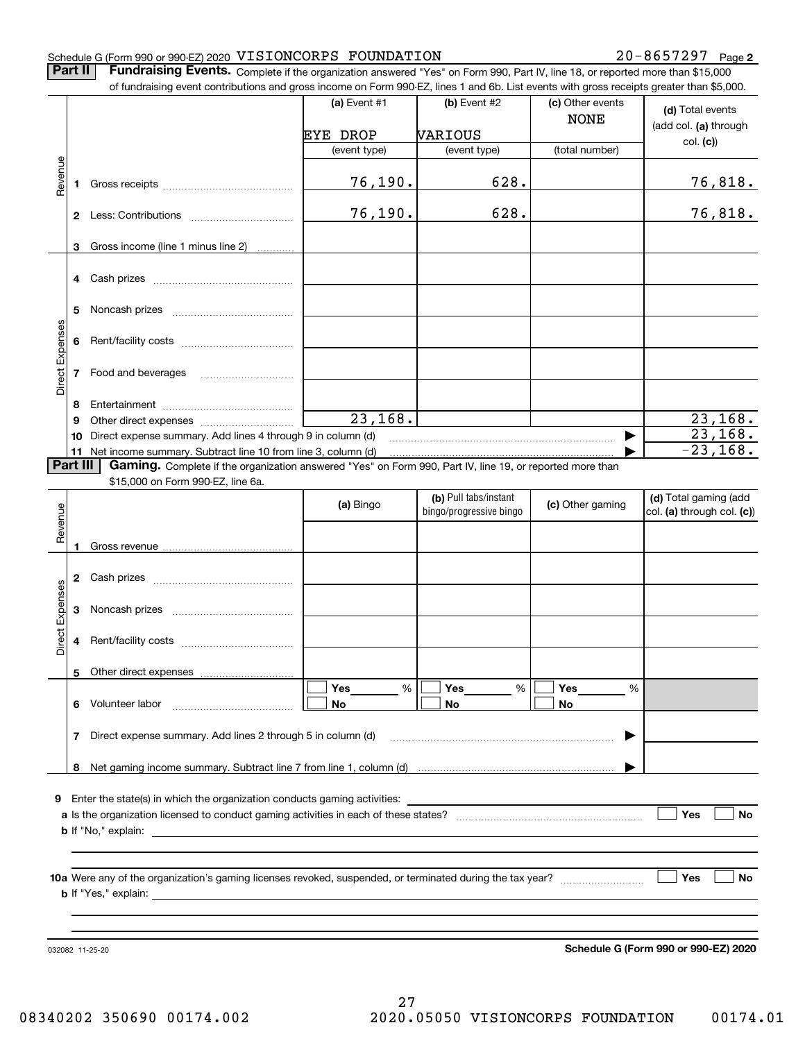**2**

**Part II** | Fundraising Events. Complete if the organization answered "Yes" on Form 990, Part IV, line 18, or reported more than \$15,000 of fundraising event contributions and gross income on Form 990-EZ, lines 1 and 6b. List events with gross receipts greater than \$5,000.

|                 |                | of fundraising event contributions and gross income on Form 990-EZ, lines T and 6D. List events with gross receipts greater than \$5,000. | (a) Event $#1$        | $(b)$ Event #2                                   | (c) Other events |                                                     |
|-----------------|----------------|-------------------------------------------------------------------------------------------------------------------------------------------|-----------------------|--------------------------------------------------|------------------|-----------------------------------------------------|
|                 |                |                                                                                                                                           |                       |                                                  | <b>NONE</b>      | (d) Total events<br>(add col. (a) through           |
|                 |                |                                                                                                                                           | <b>EYE DROP</b>       | VARIOUS                                          |                  | col. (c)                                            |
|                 |                |                                                                                                                                           | (event type)          | (event type)                                     | (total number)   |                                                     |
| Revenue         | 1              |                                                                                                                                           | 76,190.               | 628.                                             |                  | 76,818.                                             |
|                 |                |                                                                                                                                           | 76,190.               | 628.                                             |                  | 76,818.                                             |
|                 | 3              | Gross income (line 1 minus line 2)                                                                                                        |                       |                                                  |                  |                                                     |
|                 | 4              |                                                                                                                                           |                       |                                                  |                  |                                                     |
|                 | 5              |                                                                                                                                           |                       |                                                  |                  |                                                     |
| Direct Expenses | 6              |                                                                                                                                           |                       |                                                  |                  |                                                     |
|                 | $\overline{7}$ |                                                                                                                                           |                       |                                                  |                  |                                                     |
|                 | 8              |                                                                                                                                           |                       |                                                  |                  |                                                     |
|                 | 9              |                                                                                                                                           | $\overline{23,168}$ . |                                                  |                  | 23, 168.                                            |
|                 | 10             | Direct expense summary. Add lines 4 through 9 in column (d)                                                                               |                       |                                                  | ▶                | 23, 168.                                            |
|                 |                | 11 Net income summary. Subtract line 10 from line 3, column (d)                                                                           |                       |                                                  |                  | $-23,168.$                                          |
|                 | Part III       | Gaming. Complete if the organization answered "Yes" on Form 990, Part IV, line 19, or reported more than                                  |                       |                                                  |                  |                                                     |
|                 |                | \$15,000 on Form 990-EZ, line 6a.                                                                                                         |                       |                                                  |                  |                                                     |
| Revenue         |                |                                                                                                                                           | (a) Bingo             | (b) Pull tabs/instant<br>bingo/progressive bingo | (c) Other gaming | (d) Total gaming (add<br>col. (a) through col. (c)) |
|                 | 1              |                                                                                                                                           |                       |                                                  |                  |                                                     |
|                 | 2              |                                                                                                                                           |                       |                                                  |                  |                                                     |
|                 | 3              |                                                                                                                                           |                       |                                                  |                  |                                                     |
| Direct Expenses | 4              |                                                                                                                                           |                       |                                                  |                  |                                                     |
|                 | 5              | Other direct expenses                                                                                                                     |                       |                                                  |                  |                                                     |
|                 |                |                                                                                                                                           | Yes<br>%              | Yes<br>%                                         | Yes<br>%         |                                                     |
|                 | 6.             | Volunteer labor                                                                                                                           | No                    | No                                               | No               |                                                     |
|                 | 7              | Direct expense summary. Add lines 2 through 5 in column (d)                                                                               |                       |                                                  |                  |                                                     |
|                 | 8              |                                                                                                                                           |                       |                                                  |                  |                                                     |
|                 |                |                                                                                                                                           |                       |                                                  |                  |                                                     |
|                 |                | 9 Enter the state(s) in which the organization conducts gaming activities:                                                                |                       |                                                  |                  |                                                     |
|                 |                |                                                                                                                                           |                       |                                                  |                  | Yes<br><b>No</b>                                    |
|                 |                | <b>b</b> If "No," explain:                                                                                                                |                       |                                                  |                  |                                                     |
|                 |                |                                                                                                                                           |                       |                                                  |                  |                                                     |
|                 |                |                                                                                                                                           |                       |                                                  |                  | │ ∣Yes<br>No                                        |
|                 |                | <b>b</b> If "Yes," explain: $\blacksquare$                                                                                                |                       |                                                  |                  |                                                     |
|                 |                |                                                                                                                                           |                       |                                                  |                  |                                                     |
|                 |                |                                                                                                                                           |                       |                                                  |                  |                                                     |
|                 |                | 032082 11-25-20                                                                                                                           |                       |                                                  |                  | Schedule G (Form 990 or 990-EZ) 2020                |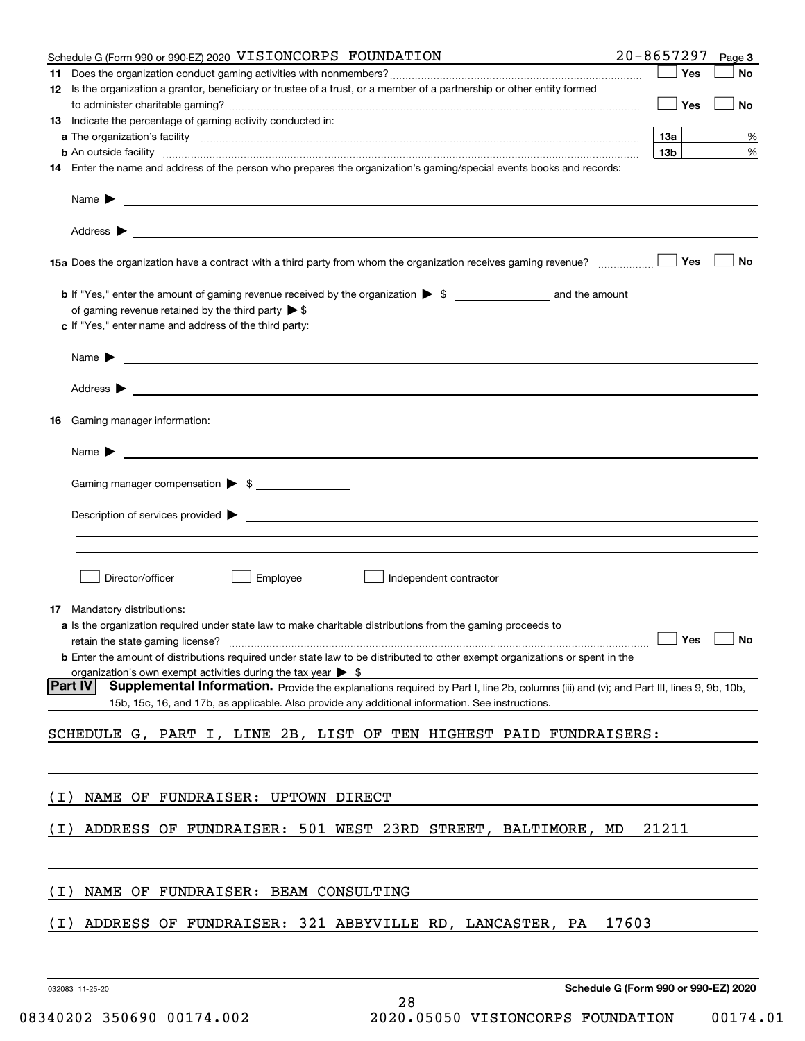| Schedule G (Form 990 or 990-EZ) 2020 VISIONCORPS FOUNDATION                                                                                                                                                                               | $20 - 8657297$                       | Page 3    |
|-------------------------------------------------------------------------------------------------------------------------------------------------------------------------------------------------------------------------------------------|--------------------------------------|-----------|
|                                                                                                                                                                                                                                           | Yes                                  | No        |
| 12 Is the organization a grantor, beneficiary or trustee of a trust, or a member of a partnership or other entity formed                                                                                                                  | Yes                                  | No        |
| 13 Indicate the percentage of gaming activity conducted in:                                                                                                                                                                               |                                      |           |
|                                                                                                                                                                                                                                           | 13а                                  | %         |
| <b>b</b> An outside facility <b>contained an according to the contract of the contract of the contract of the contract of the contract of the contract of the contract of the contract of the contract of the contract of the contrac</b> | 13 <sub>b</sub>                      | %         |
| 14 Enter the name and address of the person who prepares the organization's gaming/special events books and records:                                                                                                                      |                                      |           |
| Name $\blacktriangleright$<br><u> 1989 - Andrea State Barbara, amerikan personal di sebagai personal di sebagai personal di sebagai personal di</u>                                                                                       |                                      |           |
|                                                                                                                                                                                                                                           |                                      |           |
| 15a Does the organization have a contract with a third party from whom the organization receives gaming revenue?                                                                                                                          | Yes                                  | <b>No</b> |
|                                                                                                                                                                                                                                           |                                      |           |
| c If "Yes," enter name and address of the third party:                                                                                                                                                                                    |                                      |           |
| Name $\triangleright$ $\square$                                                                                                                                                                                                           |                                      |           |
|                                                                                                                                                                                                                                           |                                      |           |
| Gaming manager information:<br>16                                                                                                                                                                                                         |                                      |           |
| $Name \rightarrow$                                                                                                                                                                                                                        |                                      |           |
| Gaming manager compensation > \$                                                                                                                                                                                                          |                                      |           |
| $\blacksquare$ Description of services provided $\blacktriangleright$                                                                                                                                                                     |                                      |           |
|                                                                                                                                                                                                                                           |                                      |           |
| Director/officer<br>Employee<br>Independent contractor                                                                                                                                                                                    |                                      |           |
| <b>17</b> Mandatory distributions:                                                                                                                                                                                                        |                                      |           |
| a Is the organization required under state law to make charitable distributions from the gaming proceeds to                                                                                                                               |                                      |           |
|                                                                                                                                                                                                                                           | $\Box$ Yes $\Box$ No                 |           |
| <b>b</b> Enter the amount of distributions required under state law to be distributed to other exempt organizations or spent in the                                                                                                       |                                      |           |
| organization's own exempt activities during the tax year $\triangleright$ \$<br><b>Part IV</b><br>Supplemental Information. Provide the explanations required by Part I, line 2b, columns (iii) and (v); and Part III, lines 9, 9b, 10b,  |                                      |           |
| 15b, 15c, 16, and 17b, as applicable. Also provide any additional information. See instructions.                                                                                                                                          |                                      |           |
| SCHEDULE G, PART I, LINE 2B, LIST OF TEN HIGHEST PAID FUNDRAISERS:                                                                                                                                                                        |                                      |           |
|                                                                                                                                                                                                                                           |                                      |           |
| NAME OF FUNDRAISER: UPTOWN DIRECT<br>( I )                                                                                                                                                                                                |                                      |           |
| ADDRESS OF FUNDRAISER: 501 WEST 23RD STREET, BALTIMORE, MD<br>( I )                                                                                                                                                                       | 21211                                |           |
| NAME OF FUNDRAISER: BEAM CONSULTING<br>( I )                                                                                                                                                                                              |                                      |           |
| ADDRESS OF FUNDRAISER: 321 ABBYVILLE RD, LANCASTER, PA<br>17603<br>( I )                                                                                                                                                                  |                                      |           |
|                                                                                                                                                                                                                                           |                                      |           |
| 032083 11-25-20                                                                                                                                                                                                                           | Schedule G (Form 990 or 990-EZ) 2020 |           |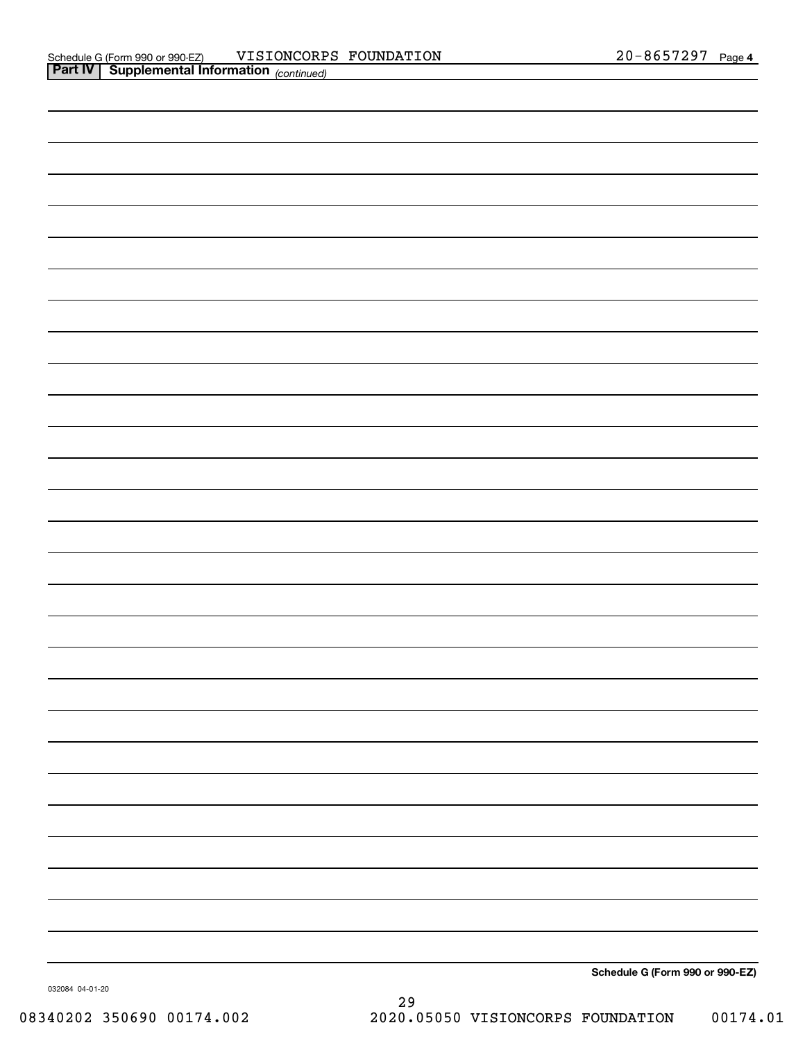| Schedule G (Form 990 or 990-EZ) |
|---------------------------------|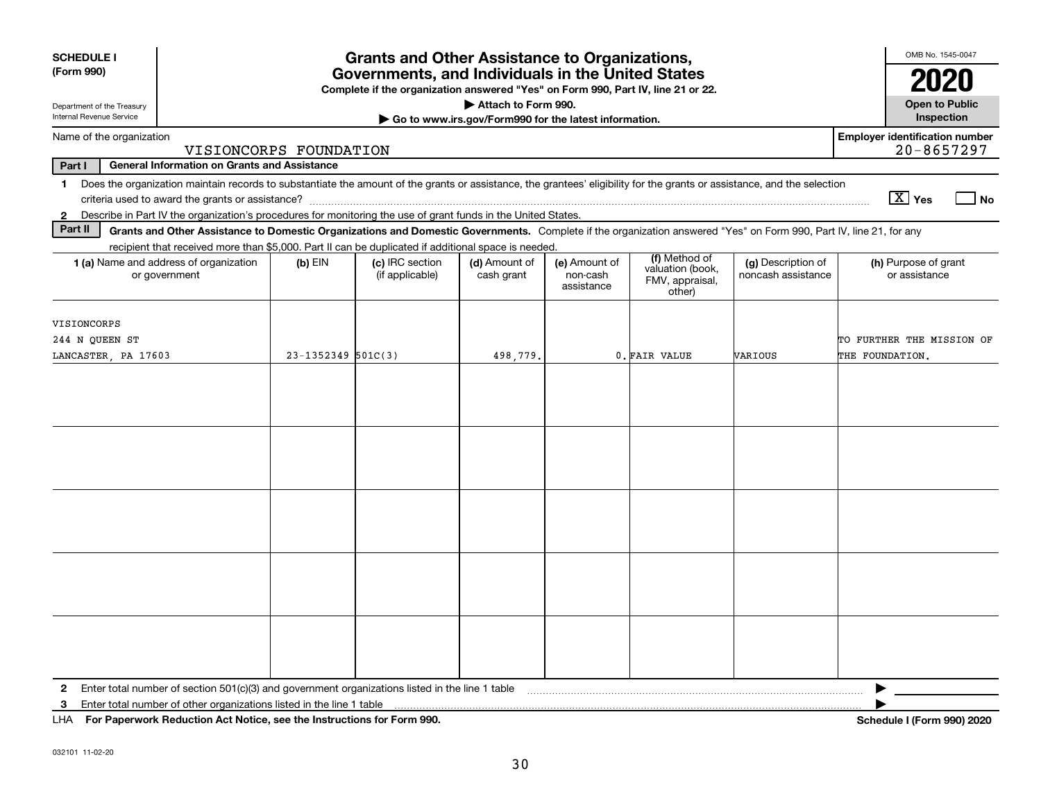| <b>SCHEDULE I</b><br>(Form 990)                                                                                                                                                                                                                                                                                           | <b>Grants and Other Assistance to Organizations,</b><br>Governments, and Individuals in the United States<br>Complete if the organization answered "Yes" on Form 990, Part IV, line 21 or 22. |                                    |                             |                                         |                                                                |                                          |                                                                                                                                                                                                                                                                                                                                         |  |
|---------------------------------------------------------------------------------------------------------------------------------------------------------------------------------------------------------------------------------------------------------------------------------------------------------------------------|-----------------------------------------------------------------------------------------------------------------------------------------------------------------------------------------------|------------------------------------|-----------------------------|-----------------------------------------|----------------------------------------------------------------|------------------------------------------|-----------------------------------------------------------------------------------------------------------------------------------------------------------------------------------------------------------------------------------------------------------------------------------------------------------------------------------------|--|
| Department of the Treasury<br>Internal Revenue Service                                                                                                                                                                                                                                                                    | Attach to Form 990.<br>Go to www.irs.gov/Form990 for the latest information.                                                                                                                  |                                    |                             |                                         |                                                                | <b>Open to Public</b><br>Inspection      |                                                                                                                                                                                                                                                                                                                                         |  |
| Name of the organization                                                                                                                                                                                                                                                                                                  |                                                                                                                                                                                               |                                    |                             |                                         |                                                                |                                          | <b>Employer identification number</b><br>$20 - 8657297$                                                                                                                                                                                                                                                                                 |  |
| VISIONCORPS FOUNDATION<br>Part I<br><b>General Information on Grants and Assistance</b>                                                                                                                                                                                                                                   |                                                                                                                                                                                               |                                    |                             |                                         |                                                                |                                          |                                                                                                                                                                                                                                                                                                                                         |  |
| Does the organization maintain records to substantiate the amount of the grants or assistance, the grantees' eligibility for the grants or assistance, and the selection<br>$\mathbf{1}$<br>Describe in Part IV the organization's procedures for monitoring the use of grant funds in the United States.<br>$\mathbf{2}$ |                                                                                                                                                                                               |                                    |                             |                                         |                                                                |                                          | $\boxed{\text{X}}$ Yes<br>  No                                                                                                                                                                                                                                                                                                          |  |
| Part II<br>Grants and Other Assistance to Domestic Organizations and Domestic Governments. Complete if the organization answered "Yes" on Form 990, Part IV, line 21, for any                                                                                                                                             |                                                                                                                                                                                               |                                    |                             |                                         |                                                                |                                          |                                                                                                                                                                                                                                                                                                                                         |  |
| recipient that received more than \$5,000. Part II can be duplicated if additional space is needed.<br>1 (a) Name and address of organization<br>or government                                                                                                                                                            | $(b)$ EIN                                                                                                                                                                                     | (c) IRC section<br>(if applicable) | (d) Amount of<br>cash grant | (e) Amount of<br>non-cash<br>assistance | (f) Method of<br>valuation (book,<br>FMV, appraisal,<br>other) | (g) Description of<br>noncash assistance | (h) Purpose of grant<br>or assistance                                                                                                                                                                                                                                                                                                   |  |
| VISIONCORPS<br>244 N QUEEN ST<br>LANCASTER, PA 17603                                                                                                                                                                                                                                                                      | $23 - 1352349$ 501C(3)                                                                                                                                                                        |                                    | 498,779.                    |                                         | 0. FAIR VALUE                                                  | VARIOUS                                  | TO FURTHER THE MISSION OF<br>THE FOUNDATION.                                                                                                                                                                                                                                                                                            |  |
|                                                                                                                                                                                                                                                                                                                           |                                                                                                                                                                                               |                                    |                             |                                         |                                                                |                                          |                                                                                                                                                                                                                                                                                                                                         |  |
|                                                                                                                                                                                                                                                                                                                           |                                                                                                                                                                                               |                                    |                             |                                         |                                                                |                                          |                                                                                                                                                                                                                                                                                                                                         |  |
|                                                                                                                                                                                                                                                                                                                           |                                                                                                                                                                                               |                                    |                             |                                         |                                                                |                                          |                                                                                                                                                                                                                                                                                                                                         |  |
|                                                                                                                                                                                                                                                                                                                           |                                                                                                                                                                                               |                                    |                             |                                         |                                                                |                                          |                                                                                                                                                                                                                                                                                                                                         |  |
|                                                                                                                                                                                                                                                                                                                           |                                                                                                                                                                                               |                                    |                             |                                         |                                                                |                                          |                                                                                                                                                                                                                                                                                                                                         |  |
| $\mathbf{2}$<br>3<br>$111A$ $E \sim R \sim 2$ and $R \sim 4$ and $A \sim 1$ and $A \sim 1$ and $A \sim 1$ and $A \sim 1$ and $A \sim R \sim 200$                                                                                                                                                                          |                                                                                                                                                                                               |                                    |                             |                                         |                                                                |                                          | ▶<br>$\mathbf{L}$ $\mathbf{L}$ $\mathbf{L}$ $\mathbf{L}$ $\mathbf{L}$ $\mathbf{L}$ $\mathbf{L}$ $\mathbf{L}$ $\mathbf{L}$ $\mathbf{L}$ $\mathbf{L}$ $\mathbf{L}$ $\mathbf{L}$ $\mathbf{L}$ $\mathbf{L}$ $\mathbf{L}$ $\mathbf{L}$ $\mathbf{L}$ $\mathbf{L}$ $\mathbf{L}$ $\mathbf{L}$ $\mathbf{L}$ $\mathbf{L}$ $\mathbf{L}$ $\mathbf{$ |  |

**For Paperwork Reduction Act Notice, see the Instructions for Form 990. Schedule I (Form 990) 2020** LHA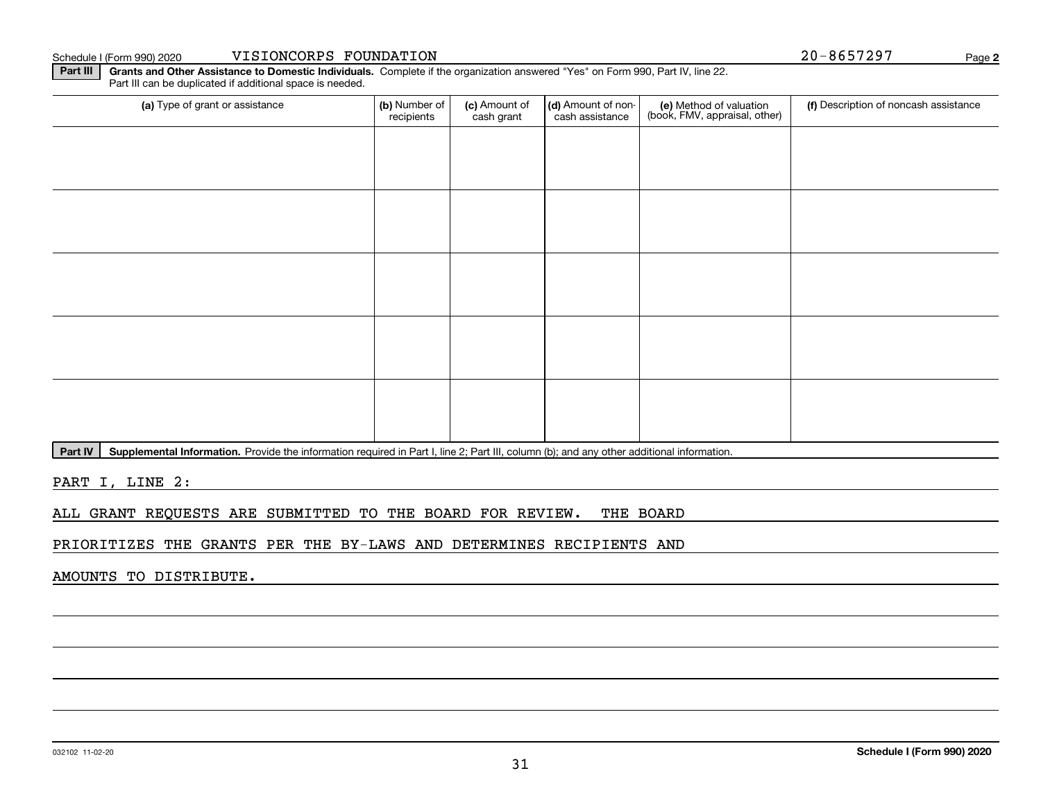Part III can be duplicated if additional space is needed.

(a) Type of grant or assistance **(b)** Number of **(c)** Amount of **(d)** Amount of non-**(e)** Method of valuation (f)<br>cash are continuous cash are cash assistance (book, FMV, appraisal, other) (a) Type of grant or assistance (b) Number of recipients(c) Amount of cash grant (d) Amount of noncash assistance (f) Description of noncash assistance

Part IV | Supplemental Information. Provide the information required in Part I, line 2; Part III, column (b); and any other additional information.

**Part III | Grants and Other Assistance to Domestic Individuals. Complete if the organization answered "Yes" on Form 990, Part IV, line 22.** 

PART I, LINE 2:

ALL GRANT REQUESTS ARE SUBMITTED TO THE BOARD FOR REVIEW. THE BOARD

PRIORITIZES THE GRANTS PER THE BY-LAWS AND DETERMINES RECIPIENTS AND

AMOUNTS TO DISTRIBUTE.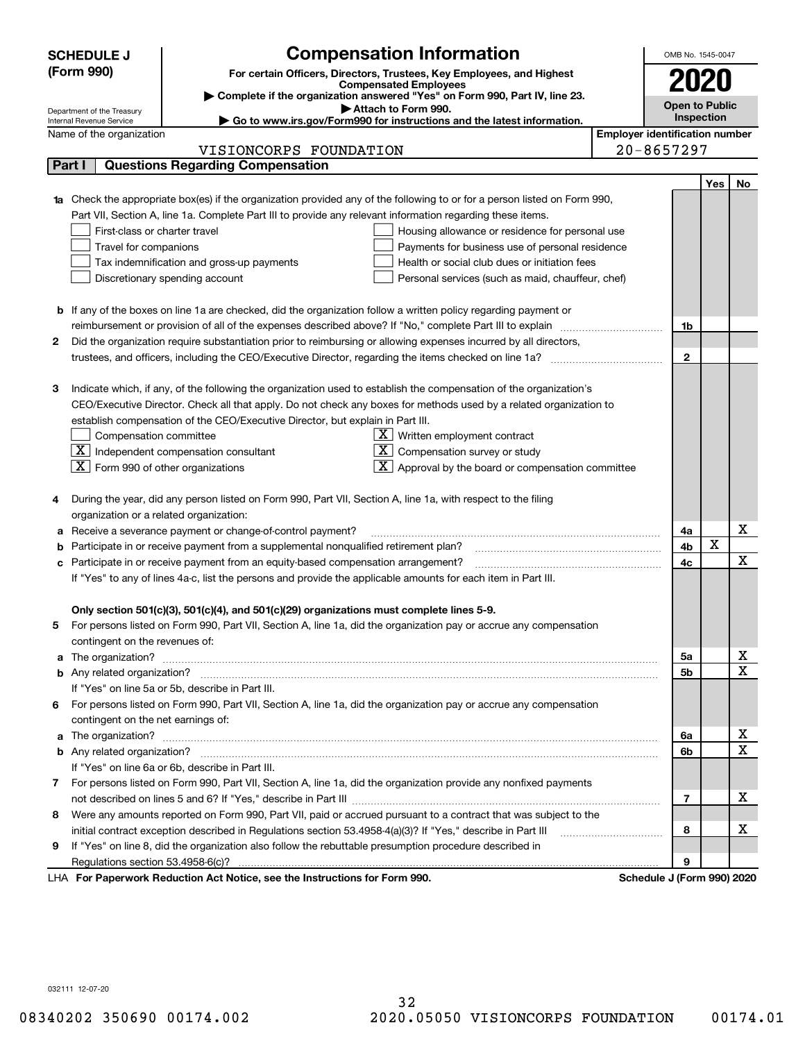|   | <b>Compensation Information</b><br><b>SCHEDULE J</b>                                                                                                                                                          |                                                   |                                       | OMB No. 1545-0047          |     |              |
|---|---------------------------------------------------------------------------------------------------------------------------------------------------------------------------------------------------------------|---------------------------------------------------|---------------------------------------|----------------------------|-----|--------------|
|   | (Form 990)<br>For certain Officers, Directors, Trustees, Key Employees, and Highest                                                                                                                           |                                                   |                                       |                            |     |              |
|   | <b>Compensated Employees</b>                                                                                                                                                                                  |                                                   |                                       | 2020                       |     |              |
|   | Complete if the organization answered "Yes" on Form 990, Part IV, line 23.<br>Attach to Form 990.                                                                                                             |                                                   |                                       | <b>Open to Public</b>      |     |              |
|   | Department of the Treasury<br>Go to www.irs.gov/Form990 for instructions and the latest information.<br>Internal Revenue Service                                                                              |                                                   |                                       | Inspection                 |     |              |
|   | Name of the organization                                                                                                                                                                                      |                                                   | <b>Employer identification number</b> |                            |     |              |
|   | VISIONCORPS FOUNDATION                                                                                                                                                                                        |                                                   |                                       | $20 - 8657297$             |     |              |
|   | <b>Questions Regarding Compensation</b><br>Part I                                                                                                                                                             |                                                   |                                       |                            |     |              |
|   |                                                                                                                                                                                                               |                                                   |                                       |                            | Yes | No           |
|   | Check the appropriate box(es) if the organization provided any of the following to or for a person listed on Form 990,                                                                                        |                                                   |                                       |                            |     |              |
|   | Part VII, Section A, line 1a. Complete Part III to provide any relevant information regarding these items.                                                                                                    |                                                   |                                       |                            |     |              |
|   | First-class or charter travel                                                                                                                                                                                 | Housing allowance or residence for personal use   |                                       |                            |     |              |
|   | Travel for companions                                                                                                                                                                                         | Payments for business use of personal residence   |                                       |                            |     |              |
|   | Tax indemnification and gross-up payments                                                                                                                                                                     | Health or social club dues or initiation fees     |                                       |                            |     |              |
|   | Discretionary spending account                                                                                                                                                                                | Personal services (such as maid, chauffeur, chef) |                                       |                            |     |              |
|   |                                                                                                                                                                                                               |                                                   |                                       |                            |     |              |
|   | <b>b</b> If any of the boxes on line 1a are checked, did the organization follow a written policy regarding payment or                                                                                        |                                                   |                                       |                            |     |              |
|   | reimbursement or provision of all of the expenses described above? If "No," complete Part III to explain                                                                                                      |                                                   |                                       | 1b                         |     |              |
| 2 | Did the organization require substantiation prior to reimbursing or allowing expenses incurred by all directors,                                                                                              |                                                   |                                       |                            |     |              |
|   |                                                                                                                                                                                                               |                                                   |                                       | $\mathbf{2}$               |     |              |
|   |                                                                                                                                                                                                               |                                                   |                                       |                            |     |              |
| 3 | Indicate which, if any, of the following the organization used to establish the compensation of the organization's                                                                                            |                                                   |                                       |                            |     |              |
|   | CEO/Executive Director. Check all that apply. Do not check any boxes for methods used by a related organization to                                                                                            |                                                   |                                       |                            |     |              |
|   | establish compensation of the CEO/Executive Director, but explain in Part III.                                                                                                                                |                                                   |                                       |                            |     |              |
|   | Compensation committee<br>$X$ Written employment contract                                                                                                                                                     |                                                   |                                       |                            |     |              |
|   | $\boxed{\textbf{X}}$ Independent compensation consultant<br>$X$ Compensation survey or study                                                                                                                  |                                                   |                                       |                            |     |              |
|   | $\boxed{\textbf{X}}$ Form 990 of other organizations<br>$\overline{X}$ Approval by the board or compensation committee                                                                                        |                                                   |                                       |                            |     |              |
|   |                                                                                                                                                                                                               |                                                   |                                       |                            |     |              |
| 4 | During the year, did any person listed on Form 990, Part VII, Section A, line 1a, with respect to the filing                                                                                                  |                                                   |                                       |                            |     |              |
|   | organization or a related organization:                                                                                                                                                                       |                                                   |                                       |                            |     |              |
| а | Receive a severance payment or change-of-control payment?                                                                                                                                                     |                                                   |                                       | 4a                         | X   | x            |
| b | Participate in or receive payment from a supplemental nonqualified retirement plan?                                                                                                                           |                                                   |                                       | 4b                         |     | x            |
| с | Participate in or receive payment from an equity-based compensation arrangement?                                                                                                                              |                                                   |                                       | 4c                         |     |              |
|   | If "Yes" to any of lines 4a-c, list the persons and provide the applicable amounts for each item in Part III.                                                                                                 |                                                   |                                       |                            |     |              |
|   |                                                                                                                                                                                                               |                                                   |                                       |                            |     |              |
|   | Only section 501(c)(3), 501(c)(4), and 501(c)(29) organizations must complete lines 5-9.<br>For persons listed on Form 990, Part VII, Section A, line 1a, did the organization pay or accrue any compensation |                                                   |                                       |                            |     |              |
|   |                                                                                                                                                                                                               |                                                   |                                       |                            |     |              |
| a | contingent on the revenues of:                                                                                                                                                                                |                                                   |                                       | 5а                         |     | x            |
|   |                                                                                                                                                                                                               |                                                   |                                       | <b>5b</b>                  |     | X            |
|   | If "Yes" on line 5a or 5b, describe in Part III.                                                                                                                                                              |                                                   |                                       |                            |     |              |
|   | 6 For persons listed on Form 990, Part VII, Section A, line 1a, did the organization pay or accrue any compensation                                                                                           |                                                   |                                       |                            |     |              |
|   | contingent on the net earnings of:                                                                                                                                                                            |                                                   |                                       |                            |     |              |
| a |                                                                                                                                                                                                               |                                                   |                                       | 6a                         |     | х            |
|   |                                                                                                                                                                                                               |                                                   |                                       | 6b                         |     | $\mathbf{x}$ |
|   | If "Yes" on line 6a or 6b, describe in Part III.                                                                                                                                                              |                                                   |                                       |                            |     |              |
|   | 7 For persons listed on Form 990, Part VII, Section A, line 1a, did the organization provide any nonfixed payments                                                                                            |                                                   |                                       |                            |     |              |
|   |                                                                                                                                                                                                               |                                                   |                                       | 7                          |     | x            |
|   | 8 Were any amounts reported on Form 990, Part VII, paid or accrued pursuant to a contract that was subject to the                                                                                             |                                                   |                                       |                            |     |              |
|   | initial contract exception described in Regulations section 53.4958-4(a)(3)? If "Yes," describe in Part III                                                                                                   |                                                   |                                       | 8                          |     | х            |
| 9 | If "Yes" on line 8, did the organization also follow the rebuttable presumption procedure described in                                                                                                        |                                                   |                                       |                            |     |              |
|   | Regulations section 53.4958-6(c)?                                                                                                                                                                             |                                                   |                                       | 9                          |     |              |
|   | LHA For Paperwork Reduction Act Notice, see the Instructions for Form 990.                                                                                                                                    |                                                   |                                       | Schedule J (Form 990) 2020 |     |              |

032111 12-07-20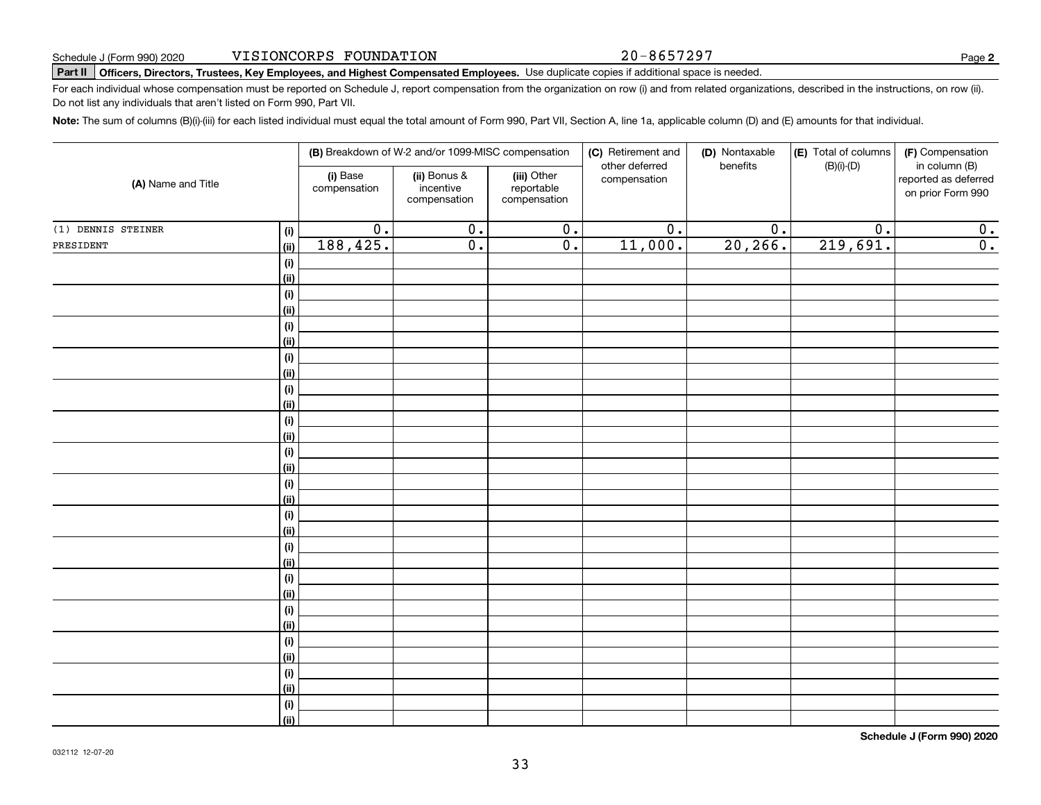20-8657297

**2**

# **Part II Officers, Directors, Trustees, Key Employees, and Highest Compensated Employees.**  Schedule J (Form 990) 2020 Page Use duplicate copies if additional space is needed.

For each individual whose compensation must be reported on Schedule J, report compensation from the organization on row (i) and from related organizations, described in the instructions, on row (ii). Do not list any individuals that aren't listed on Form 990, Part VII.

**Note:**  The sum of columns (B)(i)-(iii) for each listed individual must equal the total amount of Form 990, Part VII, Section A, line 1a, applicable column (D) and (E) amounts for that individual.

|                    |                |                          | (B) Breakdown of W-2 and/or 1099-MISC compensation |                                           | (C) Retirement and<br>other deferred | (D) Nontaxable<br>benefits | (E) Total of columns<br>$(B)(i)-(D)$ | (F) Compensation<br>in column (B)         |
|--------------------|----------------|--------------------------|----------------------------------------------------|-------------------------------------------|--------------------------------------|----------------------------|--------------------------------------|-------------------------------------------|
| (A) Name and Title |                | (i) Base<br>compensation | (ii) Bonus &<br>incentive<br>compensation          | (iii) Other<br>reportable<br>compensation | compensation                         |                            |                                      | reported as deferred<br>on prior Form 990 |
| (1) DENNIS STEINER | (i)            | $\overline{0}$ .         | $\overline{0}$ .                                   | $\overline{0}$ .                          | $\overline{0}$ .                     | $\overline{0}$ .           | $\overline{0}$ .                     | 0.                                        |
| PRESIDENT          | (ii)           | 188,425.                 | $\overline{0}$ .                                   | $\overline{0}$ .                          | 11,000.                              | 20, 266.                   | 219,691.                             | $\overline{0}$ .                          |
|                    | (i)            |                          |                                                    |                                           |                                      |                            |                                      |                                           |
|                    | <u>(ii)</u>    |                          |                                                    |                                           |                                      |                            |                                      |                                           |
|                    | $(\sf{i})$     |                          |                                                    |                                           |                                      |                            |                                      |                                           |
|                    | <u>(ii)</u>    |                          |                                                    |                                           |                                      |                            |                                      |                                           |
|                    | $(\sf{i})$     |                          |                                                    |                                           |                                      |                            |                                      |                                           |
|                    | <u>(ii)</u>    |                          |                                                    |                                           |                                      |                            |                                      |                                           |
|                    | (i)            |                          |                                                    |                                           |                                      |                            |                                      |                                           |
|                    | <u>(ii)</u>    |                          |                                                    |                                           |                                      |                            |                                      |                                           |
|                    | (i)            |                          |                                                    |                                           |                                      |                            |                                      |                                           |
|                    | <u>(ii)</u>    |                          |                                                    |                                           |                                      |                            |                                      |                                           |
|                    | (i)            |                          |                                                    |                                           |                                      |                            |                                      |                                           |
|                    | (ii)           |                          |                                                    |                                           |                                      |                            |                                      |                                           |
|                    | (i)<br>(ii)    |                          |                                                    |                                           |                                      |                            |                                      |                                           |
|                    | (i)            |                          |                                                    |                                           |                                      |                            |                                      |                                           |
|                    | (ii)           |                          |                                                    |                                           |                                      |                            |                                      |                                           |
|                    | (i)            |                          |                                                    |                                           |                                      |                            |                                      |                                           |
|                    | (ii)           |                          |                                                    |                                           |                                      |                            |                                      |                                           |
|                    | (i)            |                          |                                                    |                                           |                                      |                            |                                      |                                           |
|                    | <u>(ii)</u>    |                          |                                                    |                                           |                                      |                            |                                      |                                           |
|                    | (i)            |                          |                                                    |                                           |                                      |                            |                                      |                                           |
|                    | <u>(ii)</u>    |                          |                                                    |                                           |                                      |                            |                                      |                                           |
|                    | (i)            |                          |                                                    |                                           |                                      |                            |                                      |                                           |
|                    | <u>(ii)</u>    |                          |                                                    |                                           |                                      |                            |                                      |                                           |
|                    | (i)            |                          |                                                    |                                           |                                      |                            |                                      |                                           |
|                    | <u>(ii)</u>    |                          |                                                    |                                           |                                      |                            |                                      |                                           |
|                    | (i)            |                          |                                                    |                                           |                                      |                            |                                      |                                           |
|                    | <u>(ii)</u>    |                          |                                                    |                                           |                                      |                            |                                      |                                           |
|                    | (i)            |                          |                                                    |                                           |                                      |                            |                                      |                                           |
|                    | $\overline{}}$ |                          |                                                    |                                           |                                      |                            |                                      |                                           |

**Schedule J (Form 990) 2020**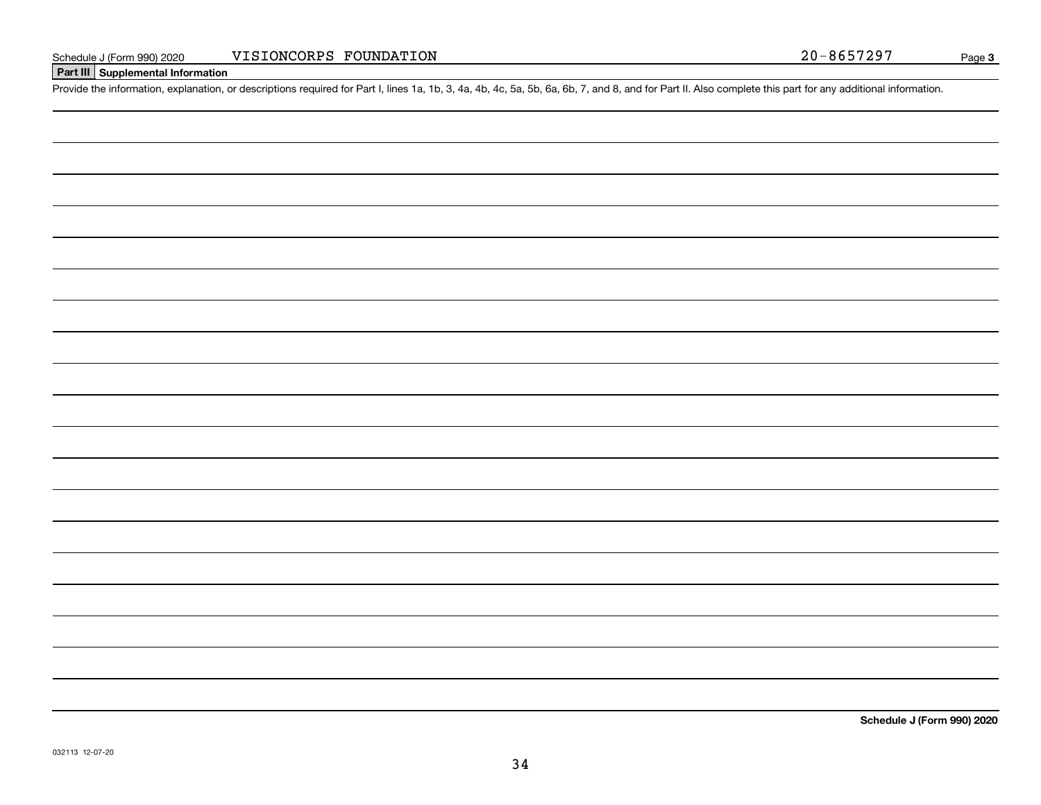#### **Part III Supplemental Information**

Schedule J (Form 990) 2020 VISIONCORPS FOUNDATION<br>Part III Supplemental Information<br>Provide the information, explanation, or descriptions required for Part I, lines 1a, 1b, 3, 4a, 4b, 4c, 5a, 5b, 6a, 6b, 7, and 8, and for

**Schedule J (Form 990) 2020**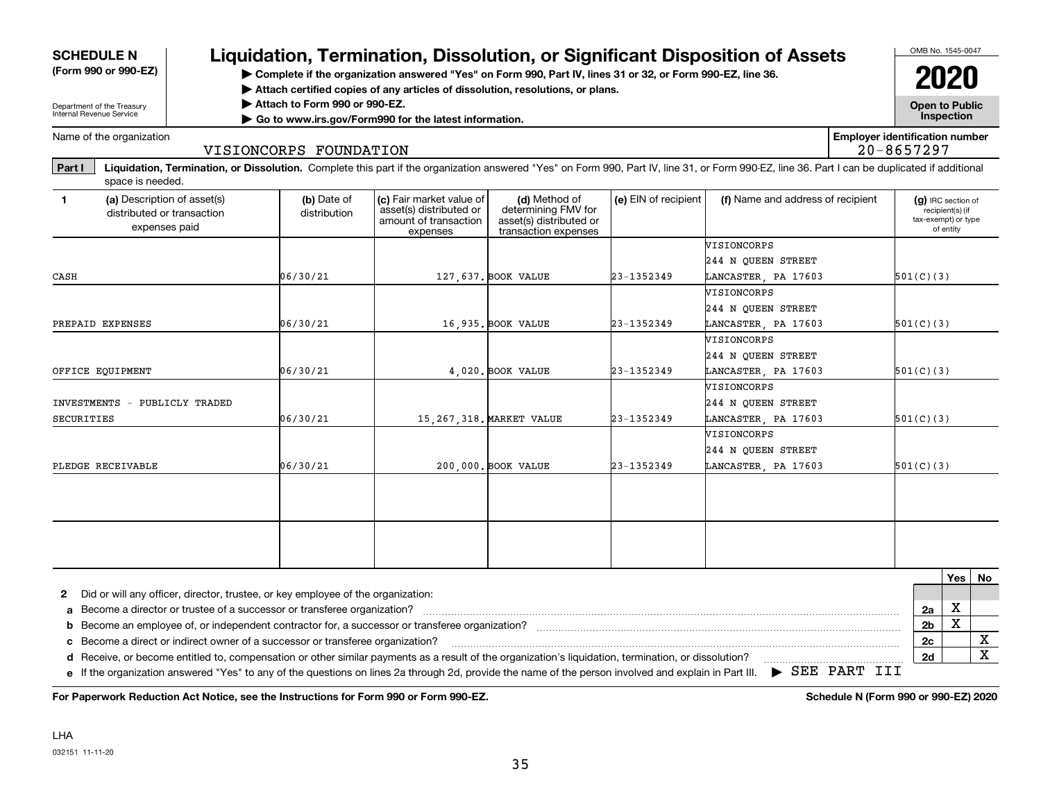| <b>SCHEDULE N</b>                                                                          |                                                                                  |                               |                                                                                               |                                                                                                                                                                                                |                      | Liquidation, Termination, Dissolution, or Significant Disposition of Assets                                                                                                                    |                                       | OMB No. 1545-0047     |                                                     |  |
|--------------------------------------------------------------------------------------------|----------------------------------------------------------------------------------|-------------------------------|-----------------------------------------------------------------------------------------------|------------------------------------------------------------------------------------------------------------------------------------------------------------------------------------------------|----------------------|------------------------------------------------------------------------------------------------------------------------------------------------------------------------------------------------|---------------------------------------|-----------------------|-----------------------------------------------------|--|
| (Form 990 or 990-EZ)                                                                       |                                                                                  |                               |                                                                                               | > Complete if the organization answered "Yes" on Form 990, Part IV, lines 31 or 32, or Form 990-EZ, line 36.<br>Attach certified copies of any articles of dissolution, resolutions, or plans. |                      |                                                                                                                                                                                                |                                       |                       | 2020                                                |  |
| Department of the Treasury<br>Internal Revenue Service                                     |                                                                                  | Attach to Form 990 or 990-EZ. | Go to www.irs.gov/Form990 for the latest information.                                         |                                                                                                                                                                                                |                      |                                                                                                                                                                                                |                                       | <b>Open to Public</b> | Inspection                                          |  |
| Name of the organization                                                                   |                                                                                  | VISIONCORPS FOUNDATION        |                                                                                               |                                                                                                                                                                                                |                      |                                                                                                                                                                                                | <b>Employer identification number</b> | $20 - 8657297$        |                                                     |  |
| Part I<br>space is needed.                                                                 |                                                                                  |                               |                                                                                               |                                                                                                                                                                                                |                      | Liquidation, Termination, or Dissolution. Complete this part if the organization answered "Yes" on Form 990, Part IV, line 31, or Form 990-EZ, line 36. Part I can be duplicated if additional |                                       |                       |                                                     |  |
| $\mathbf{1}$<br>(a) Description of asset(s)<br>distributed or transaction<br>expenses paid |                                                                                  | (b) Date of<br>distribution   | (c) Fair market value of<br>asset(s) distributed or<br>amount of transaction<br>expenses      | (d) Method of<br>determining FMV for<br>asset(s) distributed or<br>transaction expenses                                                                                                        | (e) EIN of recipient | (f) Name and address of recipient                                                                                                                                                              |                                       | tax-exempt) or type   | (g) IRC section of<br>recipient(s) (if<br>of entity |  |
|                                                                                            |                                                                                  |                               |                                                                                               |                                                                                                                                                                                                |                      | WISIONCORPS<br>244 N QUEEN STREET                                                                                                                                                              |                                       |                       |                                                     |  |
| CASH                                                                                       |                                                                                  | 06/30/21                      |                                                                                               | 127,637. BOOK VALUE                                                                                                                                                                            | 23-1352349           | LANCASTER, PA 17603<br><b><i>NISIONCORPS</i></b><br>244 N OUEEN STREET                                                                                                                         |                                       | 501(C)(3)             |                                                     |  |
| PREPAID EXPENSES                                                                           |                                                                                  | 06/30/21                      |                                                                                               | 16.935. BOOK VALUE                                                                                                                                                                             | 23-1352349           | LANCASTER, PA 17603                                                                                                                                                                            |                                       | 501(C)(3)             |                                                     |  |
|                                                                                            |                                                                                  |                               |                                                                                               |                                                                                                                                                                                                |                      | VISIONCORPS<br>244 N QUEEN STREET                                                                                                                                                              |                                       |                       |                                                     |  |
| OFFICE EQUIPMENT                                                                           |                                                                                  | 06/30/21                      |                                                                                               | 4.020. BOOK VALUE                                                                                                                                                                              | 23-1352349           | LANCASTER, PA 17603                                                                                                                                                                            |                                       | 501(C)(3)             |                                                     |  |
| INVESTMENTS - PUBLICLY TRADED                                                              |                                                                                  |                               |                                                                                               |                                                                                                                                                                                                |                      | WISIONCORPS<br>244 N OUEEN STREET                                                                                                                                                              |                                       |                       |                                                     |  |
| SECURITIES                                                                                 |                                                                                  | 06/30/21                      |                                                                                               | 15, 267, 318. MARKET VALUE                                                                                                                                                                     | 23-1352349           | LANCASTER, PA 17603                                                                                                                                                                            |                                       | 501(C)(3)             |                                                     |  |
|                                                                                            |                                                                                  |                               |                                                                                               |                                                                                                                                                                                                |                      | VISIONCORPS<br>244 N OUEEN STREET                                                                                                                                                              |                                       |                       |                                                     |  |
| PLEDGE RECEIVABLE                                                                          |                                                                                  | 06/30/21                      |                                                                                               | 200,000. BOOK VALUE                                                                                                                                                                            | 23-1352349           | LANCASTER, PA 17603                                                                                                                                                                            |                                       | 501(C)(3)             |                                                     |  |
|                                                                                            |                                                                                  |                               |                                                                                               |                                                                                                                                                                                                |                      |                                                                                                                                                                                                |                                       |                       |                                                     |  |
|                                                                                            |                                                                                  |                               |                                                                                               |                                                                                                                                                                                                |                      |                                                                                                                                                                                                |                                       |                       |                                                     |  |
|                                                                                            |                                                                                  |                               |                                                                                               |                                                                                                                                                                                                |                      |                                                                                                                                                                                                |                                       |                       | Yes   No                                            |  |
| $\mathbf{2}$                                                                               | Did or will any officer, director, trustee, or key employee of the organization: |                               |                                                                                               |                                                                                                                                                                                                |                      |                                                                                                                                                                                                |                                       |                       |                                                     |  |
| b                                                                                          | Become a director or trustee of a successor or transferee organization?          |                               | Become an employee of, or independent contractor for, a successor or transferee organization? |                                                                                                                                                                                                |                      |                                                                                                                                                                                                |                                       | 2a<br>2 <sub>b</sub>  | X<br>$\overline{\mathbf{x}}$                        |  |

 **c**Become a direct or indirect owner of a successor or transferee organization? ~~~~~~~~~~~~~~~~~~~~~~~~~~~~~~~~~~~~~~~~~~~~~~~~ d Receive, or become entitled to, compensation or other similar payments as a result of the organization's liquidation, termination, or dissolution?<br>
<sub>compropersions</sub>
<sub>compropersion</sub> or discussion:
section, the organizatio

**e** If the organization answered "Yes" to any of the questions on lines 2a through 2d, provide the name of the person involved and explain in Part III.  $\blacktriangleright$  SEE PART III

**For Paperwork Reduction Act Notice, see the Instructions for Form 990 or Form 990-EZ. Schedule N (Form 990 or 990-EZ) 2020**

**2b**X **2c2d**

X X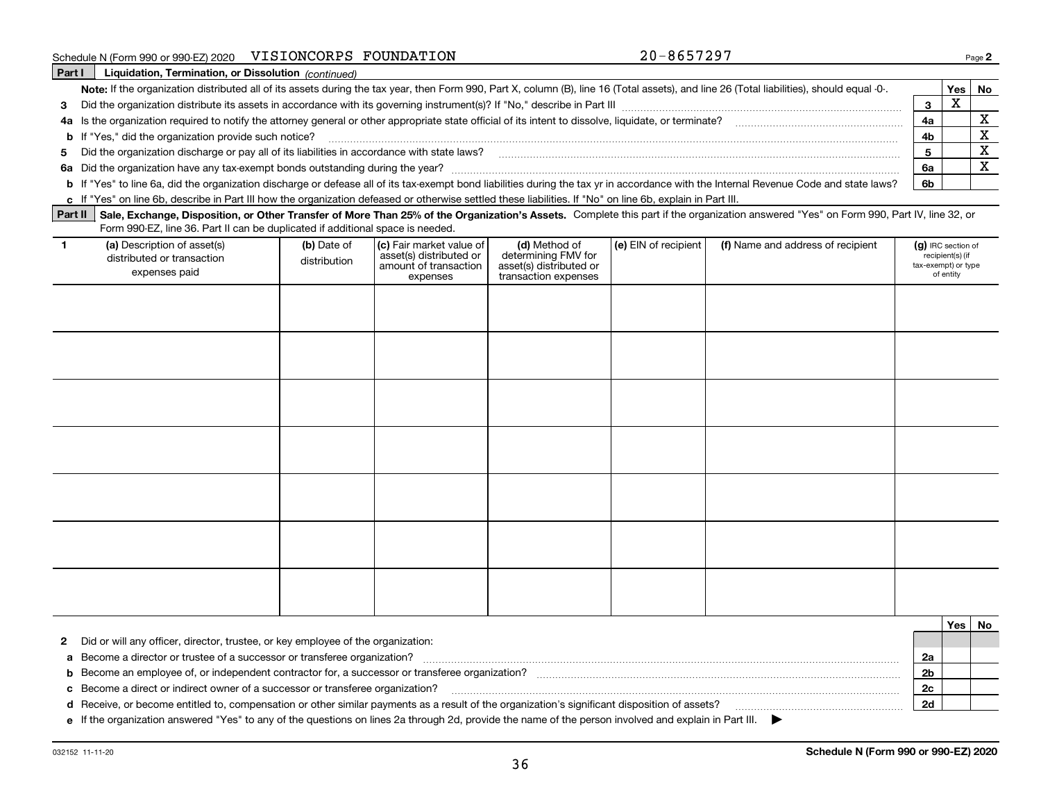| Schedule N (Form 990 or 990-EZ) 2020 | VISIONCORPS FOUNDATION |  |
|--------------------------------------|------------------------|--|
|--------------------------------------|------------------------|--|

VISIONCORPS FOUNDATION 20-8657297

| Part I | Liquidation, Termination, or Dissolution (continued)                                                                                                                                      |     |          |  |
|--------|-------------------------------------------------------------------------------------------------------------------------------------------------------------------------------------------|-----|----------|--|
|        | Note: If the organization distributed all of its assets during the tax year, then Form 990, Part X, column (B), line 16 (Total assets), and line 26 (Total liabilities), should equal -0- |     | Yes   No |  |
|        | 3 Did the organization distribute its assets in accordance with its governing instrument(s)? If "No," describe in Part III                                                                |     |          |  |
|        | 4a Is the organization required to notify the attorney general or other appropriate state official of its intent to dissolve, liquidate, or terminate?                                    |     |          |  |
|        | <b>b</b> If "Yes," did the organization provide such notice?                                                                                                                              |     |          |  |
|        | 5 Did the organization discharge or pay all of its liabilities in accordance with state laws?                                                                                             |     |          |  |
|        | 6a Did the organization have any tax-exempt bonds outstanding during the year?                                                                                                            |     |          |  |
|        | b If "Yes" to line 6a, did the organization discharge or defease all of its tax-exempt bond liabilities during the tax yr in accordance with the Internal Revenue Code and state laws?    | -6b |          |  |
|        |                                                                                                                                                                                           |     |          |  |

**c**If "Yes" on line 6b, describe in Part III how the organization defeased or otherwise settled these liabilities. If "No" on line 6b, explain in Part III.

Part II Sale, Exchange, Disposition, or Other Transfer of More Than 25% of the Organization's Assets. Complete this part if the organization answered "Yes" on Form 990, Part IV, line 32, or Form 990-EZ, line 36. Part II can be duplicated if additional space is needed.

| (a) Description of asset(s)<br>distributed or transaction<br>expenses paid | (b) Date of<br>distribution | (c) Fair market value of<br>asset(s) distributed or<br>amount of transaction<br>expenses | (d) Method of<br>determining FMV for<br>asset(s) distributed or<br>transaction expenses | (e) EIN of recipient | (f) Name and address of recipient | $(g)$ IRC section of<br>recipient(s) (if<br>tax-exempt) or type<br>of entity |
|----------------------------------------------------------------------------|-----------------------------|------------------------------------------------------------------------------------------|-----------------------------------------------------------------------------------------|----------------------|-----------------------------------|------------------------------------------------------------------------------|
|                                                                            |                             |                                                                                          |                                                                                         |                      |                                   |                                                                              |
|                                                                            |                             |                                                                                          |                                                                                         |                      |                                   |                                                                              |
|                                                                            |                             |                                                                                          |                                                                                         |                      |                                   |                                                                              |
|                                                                            |                             |                                                                                          |                                                                                         |                      |                                   |                                                                              |
|                                                                            |                             |                                                                                          |                                                                                         |                      |                                   |                                                                              |
|                                                                            |                             |                                                                                          |                                                                                         |                      |                                   |                                                                              |
|                                                                            |                             |                                                                                          |                                                                                         |                      |                                   |                                                                              |

|                                                                                                                                                       |    | Yes |  |
|-------------------------------------------------------------------------------------------------------------------------------------------------------|----|-----|--|
| 2 Did or will any officer, director, trustee, or key employee of the organization:                                                                    |    |     |  |
| a Become a director or trustee of a successor or transferee organization?                                                                             |    |     |  |
| <b>b</b> Become an employee of, or independent contractor for, a successor or transferee organization?                                                | 2b |     |  |
| c Become a direct or indirect owner of a successor or transferee organization?                                                                        | 2с |     |  |
| d Receive, or become entitled to, compensation or other similar payments as a result of the organization's significant disposition of assets?         |    |     |  |
| e If the organization answered "Yes" to any of the questions on lines 2a through 2d, provide the name of the person involved and explain in Part III. |    |     |  |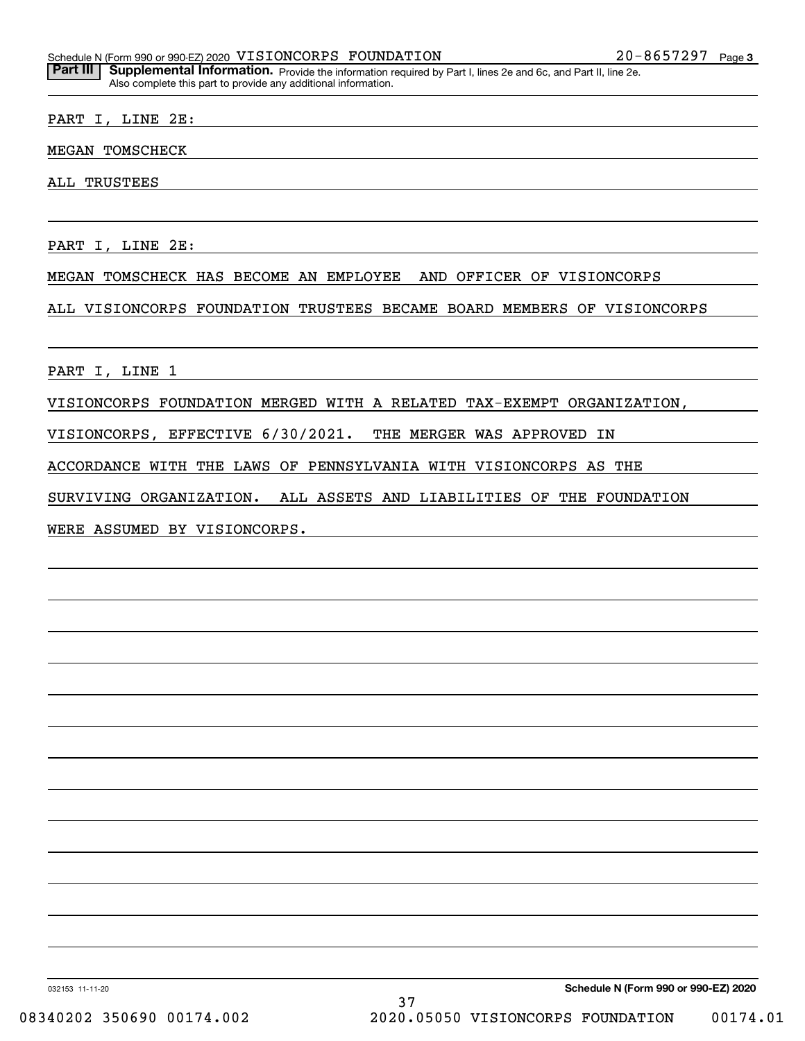Part III | Supplemental Information. Provide the information required by Part I, lines 2e and 6c, and Part II, line 2e. Also complete this part to provide any additional information.

#### PART I, LINE 2E:

#### MEGAN TOMSCHECK

ALL TRUSTEES

PART I, LINE 2E:

#### MEGAN TOMSCHECK HAS BECOME AN EMPLOYEE AND OFFICER OF VISIONCORPS

ALL VISIONCORPS FOUNDATION TRUSTEES BECAME BOARD MEMBERS OF VISIONCORPS

PART I, LINE 1

VISIONCORPS FOUNDATION MERGED WITH A RELATED TAX-EXEMPT ORGANIZATION,

VISIONCORPS, EFFECTIVE 6/30/2021. THE MERGER WAS APPROVED IN

ACCORDANCE WITH THE LAWS OF PENNSYLVANIA WITH VISIONCORPS AS THE

SURVIVING ORGANIZATION. ALL ASSETS AND LIABILITIES OF THE FOUNDATION

WERE ASSUMED BY VISIONCORPS.

032153 11-11-20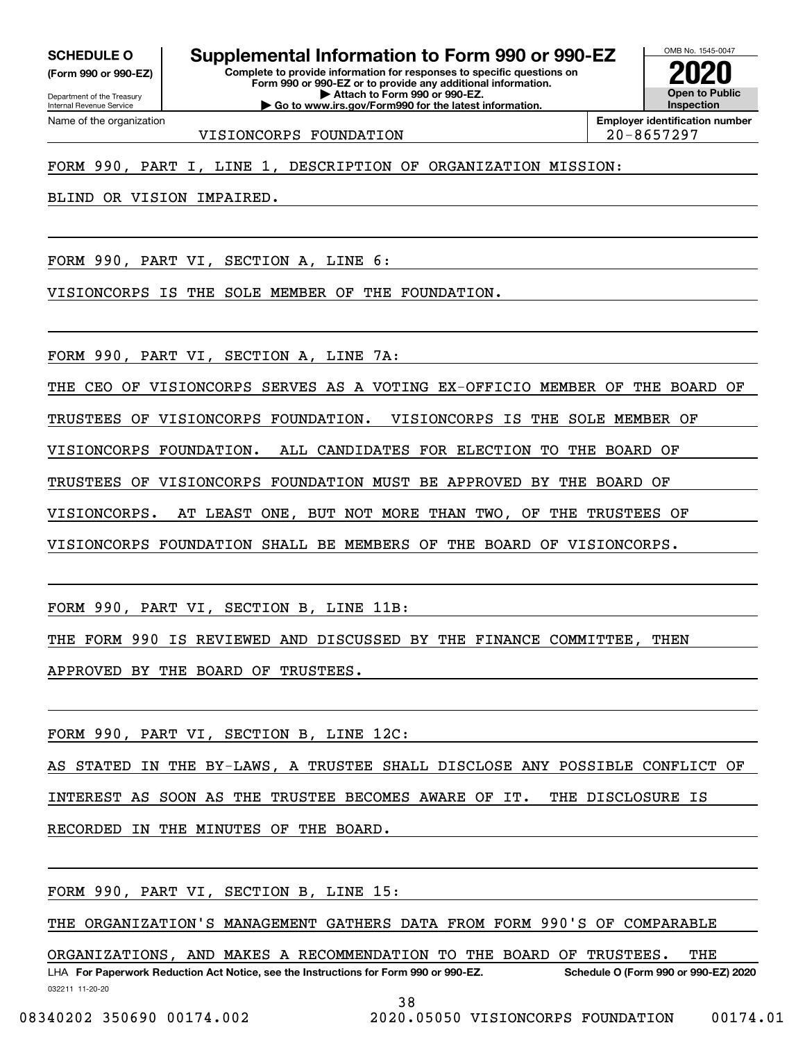Internal Revenue Service

Department of the Treasury **(Form 990 or 990-EZ)**

Name of the organization

**Complete to provide information for responses to specific questions on Form 990 or 990-EZ or to provide any additional information. | Attach to Form 990 or 990-EZ. | Go to www.irs.gov/Form990 for the latest information. SCHEDULE O Supplemental Information to Form 990 or 990-EZ**

OMB No. 1545-0047 **Open to Public InspectionEmployer identification number 2020**

VISIONCORPS FOUNDATION 20-8657297

FORM 990, PART I, LINE 1, DESCRIPTION OF ORGANIZATION MISSION:

BLIND OR VISION IMPAIRED.

FORM 990, PART VI, SECTION A, LINE 6:

VISIONCORPS IS THE SOLE MEMBER OF THE FOUNDATION.

FORM 990, PART VI, SECTION A, LINE 7A:

THE CEO OF VISIONCORPS SERVES AS A VOTING EX-OFFICIO MEMBER OF THE BOARD OF

TRUSTEES OF VISIONCORPS FOUNDATION. VISIONCORPS IS THE SOLE MEMBER OF

VISIONCORPS FOUNDATION. ALL CANDIDATES FOR ELECTION TO THE BOARD OF

TRUSTEES OF VISIONCORPS FOUNDATION MUST BE APPROVED BY THE BOARD OF

VISIONCORPS. AT LEAST ONE, BUT NOT MORE THAN TWO, OF THE TRUSTEES OF

VISIONCORPS FOUNDATION SHALL BE MEMBERS OF THE BOARD OF VISIONCORPS.

FORM 990, PART VI, SECTION B, LINE 11B:

THE FORM 990 IS REVIEWED AND DISCUSSED BY THE FINANCE COMMITTEE, THEN

APPROVED BY THE BOARD OF TRUSTEES.

FORM 990, PART VI, SECTION B, LINE 12C:

AS STATED IN THE BY-LAWS, A TRUSTEE SHALL DISCLOSE ANY POSSIBLE CONFLICT OF

INTEREST AS SOON AS THE TRUSTEE BECOMES AWARE OF IT. THE DISCLOSURE IS

RECORDED IN THE MINUTES OF THE BOARD.

FORM 990, PART VI, SECTION B, LINE 15:

THE ORGANIZATION'S MANAGEMENT GATHERS DATA FROM FORM 990'S OF COMPARABLE

032211 11-20-20 LHA For Paperwork Reduction Act Notice, see the Instructions for Form 990 or 990-EZ. Schedule O (Form 990 or 990-EZ) 2020 ORGANIZATIONS, AND MAKES A RECOMMENDATION TO THE BOARD OF TRUSTEES. THE

38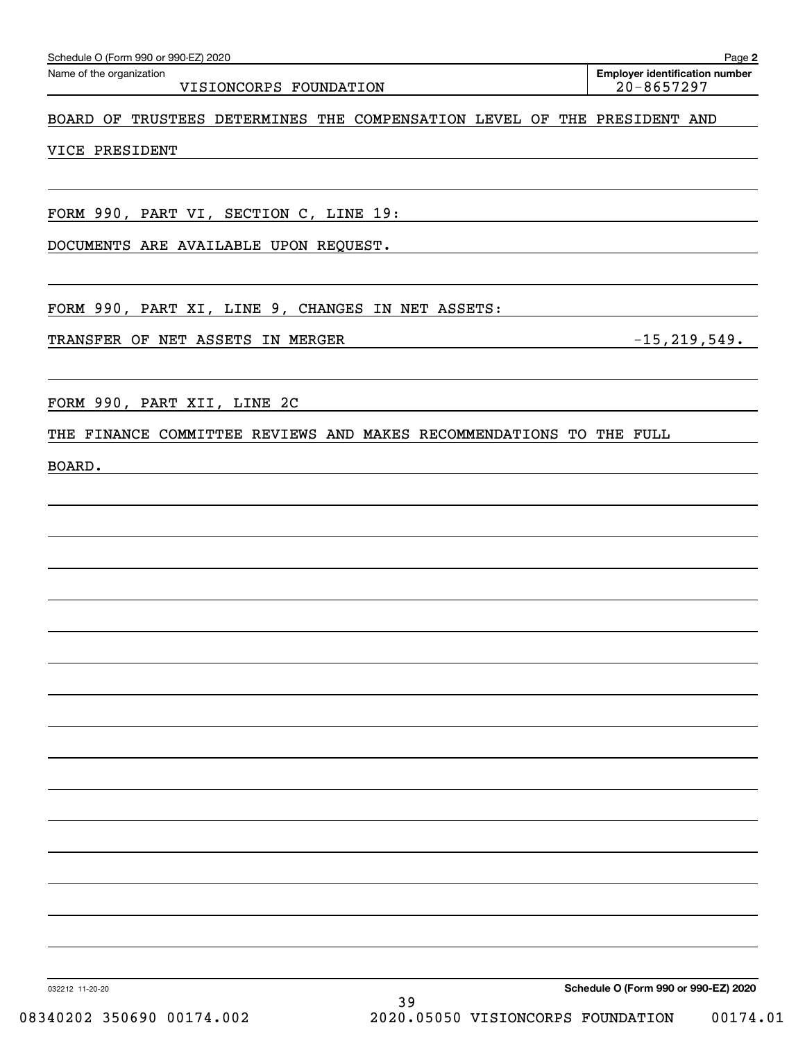| TRANSFER OF NET ASSETS IN MERGER                                    |                                   | $-15, 219, 549.$                     |
|---------------------------------------------------------------------|-----------------------------------|--------------------------------------|
|                                                                     |                                   |                                      |
|                                                                     |                                   |                                      |
| FORM 990, PART XII, LINE 2C                                         |                                   |                                      |
| THE FINANCE COMMITTEE REVIEWS AND MAKES RECOMMENDATIONS TO THE FULL |                                   |                                      |
| BOARD.                                                              |                                   |                                      |
|                                                                     |                                   |                                      |
|                                                                     |                                   |                                      |
|                                                                     |                                   |                                      |
|                                                                     |                                   |                                      |
|                                                                     |                                   |                                      |
|                                                                     |                                   |                                      |
|                                                                     |                                   |                                      |
|                                                                     |                                   |                                      |
|                                                                     |                                   |                                      |
|                                                                     |                                   |                                      |
|                                                                     |                                   |                                      |
|                                                                     |                                   |                                      |
|                                                                     |                                   |                                      |
|                                                                     |                                   |                                      |
|                                                                     |                                   |                                      |
|                                                                     |                                   |                                      |
|                                                                     |                                   |                                      |
|                                                                     |                                   |                                      |
|                                                                     |                                   | Schedule O (Form 990 or 990-EZ) 2020 |
| 032212 11-20-20                                                     | 39                                |                                      |
| 08340202 350690 00174.002                                           | 2020.05050 VISIONCORPS FOUNDATION | 00174.01                             |

VISIONCORPS FOUNDATION | 20-8657297

Echedule O (Form 990 or 990-EZ) 2020<br>Name of the organization **number** Name of the organization **number** 

BOARD OF TRUSTEES DETERMINES THE COMPENSATION LEVEL OF THE PRESIDENT AND

VICE PRESIDENT

FORM 990, PART VI, SECTION C, LINE 19:

DOCUMENTS ARE AVAILABLE UPON REQUEST.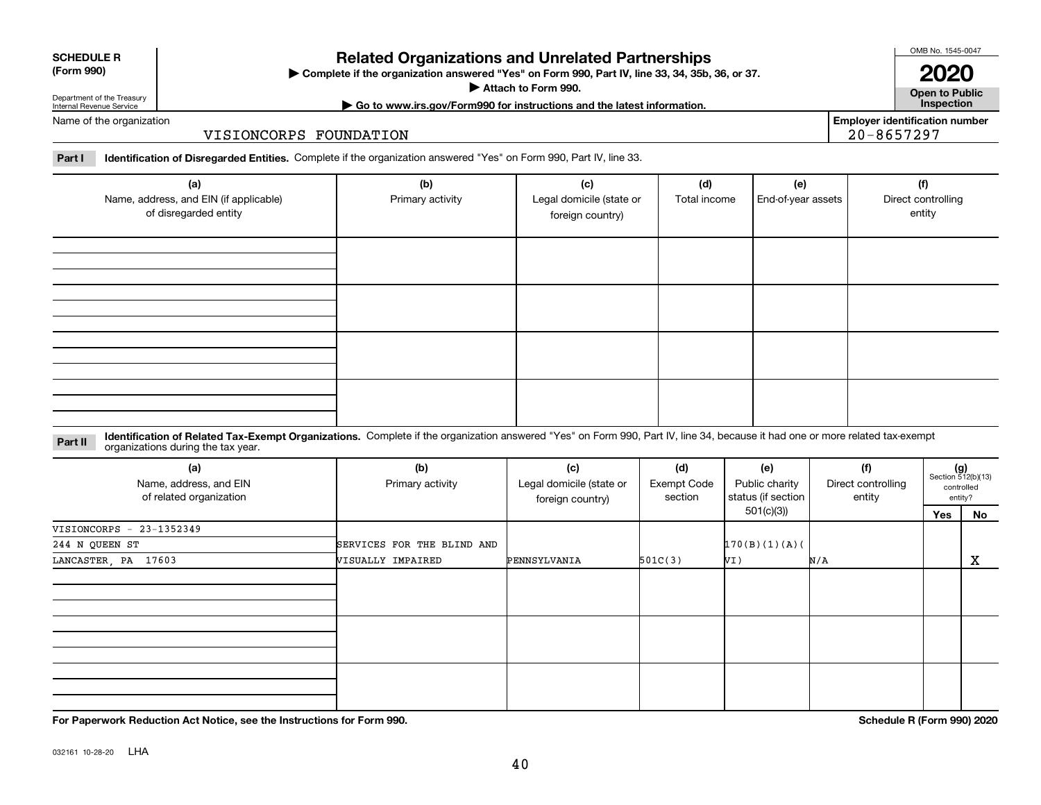**For Paperwork Reduction Act Notice, see the Instructions for Form 990. Schedule R (Form 990) 2020**

# **Related Organizations and Unrelated Partnerships**

**Complete if the organization answered "Yes" on Form 990, Part IV, line 33, 34, 35b, 36, or 37.** |

**Attach to Form 990.**  |

# Department of the Treasury Internal Revenue Service

Name of the organization

#### VISIONCORPS FOUNDATION

**Part I Identification of Disregarded Entities.**  Complete if the organization answered "Yes" on Form 990, Part IV, line 33.

| (a)<br>Name, address, and EIN (if applicable)<br>of disregarded entity | (b)<br>Primary activity | (c)<br>Legal domicile (state or<br>foreign country) | (d)<br>Total income | (e)<br>End-of-year assets | (f)<br>Direct controlling<br>entity |
|------------------------------------------------------------------------|-------------------------|-----------------------------------------------------|---------------------|---------------------------|-------------------------------------|
|                                                                        |                         |                                                     |                     |                           |                                     |
|                                                                        |                         |                                                     |                     |                           |                                     |
|                                                                        |                         |                                                     |                     |                           |                                     |
|                                                                        |                         |                                                     |                     |                           |                                     |

#### **Identification of Related Tax-Exempt Organizations.** Complete if the organization answered "Yes" on Form 990, Part IV, line 34, because it had one or more related tax-exempt **Part II** organizations during the tax year.

| (a)<br>Name, address, and EIN<br>of related organization | (b)<br>Primary activity    | (c)<br>Legal domicile (state or<br>foreign country) | (d)<br><b>Exempt Code</b><br>section | (e)<br>Public charity<br>status (if section | (f)<br>Direct controlling<br>entity |     | $(g)$<br>Section 512(b)(13)<br>controlled<br>entity? |
|----------------------------------------------------------|----------------------------|-----------------------------------------------------|--------------------------------------|---------------------------------------------|-------------------------------------|-----|------------------------------------------------------|
|                                                          |                            |                                                     |                                      | 501(c)(3))                                  |                                     | Yes | No                                                   |
| VISIONCORPS - $23-1352349$                               |                            |                                                     |                                      |                                             |                                     |     |                                                      |
| 244 N QUEEN ST                                           | SERVICES FOR THE BLIND AND |                                                     |                                      | 170(B)(1)(A)                                |                                     |     |                                                      |
| LANCASTER, PA 17603                                      | VISUALLY IMPAIRED          | PENNSYLVANIA                                        | 501C(3)                              | VI)                                         | N/A                                 |     | X                                                    |
|                                                          |                            |                                                     |                                      |                                             |                                     |     |                                                      |
|                                                          |                            |                                                     |                                      |                                             |                                     |     |                                                      |
|                                                          |                            |                                                     |                                      |                                             |                                     |     |                                                      |
|                                                          |                            |                                                     |                                      |                                             |                                     |     |                                                      |
|                                                          |                            |                                                     |                                      |                                             |                                     |     |                                                      |
|                                                          |                            |                                                     |                                      |                                             |                                     |     |                                                      |
|                                                          |                            |                                                     |                                      |                                             |                                     |     |                                                      |

**Employer identification number** 20-8657297

OMB No. 1545-0047 **2020**

**Open to Public**

**| Go to www.irs.gov/Form990 for instructions and the latest information. Inspection**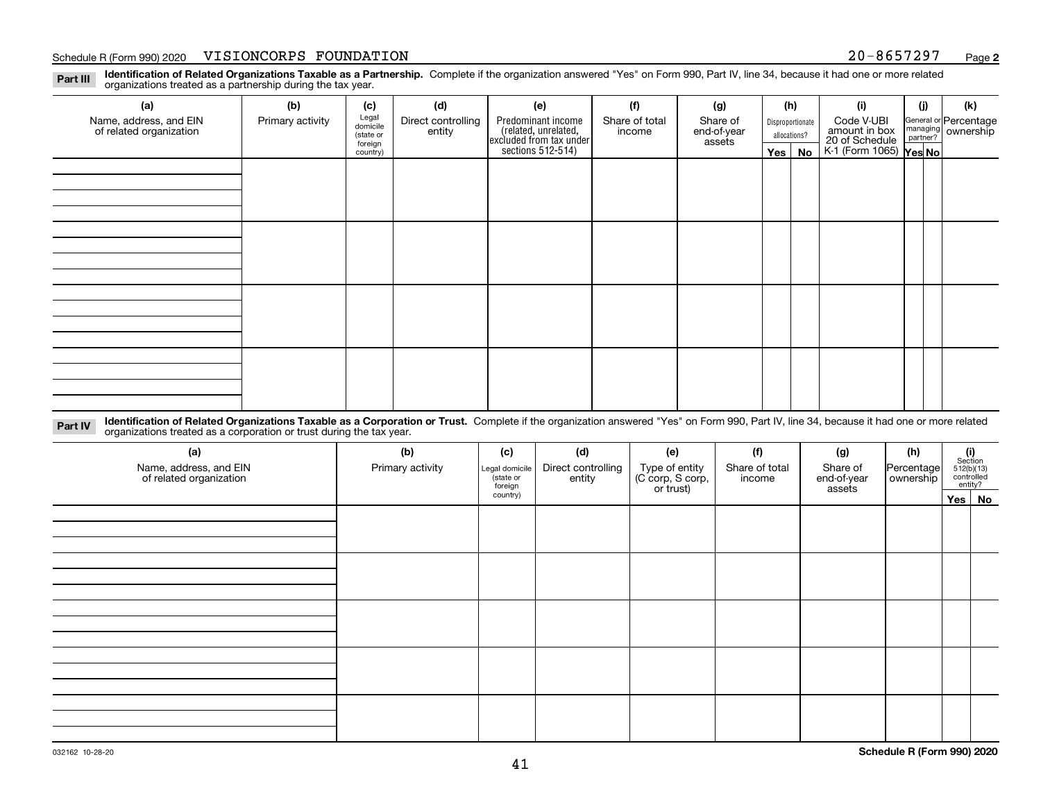**Identification of Related Organizations Taxable as a Partnership.** Complete if the organization answered "Yes" on Form 990, Part IV, line 34, because it had one or more related **Part III** organizations treated as a partnership during the tax year.

| (a)                                               | (b)              | (c)                  | (d)                          | (e)                                                                  | (f)                      | (g)                     |              | (h)              | (i)                                                       | (i) | (k)                                                       |
|---------------------------------------------------|------------------|----------------------|------------------------------|----------------------------------------------------------------------|--------------------------|-------------------------|--------------|------------------|-----------------------------------------------------------|-----|-----------------------------------------------------------|
| Name, address, and EIN<br>of related organization | Primary activity | Legal<br>domicile    | Direct controlling<br>entity | Predominant income                                                   | Share of total<br>income | Share of<br>end-of-year |              | Disproportionate | Code V-UBI                                                |     | General or Percentage<br>managing<br>partner?<br>partner? |
|                                                   |                  | (state or<br>foreign |                              |                                                                      |                          | assets                  | allocations? |                  |                                                           |     |                                                           |
|                                                   | country)         |                      |                              | (related, unrelated,<br>excluded from tax under<br>sections 512-514) |                          |                         | Yes $ $      | No               | amount in box<br>20 of Schedule<br>K-1 (Form 1065) Yes No |     |                                                           |
|                                                   |                  |                      |                              |                                                                      |                          |                         |              |                  |                                                           |     |                                                           |
|                                                   |                  |                      |                              |                                                                      |                          |                         |              |                  |                                                           |     |                                                           |
|                                                   |                  |                      |                              |                                                                      |                          |                         |              |                  |                                                           |     |                                                           |
|                                                   |                  |                      |                              |                                                                      |                          |                         |              |                  |                                                           |     |                                                           |
|                                                   |                  |                      |                              |                                                                      |                          |                         |              |                  |                                                           |     |                                                           |
|                                                   |                  |                      |                              |                                                                      |                          |                         |              |                  |                                                           |     |                                                           |
|                                                   |                  |                      |                              |                                                                      |                          |                         |              |                  |                                                           |     |                                                           |
|                                                   |                  |                      |                              |                                                                      |                          |                         |              |                  |                                                           |     |                                                           |
|                                                   |                  |                      |                              |                                                                      |                          |                         |              |                  |                                                           |     |                                                           |
|                                                   |                  |                      |                              |                                                                      |                          |                         |              |                  |                                                           |     |                                                           |
|                                                   |                  |                      |                              |                                                                      |                          |                         |              |                  |                                                           |     |                                                           |
|                                                   |                  |                      |                              |                                                                      |                          |                         |              |                  |                                                           |     |                                                           |
|                                                   |                  |                      |                              |                                                                      |                          |                         |              |                  |                                                           |     |                                                           |
|                                                   |                  |                      |                              |                                                                      |                          |                         |              |                  |                                                           |     |                                                           |
|                                                   |                  |                      |                              |                                                                      |                          |                         |              |                  |                                                           |     |                                                           |
|                                                   |                  |                      |                              |                                                                      |                          |                         |              |                  |                                                           |     |                                                           |

**Identification of Related Organizations Taxable as a Corporation or Trust.** Complete if the organization answered "Yes" on Form 990, Part IV, line 34, because it had one or more related **Part IV** organizations treated as a corporation or trust during the tax year.

| (a)<br>Name, address, and EIN<br>of related organization | (b)<br>Primary activity | (c)<br>Legal domicile<br>(state or<br>foreign | (d)<br>Direct controlling<br>entity | (e)<br>Type of entity<br>(C corp, S corp,<br>or trust) | (f)<br>Share of total<br>income | (g)<br>Share of<br>end-of-year<br>assets | (h)<br>Percentage<br>ownership | (i)<br>Section<br>512(b)(13)<br>controlled<br>entity? |        |  |  |  |
|----------------------------------------------------------|-------------------------|-----------------------------------------------|-------------------------------------|--------------------------------------------------------|---------------------------------|------------------------------------------|--------------------------------|-------------------------------------------------------|--------|--|--|--|
|                                                          |                         | country)                                      |                                     |                                                        |                                 |                                          |                                |                                                       | Yes No |  |  |  |
|                                                          |                         |                                               |                                     |                                                        |                                 |                                          |                                |                                                       |        |  |  |  |
|                                                          |                         |                                               |                                     |                                                        |                                 |                                          |                                |                                                       |        |  |  |  |
|                                                          |                         |                                               |                                     |                                                        |                                 |                                          |                                |                                                       |        |  |  |  |
|                                                          |                         |                                               |                                     |                                                        |                                 |                                          |                                |                                                       |        |  |  |  |
|                                                          |                         |                                               |                                     |                                                        |                                 |                                          |                                |                                                       |        |  |  |  |
|                                                          |                         |                                               |                                     |                                                        |                                 |                                          |                                |                                                       |        |  |  |  |
|                                                          |                         |                                               |                                     |                                                        |                                 |                                          |                                |                                                       |        |  |  |  |
|                                                          |                         |                                               |                                     |                                                        |                                 |                                          |                                |                                                       |        |  |  |  |
|                                                          |                         |                                               |                                     |                                                        |                                 |                                          |                                |                                                       |        |  |  |  |
|                                                          |                         |                                               |                                     |                                                        |                                 |                                          |                                |                                                       |        |  |  |  |
|                                                          |                         |                                               |                                     |                                                        |                                 |                                          |                                |                                                       |        |  |  |  |
|                                                          |                         |                                               |                                     |                                                        |                                 |                                          |                                |                                                       |        |  |  |  |
|                                                          |                         |                                               |                                     |                                                        |                                 |                                          |                                |                                                       |        |  |  |  |
|                                                          |                         |                                               |                                     |                                                        |                                 |                                          |                                |                                                       |        |  |  |  |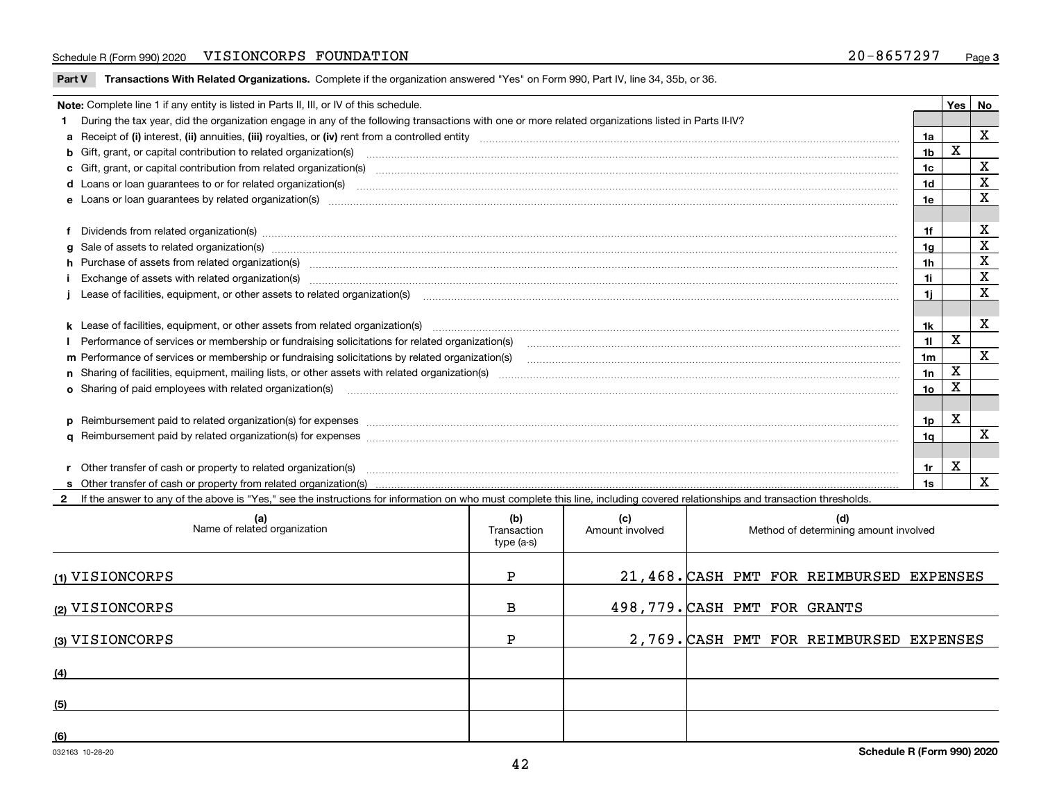**Part V** T**ransactions With Related Organizations.** Complete if the organization answered "Yes" on Form 990, Part IV, line 34, 35b, or 36.

| Note: Complete line 1 if any entity is listed in Parts II, III, or IV of this schedule.                                                                                                                                        |                | Yes         | No           |
|--------------------------------------------------------------------------------------------------------------------------------------------------------------------------------------------------------------------------------|----------------|-------------|--------------|
| 1 During the tax year, did the organization engage in any of the following transactions with one or more related organizations listed in Parts II-IV?                                                                          |                |             |              |
|                                                                                                                                                                                                                                | 1a             |             | $\mathbf{x}$ |
| b Gift, grant, or capital contribution to related organization(s) material contracts and contribution to related organization(s)                                                                                               | 1b             | X           |              |
| c Gift, grant, or capital contribution from related organization(s) manufaction contribution from related organization(s) manufaction contribution from related organization(s) manufaction contribution from related organiza | 1c             |             | X            |
| <b>d</b> Loans or loan quarantees to or for related organization(s)                                                                                                                                                            | 1d             |             | х            |
|                                                                                                                                                                                                                                | 1e             |             | X            |
|                                                                                                                                                                                                                                |                |             |              |
| f Dividends from related organization(s) manufactured contains and contained and contained and contained and contained and contained and contained and contained and contained and contained and contained and contained and c | 1f             |             | х            |
|                                                                                                                                                                                                                                | 1a             |             | X            |
|                                                                                                                                                                                                                                | 1h             |             | X            |
|                                                                                                                                                                                                                                | 1i.            |             | $\mathbf X$  |
| Lease of facilities, equipment, or other assets to related organization(s) contraction contraction control and the set of facilities, equipment, or other assets to related organization(s) contraction control and the set of | 1i.            |             | X            |
|                                                                                                                                                                                                                                |                |             |              |
|                                                                                                                                                                                                                                | 1k             |             | X            |
|                                                                                                                                                                                                                                | 11             | X           |              |
| m Performance of services or membership or fundraising solicitations by related organization(s)                                                                                                                                | 1 <sub>m</sub> |             | $\mathbf{x}$ |
|                                                                                                                                                                                                                                | 1n             | X           |              |
| <b>o</b> Sharing of paid employees with related organization(s)                                                                                                                                                                | 10             | х           |              |
|                                                                                                                                                                                                                                |                |             |              |
| p Reimbursement paid to related organization(s) for expenses [11111] [12] reasonal content of the separation (s) for expenses [11111] [12] reasonal content in the separation (s) for expenses [1111] [12] reasonal content in | 1p             | х           |              |
|                                                                                                                                                                                                                                | 1a             |             | $\mathbf{x}$ |
|                                                                                                                                                                                                                                |                |             |              |
| r Other transfer of cash or property to related organization(s)                                                                                                                                                                | 1r             | $\mathbf x$ |              |
|                                                                                                                                                                                                                                | 1s             |             | X            |
| 2 If the answer to any of the above is "Yes," see the instructions for information on who must complete this line, including covered relationships and transaction thresholds.                                                 |                |             |              |

| (a)<br>Name of related organization | (b)<br>Transaction<br>type (a-s) | (c)<br>Amount involved | (d)<br>Method of determining amount involved |
|-------------------------------------|----------------------------------|------------------------|----------------------------------------------|
| (1) VISIONCORPS                     | P                                |                        | 21,468. CASH PMT FOR REIMBURSED EXPENSES     |
| (2) VISIONCORPS                     | в                                |                        | 498,779. CASH PMT FOR GRANTS                 |
| (3) VISIONCORPS                     | Þ                                |                        | 2,769. CASH PMT FOR REIMBURSED EXPENSES      |
| (4)                                 |                                  |                        |                                              |
| (5)                                 |                                  |                        |                                              |
| (6)                                 |                                  |                        |                                              |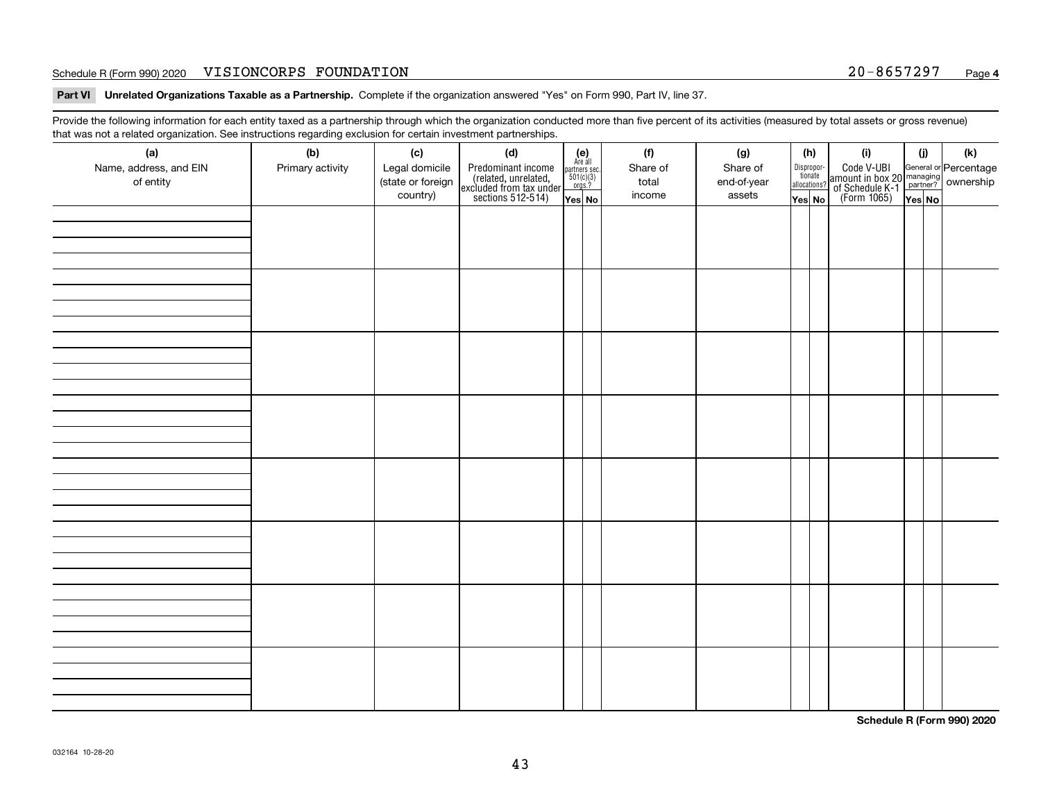**Part VI Unrelated Organizations Taxable as a Partnership. Complete if the organization answered "Yes" on Form 990, Part IV, line 37.** 

Provide the following information for each entity taxed as a partnership through which the organization conducted more than five percent of its activities (measured by total assets or gross revenue) that was not a related organization. See instructions regarding exclusion for certain investment partnerships.

| ັ                      | ັ<br>ັ           |                   |                                                                                            |                                                                                               |          |             |                                  |                                                                                                  |        |     |
|------------------------|------------------|-------------------|--------------------------------------------------------------------------------------------|-----------------------------------------------------------------------------------------------|----------|-------------|----------------------------------|--------------------------------------------------------------------------------------------------|--------|-----|
| (a)                    | (b)              | (c)               | (d)                                                                                        | $(e)$<br>Are all                                                                              | (f)      | (g)         | (h)                              | (i)                                                                                              | (i)    | (k) |
| Name, address, and EIN | Primary activity | Legal domicile    | Predominant income<br>(related, unrelated,<br>excluded from tax under<br>sections 512-514) |                                                                                               | Share of | Share of    | Disproportionate<br>allocations? | Code V-UBI<br>amount in box 20 managing<br>of Schedule K-1<br>(Form 1065)<br>$\overline{Yes}$ No |        |     |
| of entity              |                  | (state or foreign |                                                                                            | $\begin{array}{c}\n\text{partners} & \text{sec.} \\ 501(c)(3) & \text{orgs.?} \\ \end{array}$ | total    | end-of-year |                                  |                                                                                                  |        |     |
|                        |                  | country)          |                                                                                            | Yes No                                                                                        | income   | assets      | Yes No                           |                                                                                                  | Yes No |     |
|                        |                  |                   |                                                                                            |                                                                                               |          |             |                                  |                                                                                                  |        |     |
|                        |                  |                   |                                                                                            |                                                                                               |          |             |                                  |                                                                                                  |        |     |
|                        |                  |                   |                                                                                            |                                                                                               |          |             |                                  |                                                                                                  |        |     |
|                        |                  |                   |                                                                                            |                                                                                               |          |             |                                  |                                                                                                  |        |     |
|                        |                  |                   |                                                                                            |                                                                                               |          |             |                                  |                                                                                                  |        |     |
|                        |                  |                   |                                                                                            |                                                                                               |          |             |                                  |                                                                                                  |        |     |
|                        |                  |                   |                                                                                            |                                                                                               |          |             |                                  |                                                                                                  |        |     |
|                        |                  |                   |                                                                                            |                                                                                               |          |             |                                  |                                                                                                  |        |     |
|                        |                  |                   |                                                                                            |                                                                                               |          |             |                                  |                                                                                                  |        |     |
|                        |                  |                   |                                                                                            |                                                                                               |          |             |                                  |                                                                                                  |        |     |
|                        |                  |                   |                                                                                            |                                                                                               |          |             |                                  |                                                                                                  |        |     |
|                        |                  |                   |                                                                                            |                                                                                               |          |             |                                  |                                                                                                  |        |     |
|                        |                  |                   |                                                                                            |                                                                                               |          |             |                                  |                                                                                                  |        |     |
|                        |                  |                   |                                                                                            |                                                                                               |          |             |                                  |                                                                                                  |        |     |
|                        |                  |                   |                                                                                            |                                                                                               |          |             |                                  |                                                                                                  |        |     |
|                        |                  |                   |                                                                                            |                                                                                               |          |             |                                  |                                                                                                  |        |     |
|                        |                  |                   |                                                                                            |                                                                                               |          |             |                                  |                                                                                                  |        |     |
|                        |                  |                   |                                                                                            |                                                                                               |          |             |                                  |                                                                                                  |        |     |
|                        |                  |                   |                                                                                            |                                                                                               |          |             |                                  |                                                                                                  |        |     |
|                        |                  |                   |                                                                                            |                                                                                               |          |             |                                  |                                                                                                  |        |     |
|                        |                  |                   |                                                                                            |                                                                                               |          |             |                                  |                                                                                                  |        |     |
|                        |                  |                   |                                                                                            |                                                                                               |          |             |                                  |                                                                                                  |        |     |
|                        |                  |                   |                                                                                            |                                                                                               |          |             |                                  |                                                                                                  |        |     |
|                        |                  |                   |                                                                                            |                                                                                               |          |             |                                  |                                                                                                  |        |     |
|                        |                  |                   |                                                                                            |                                                                                               |          |             |                                  |                                                                                                  |        |     |
|                        |                  |                   |                                                                                            |                                                                                               |          |             |                                  |                                                                                                  |        |     |
|                        |                  |                   |                                                                                            |                                                                                               |          |             |                                  |                                                                                                  |        |     |
|                        |                  |                   |                                                                                            |                                                                                               |          |             |                                  |                                                                                                  |        |     |
|                        |                  |                   |                                                                                            |                                                                                               |          |             |                                  |                                                                                                  |        |     |
|                        |                  |                   |                                                                                            |                                                                                               |          |             |                                  |                                                                                                  |        |     |
|                        |                  |                   |                                                                                            |                                                                                               |          |             |                                  |                                                                                                  |        |     |
|                        |                  |                   |                                                                                            |                                                                                               |          |             |                                  |                                                                                                  |        |     |
|                        |                  |                   |                                                                                            |                                                                                               |          |             |                                  |                                                                                                  |        |     |
|                        |                  |                   |                                                                                            |                                                                                               |          |             |                                  |                                                                                                  |        |     |
|                        |                  |                   |                                                                                            |                                                                                               |          |             |                                  |                                                                                                  |        |     |
|                        |                  |                   |                                                                                            |                                                                                               |          |             |                                  |                                                                                                  |        |     |
|                        |                  |                   |                                                                                            |                                                                                               |          |             |                                  |                                                                                                  |        |     |
|                        |                  |                   |                                                                                            |                                                                                               |          |             |                                  |                                                                                                  |        |     |
|                        |                  |                   |                                                                                            |                                                                                               |          |             |                                  |                                                                                                  |        |     |
|                        |                  |                   |                                                                                            |                                                                                               |          |             |                                  |                                                                                                  |        |     |

**Schedule R (Form 990) 2020**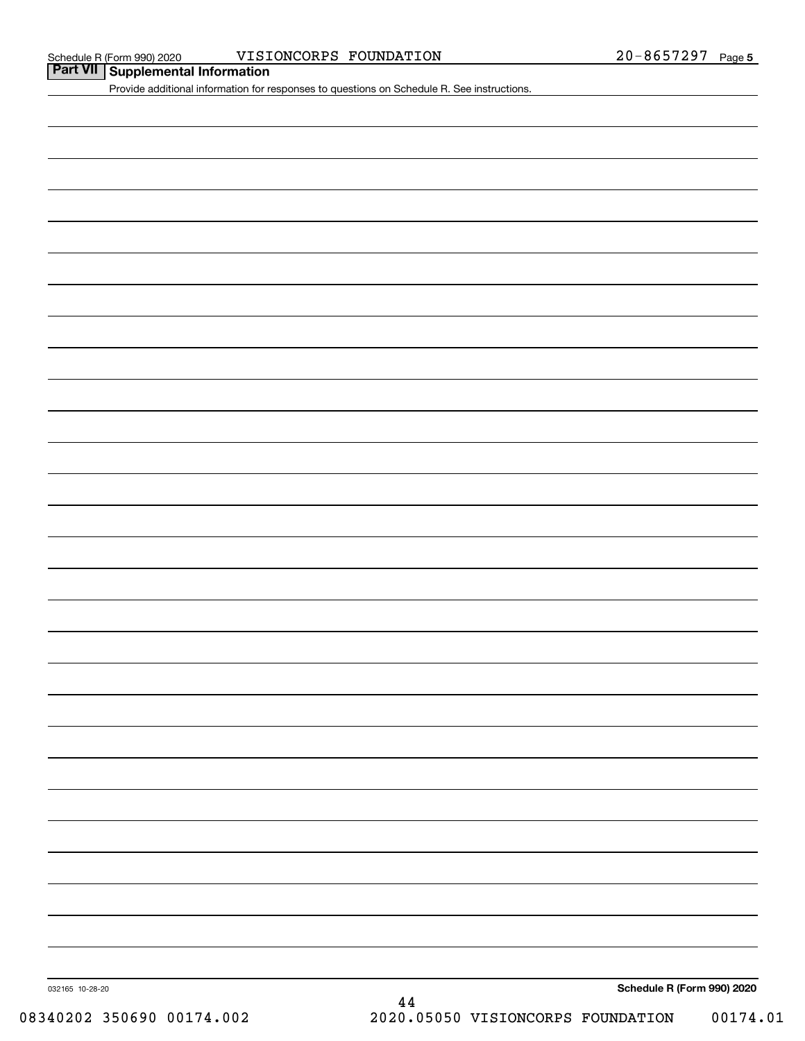#### Schedule R (Form 990) 2020 VISIONCORPS FOUNDATION 2 0-8 6 5 7 2 9 7 Page

**Part VII Supplemental Information**

Provide additional information for responses to questions on Schedule R. See instructions.

**Schedule R (Form 990) 2020**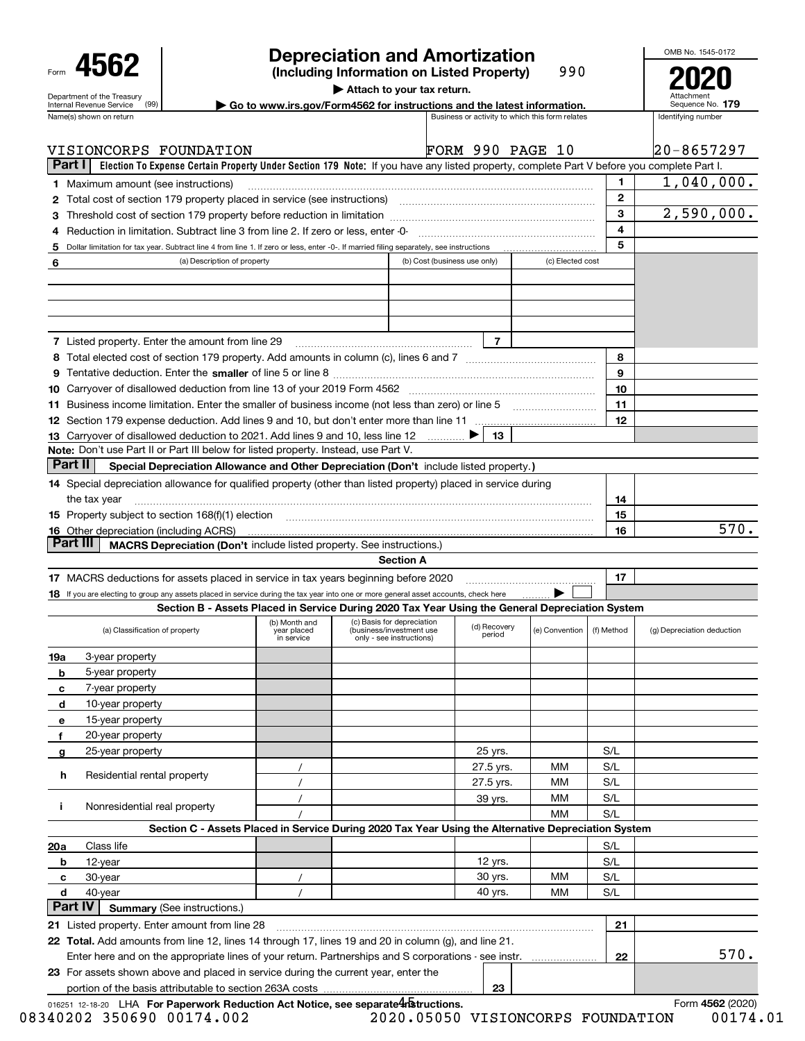|                |                                                                                                                                                                                                                             |                                    |                           | <b>Depreciation and Amortization</b>                                                                                                      |                              |                        |                                                 |              | OMB No. 1545-0172          |
|----------------|-----------------------------------------------------------------------------------------------------------------------------------------------------------------------------------------------------------------------------|------------------------------------|---------------------------|-------------------------------------------------------------------------------------------------------------------------------------------|------------------------------|------------------------|-------------------------------------------------|--------------|----------------------------|
|                | 4562<br>990<br>(Including Information on Listed Property)<br>Attach to your tax return.                                                                                                                                     |                                    |                           |                                                                                                                                           |                              |                        |                                                 |              |                            |
|                | Department of the Treasury<br>Go to www.irs.gov/Form4562 for instructions and the latest information.<br>(99)<br>Internal Revenue Service                                                                                   |                                    |                           |                                                                                                                                           |                              |                        |                                                 |              |                            |
|                | Name(s) shown on return                                                                                                                                                                                                     |                                    |                           |                                                                                                                                           |                              |                        | Business or activity to which this form relates |              | Identifying number         |
|                | VISIONCORPS FOUNDATION                                                                                                                                                                                                      |                                    |                           |                                                                                                                                           | FORM 990 PAGE 10             |                        |                                                 |              | 20-8657297                 |
| Part I         |                                                                                                                                                                                                                             |                                    |                           | Election To Expense Certain Property Under Section 179 Note: If you have any listed property, complete Part V before you complete Part I. |                              |                        |                                                 |              |                            |
|                | <b>1</b> Maximum amount (see instructions)                                                                                                                                                                                  |                                    |                           |                                                                                                                                           |                              |                        |                                                 | 1.           | 1,040,000.                 |
|                | 2 Total cost of section 179 property placed in service (see instructions) manufactured cost of section 179 property placed in service (see instructions)                                                                    |                                    |                           |                                                                                                                                           |                              |                        |                                                 | $\mathbf{2}$ |                            |
|                |                                                                                                                                                                                                                             |                                    |                           |                                                                                                                                           |                              |                        |                                                 | 3            | 2,590,000.                 |
|                | Reduction in limitation. Subtract line 3 from line 2. If zero or less, enter -0-                                                                                                                                            |                                    |                           |                                                                                                                                           |                              |                        |                                                 | 4            |                            |
| 5              | Dollar limitation for tax year. Subtract line 4 from line 1. If zero or less, enter -0-. If married filing separately, see instructions                                                                                     |                                    |                           |                                                                                                                                           |                              |                        |                                                 | 5            |                            |
| 6              |                                                                                                                                                                                                                             | (a) Description of property        |                           |                                                                                                                                           | (b) Cost (business use only) |                        | (c) Elected cost                                |              |                            |
|                |                                                                                                                                                                                                                             |                                    |                           |                                                                                                                                           |                              |                        |                                                 |              |                            |
|                |                                                                                                                                                                                                                             |                                    |                           |                                                                                                                                           |                              |                        |                                                 |              |                            |
|                |                                                                                                                                                                                                                             |                                    |                           |                                                                                                                                           |                              |                        |                                                 |              |                            |
|                |                                                                                                                                                                                                                             |                                    |                           |                                                                                                                                           |                              |                        |                                                 |              |                            |
|                | 7 Listed property. Enter the amount from line 29                                                                                                                                                                            |                                    |                           |                                                                                                                                           |                              | $\overline{7}$         |                                                 |              |                            |
|                |                                                                                                                                                                                                                             |                                    |                           |                                                                                                                                           |                              |                        |                                                 | 8            |                            |
|                |                                                                                                                                                                                                                             |                                    |                           |                                                                                                                                           |                              |                        |                                                 | 9            |                            |
|                | 10 Carryover of disallowed deduction from line 13 of your 2019 Form 4562 [11] [12] Carryover of disallowed deduction from line 13 of your 2019 Form 4562                                                                    |                                    |                           |                                                                                                                                           |                              |                        |                                                 | 10           |                            |
|                |                                                                                                                                                                                                                             |                                    |                           |                                                                                                                                           |                              |                        |                                                 | 11           |                            |
|                |                                                                                                                                                                                                                             |                                    |                           |                                                                                                                                           |                              |                        |                                                 | 12           |                            |
|                | 13 Carryover of disallowed deduction to 2021. Add lines 9 and 10, less line 12                                                                                                                                              |                                    |                           |                                                                                                                                           |                              | 13                     |                                                 |              |                            |
|                | Note: Don't use Part II or Part III below for listed property. Instead, use Part V.                                                                                                                                         |                                    |                           |                                                                                                                                           |                              |                        |                                                 |              |                            |
| Part II        |                                                                                                                                                                                                                             |                                    |                           | Special Depreciation Allowance and Other Depreciation (Don't include listed property.)                                                    |                              |                        |                                                 |              |                            |
|                | 14 Special depreciation allowance for qualified property (other than listed property) placed in service during                                                                                                              |                                    |                           |                                                                                                                                           |                              |                        |                                                 |              |                            |
|                |                                                                                                                                                                                                                             |                                    |                           |                                                                                                                                           |                              |                        |                                                 | 14           |                            |
|                | the tax year                                                                                                                                                                                                                |                                    |                           |                                                                                                                                           |                              |                        |                                                 |              |                            |
|                | 15 Property subject to section 168(f)(1) election material content and content to the section 168(f)(1) election                                                                                                            |                                    |                           |                                                                                                                                           |                              |                        |                                                 | 15<br>16     | 570.                       |
| Part III       | <b>16</b> Other depreciation (including ACRS)                                                                                                                                                                               |                                    |                           | MACRS Depreciation (Don't include listed property. See instructions.)                                                                     |                              |                        |                                                 |              |                            |
|                |                                                                                                                                                                                                                             |                                    |                           | <b>Section A</b>                                                                                                                          |                              |                        |                                                 |              |                            |
|                |                                                                                                                                                                                                                             |                                    |                           |                                                                                                                                           |                              |                        |                                                 | 17           |                            |
|                | 17 MACRS deductions for assets placed in service in tax years beginning before 2020<br>18 If you are electing to group any assets placed in service during the tax year into one or more general asset accounts, check here |                                    |                           |                                                                                                                                           |                              |                        |                                                 |              |                            |
|                |                                                                                                                                                                                                                             |                                    |                           | Section B - Assets Placed in Service During 2020 Tax Year Using the General Depreciation System                                           |                              |                        |                                                 |              |                            |
|                |                                                                                                                                                                                                                             |                                    |                           | (b) Month and (c) Basis for depreciation (A) Book is an                                                                                   |                              |                        |                                                 |              |                            |
|                | (a) Classification of property                                                                                                                                                                                              |                                    | year placed<br>in service | (business/investment use<br>only - see instructions)                                                                                      |                              | (d) Recovery<br>period | (e) Convention                                  | (f) Method   | (g) Depreciation deduction |
|                |                                                                                                                                                                                                                             |                                    |                           |                                                                                                                                           |                              |                        |                                                 |              |                            |
| 19a            | 3-year property                                                                                                                                                                                                             |                                    |                           |                                                                                                                                           |                              |                        |                                                 |              |                            |
| b              | 5-year property                                                                                                                                                                                                             |                                    |                           |                                                                                                                                           |                              |                        |                                                 |              |                            |
| с              | 7-year property                                                                                                                                                                                                             |                                    |                           |                                                                                                                                           |                              |                        |                                                 |              |                            |
| d              | 10-year property                                                                                                                                                                                                            |                                    |                           |                                                                                                                                           |                              |                        |                                                 |              |                            |
| е              | 15-year property                                                                                                                                                                                                            |                                    |                           |                                                                                                                                           |                              |                        |                                                 |              |                            |
| f              | 20-year property                                                                                                                                                                                                            |                                    |                           |                                                                                                                                           |                              |                        |                                                 |              |                            |
| g              | 25-year property                                                                                                                                                                                                            |                                    |                           |                                                                                                                                           |                              | 25 yrs.                |                                                 | S/L          |                            |
| h.             | Residential rental property                                                                                                                                                                                                 |                                    |                           |                                                                                                                                           |                              | 27.5 yrs.              | MМ                                              | S/L          |                            |
|                |                                                                                                                                                                                                                             |                                    |                           |                                                                                                                                           |                              | 27.5 yrs.              | MМ                                              | S/L          |                            |
| j.             | Nonresidential real property                                                                                                                                                                                                |                                    |                           |                                                                                                                                           |                              | 39 yrs.                | MМ                                              | S/L          |                            |
|                |                                                                                                                                                                                                                             |                                    |                           |                                                                                                                                           |                              |                        | MM                                              | S/L          |                            |
|                |                                                                                                                                                                                                                             |                                    |                           | Section C - Assets Placed in Service During 2020 Tax Year Using the Alternative Depreciation System                                       |                              |                        |                                                 |              |                            |
| 20a            | Class life                                                                                                                                                                                                                  |                                    |                           |                                                                                                                                           |                              |                        |                                                 | S/L          |                            |
| b              | 12-year                                                                                                                                                                                                                     |                                    |                           |                                                                                                                                           |                              | 12 yrs.                |                                                 | S/L          |                            |
| c              | 30-year                                                                                                                                                                                                                     |                                    |                           |                                                                                                                                           |                              | 30 yrs.                | MМ                                              | S/L          |                            |
| d              | 40-year                                                                                                                                                                                                                     |                                    | $\prime$                  |                                                                                                                                           |                              | 40 yrs.                | MМ                                              | S/L          |                            |
| <b>Part IV</b> |                                                                                                                                                                                                                             | <b>Summary (See instructions.)</b> |                           |                                                                                                                                           |                              |                        |                                                 |              |                            |
|                | 21 Listed property. Enter amount from line 28                                                                                                                                                                               |                                    |                           |                                                                                                                                           |                              |                        |                                                 | 21           |                            |
|                | 22 Total. Add amounts from line 12, lines 14 through 17, lines 19 and 20 in column (g), and line 21.                                                                                                                        |                                    |                           |                                                                                                                                           |                              |                        |                                                 |              |                            |
|                | Enter here and on the appropriate lines of your return. Partnerships and S corporations - see instr.                                                                                                                        |                                    |                           |                                                                                                                                           |                              |                        |                                                 | 22           | 570.                       |
|                | 23 For assets shown above and placed in service during the current year, enter the                                                                                                                                          |                                    |                           |                                                                                                                                           |                              |                        |                                                 |              |                            |
|                |                                                                                                                                                                                                                             |                                    |                           |                                                                                                                                           |                              | 23                     |                                                 |              |                            |

016251 12-18-20 LHA **For Paperwork Reduction Act Notice, see separate 4 Structions. <b>And Convention Act Notice, See Separate 4 Structions. And Convention Act Notice** CO20)

08340202 350690 00174.002 2020.05050 VISIONCORPS FOUNDATION 00174.01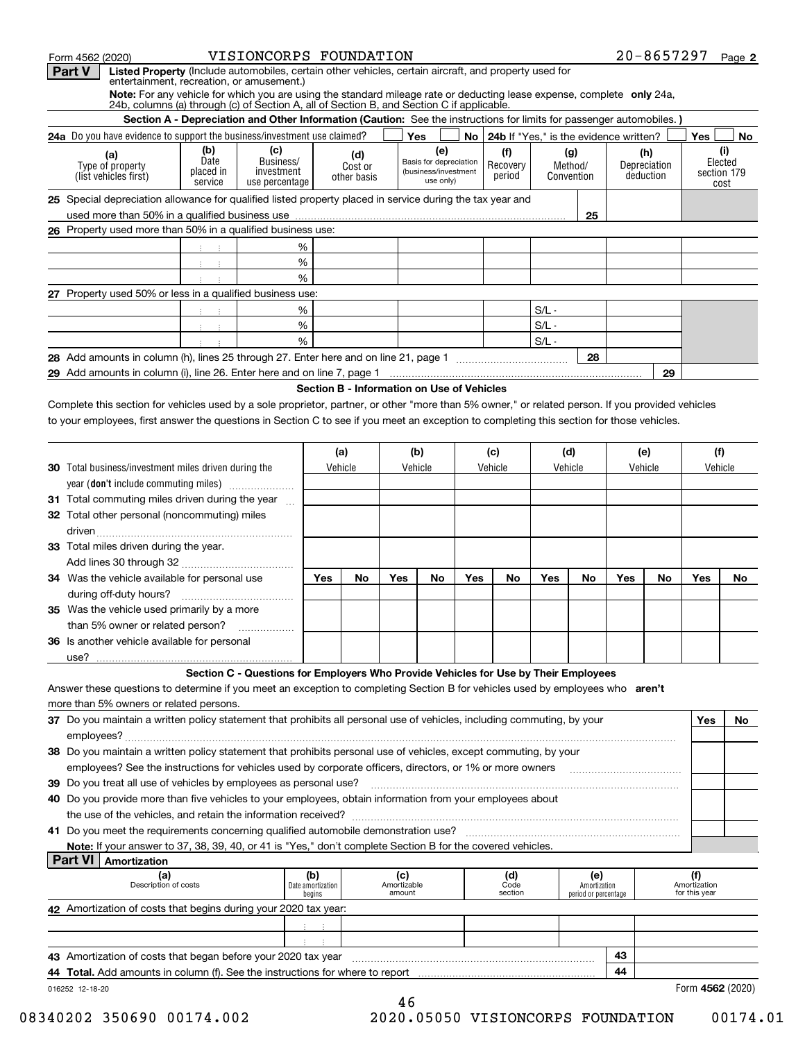| Form 4562 (2020)                                                                                                                                                                                                    | VISIONCORPS FOUNDATION                                                              |                |                               |     |                                                                    |     |                                             |                |                              |                |                                  | $20 - 8657297$      | Page 2         |
|---------------------------------------------------------------------------------------------------------------------------------------------------------------------------------------------------------------------|-------------------------------------------------------------------------------------|----------------|-------------------------------|-----|--------------------------------------------------------------------|-----|---------------------------------------------|----------------|------------------------------|----------------|----------------------------------|---------------------|----------------|
| Listed Property (Include automobiles, certain other vehicles, certain aircraft, and property used for<br>Part V<br>entertainment, recreation, or amusement.)                                                        |                                                                                     |                |                               |     |                                                                    |     |                                             |                |                              |                |                                  |                     |                |
| Note: For any vehicle for which you are using the standard mileage rate or deducting lease expense, complete only 24a,<br>24b, columns (a) through (c) of Section A, all of Section B, and Section C if applicable. |                                                                                     |                |                               |     |                                                                    |     |                                             |                |                              |                |                                  |                     |                |
| Section A - Depreciation and Other Information (Caution: See the instructions for limits for passenger automobiles.)                                                                                                |                                                                                     |                |                               |     |                                                                    |     |                                             |                |                              |                |                                  |                     |                |
| 24a Do you have evidence to support the business/investment use claimed?                                                                                                                                            |                                                                                     |                |                               |     | Yes                                                                |     | No   24b If "Yes," is the evidence written? |                |                              |                |                                  | Yes                 | No             |
| (b)<br>(a)<br>Date<br>Type of property<br>placed in<br>(list vehicles first)<br>service                                                                                                                             | (c)<br>Business/<br>investment<br>use percentage                                    |                | (d)<br>Cost or<br>other basis |     | (e)<br>Basis for depreciation<br>(business/investment<br>use only) |     | (f)<br>Recovery<br>period                   |                | (g)<br>Method/<br>Convention |                | (h)<br>Depreciation<br>deduction | section 179<br>cost | (i)<br>Elected |
| 25 Special depreciation allowance for qualified listed property placed in service during the tax year and                                                                                                           |                                                                                     |                |                               |     |                                                                    |     |                                             |                | 25                           |                |                                  |                     |                |
| 26 Property used more than 50% in a qualified business use:                                                                                                                                                         |                                                                                     |                |                               |     |                                                                    |     |                                             |                |                              |                |                                  |                     |                |
| $3 - 3$                                                                                                                                                                                                             | %                                                                                   |                |                               |     |                                                                    |     |                                             |                |                              |                |                                  |                     |                |
| (王) (王)                                                                                                                                                                                                             | %                                                                                   |                |                               |     |                                                                    |     |                                             |                |                              |                |                                  |                     |                |
|                                                                                                                                                                                                                     | %                                                                                   |                |                               |     |                                                                    |     |                                             |                |                              |                |                                  |                     |                |
| 27 Property used 50% or less in a qualified business use:                                                                                                                                                           |                                                                                     |                |                               |     |                                                                    |     |                                             |                |                              |                |                                  |                     |                |
| $-1$                                                                                                                                                                                                                | %                                                                                   |                |                               |     |                                                                    |     |                                             | $S/L -$        |                              |                |                                  |                     |                |
| $\mathcal{A}^{\text{max}}_{\text{max}}$                                                                                                                                                                             | %                                                                                   |                |                               |     |                                                                    |     |                                             | $S/L -$        |                              |                |                                  |                     |                |
|                                                                                                                                                                                                                     | %                                                                                   |                |                               |     |                                                                    |     |                                             | $S/L -$        |                              |                |                                  |                     |                |
|                                                                                                                                                                                                                     |                                                                                     |                |                               |     |                                                                    |     |                                             |                | 28                           |                |                                  |                     |                |
|                                                                                                                                                                                                                     |                                                                                     |                |                               |     |                                                                    |     |                                             |                |                              |                | 29                               |                     |                |
| <b>30</b> Total business/investment miles driven during the                                                                                                                                                         |                                                                                     | (a)<br>Vehicle |                               |     | (b)<br>Vehicle                                                     |     | (c)<br>Vehicle                              | (d)<br>Vehicle |                              | (e)<br>Vehicle |                                  | (f)<br>Vehicle      |                |
| year (don't include commuting miles)                                                                                                                                                                                |                                                                                     |                |                               |     |                                                                    |     |                                             |                |                              |                |                                  |                     |                |
| 31 Total commuting miles driven during the year                                                                                                                                                                     | $\mathbf{r}$                                                                        |                |                               |     |                                                                    |     |                                             |                |                              |                |                                  |                     |                |
| 32 Total other personal (noncommuting) miles                                                                                                                                                                        |                                                                                     |                |                               |     |                                                                    |     |                                             |                |                              |                |                                  |                     |                |
| 33 Total miles driven during the year.                                                                                                                                                                              |                                                                                     |                |                               |     |                                                                    |     |                                             |                |                              |                |                                  |                     |                |
| 34 Was the vehicle available for personal use                                                                                                                                                                       |                                                                                     | Yes            | No                            | Yes | No                                                                 | Yes | No                                          | Yes            | No                           | Yes            | No                               | Yes                 | No             |
|                                                                                                                                                                                                                     |                                                                                     |                |                               |     |                                                                    |     |                                             |                |                              |                |                                  |                     |                |
| <b>35</b> Was the vehicle used primarily by a more                                                                                                                                                                  |                                                                                     |                |                               |     |                                                                    |     |                                             |                |                              |                |                                  |                     |                |
| than 5% owner or related person?                                                                                                                                                                                    |                                                                                     |                |                               |     |                                                                    |     |                                             |                |                              |                |                                  |                     |                |
| 36 Is another vehicle available for personal                                                                                                                                                                        |                                                                                     |                |                               |     |                                                                    |     |                                             |                |                              |                |                                  |                     |                |
| use?                                                                                                                                                                                                                |                                                                                     |                |                               |     |                                                                    |     |                                             |                |                              |                |                                  |                     |                |
|                                                                                                                                                                                                                     | Section C - Questions for Employers Who Provide Vehicles for Use by Their Employees |                |                               |     |                                                                    |     |                                             |                |                              |                |                                  |                     |                |
| Answer these questions to determine if you meet an exception to completing Section B for vehicles used by employees who aren't<br>more than 5% owners or related persons.                                           |                                                                                     |                |                               |     |                                                                    |     |                                             |                |                              |                |                                  |                     |                |
| 37 Do you maintain a written policy statement that prohibits all personal use of vehicles, including commuting, by your                                                                                             |                                                                                     |                |                               |     |                                                                    |     |                                             |                |                              |                |                                  |                     |                |
|                                                                                                                                                                                                                     |                                                                                     |                |                               |     |                                                                    |     |                                             |                |                              |                |                                  | Yes                 | No             |
|                                                                                                                                                                                                                     |                                                                                     |                |                               |     |                                                                    |     |                                             |                |                              |                |                                  |                     |                |
|                                                                                                                                                                                                                     |                                                                                     |                |                               |     |                                                                    |     |                                             |                |                              |                |                                  |                     |                |
| 38 Do you maintain a written policy statement that prohibits personal use of vehicles, except commuting, by your                                                                                                    |                                                                                     |                |                               |     |                                                                    |     |                                             |                |                              |                |                                  |                     |                |

**40** Do you provide more than five vehicles to your employees, obtain information from your employees about the use of the vehicles, and retain the information received? ~~~~~~~~~~~~~~~~~~~~~~~~~~~~~~~~~~~

**41** Do you meet the requirements concerning qualified automobile demonstration use? ~~~~~~~~~~~~~~~~~~~~~~~

**Note:**If your answer to 37, 38, 39, 40, or 41 is "Yes," don't complete Section B for the covered vehicles.

| <b>Part VI</b><br>Amortization                                                |                                    |                              |                        |                                             |    |                               |
|-------------------------------------------------------------------------------|------------------------------------|------------------------------|------------------------|---------------------------------------------|----|-------------------------------|
| (a)<br>Description of costs                                                   | (b)<br>Date amortization<br>begins | (c)<br>Amortizable<br>amount | (d)<br>Code<br>section | (e)<br>Amortization<br>period or percentage |    | Amortization<br>for this year |
| 42 Amortization of costs that begins during your 2020 tax year:               |                                    |                              |                        |                                             |    |                               |
|                                                                               |                                    |                              |                        |                                             |    |                               |
|                                                                               |                                    |                              |                        |                                             |    |                               |
| 43 Amortization of costs that began before your 2020 tax year                 |                                    |                              |                        |                                             | 43 |                               |
| 44 Total. Add amounts in column (f). See the instructions for where to report |                                    |                              |                        |                                             |    |                               |
| 016252 12-18-20                                                               |                                    |                              |                        |                                             |    | Form 4562 (2020)              |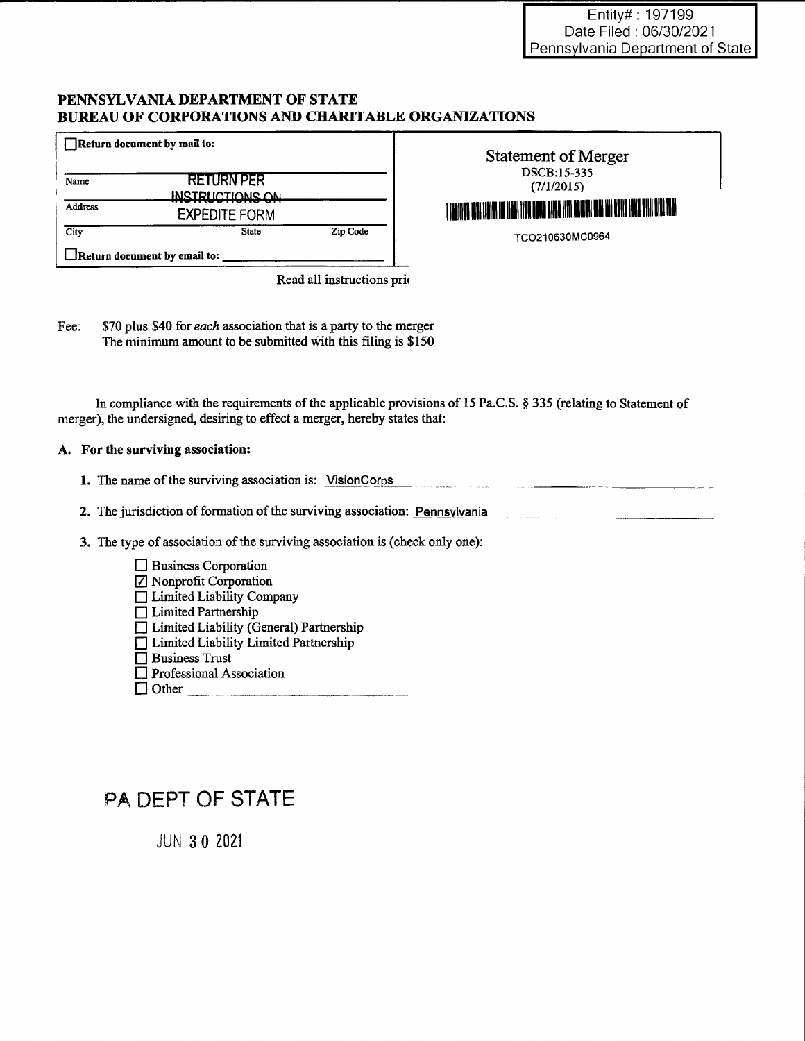### PENNSYLVANIA DEPARTMENT OF STATE BUREAU OF CORPORATIONS AND CHARITABLE ORGANIZATIONS

|         | $\Box$ Return document by mail to:          |          |
|---------|---------------------------------------------|----------|
| Name    | <b>RETURN PER</b><br><b>INRTPHCTIONS ON</b> |          |
| Address | <b>EXPEDITE FORM</b>                        |          |
| City    | <b>State</b>                                | Zip Code |
|         | $\Box$ Return document by email to:         |          |

| <b>Statement of Merger</b>                                                      |  |
|---------------------------------------------------------------------------------|--|
| DSCB:15-335                                                                     |  |
| (7/1/2015)                                                                      |  |
| I WONNER DER WOHN IN HOW HEN GONE BHOE HIN DEUERN HAN HY DENE HINE SIN DEN BIND |  |
| TCO210630MC0964                                                                 |  |

Read all instructions prio

Fee: \$70 plus \$40 for each association that is a party to the merger The minimum amount to be submitted with this filing is \$150

In compliance with the requirements of the applicable provisions of 15 Pa.C.S. § 335 (relating to Statement of merger), the undersigned, desiring to effect a merger, hereby states that:

### A. For the surviving association:

1. The name of the surviving association is: VisionCorps 

2. The jurisdiction of formation of the surviving association: Pennsylvania

3. The type of association of the surviving association is (check only one):

| <b>Business Corporation</b>               |
|-------------------------------------------|
| ☑ Nonprofit Corporation                   |
| □ Limited Liability Company               |
| $\Box$ Limited Partnership                |
| □ Limited Liability (General) Partnership |
| □ Limited Liability Limited Partnership   |
| $\Box$ Business Trust                     |
| $\Box$ Professional Association           |
| l Other                                   |
|                                           |

# PA DEPT OF STATE

**JUN 30 2021**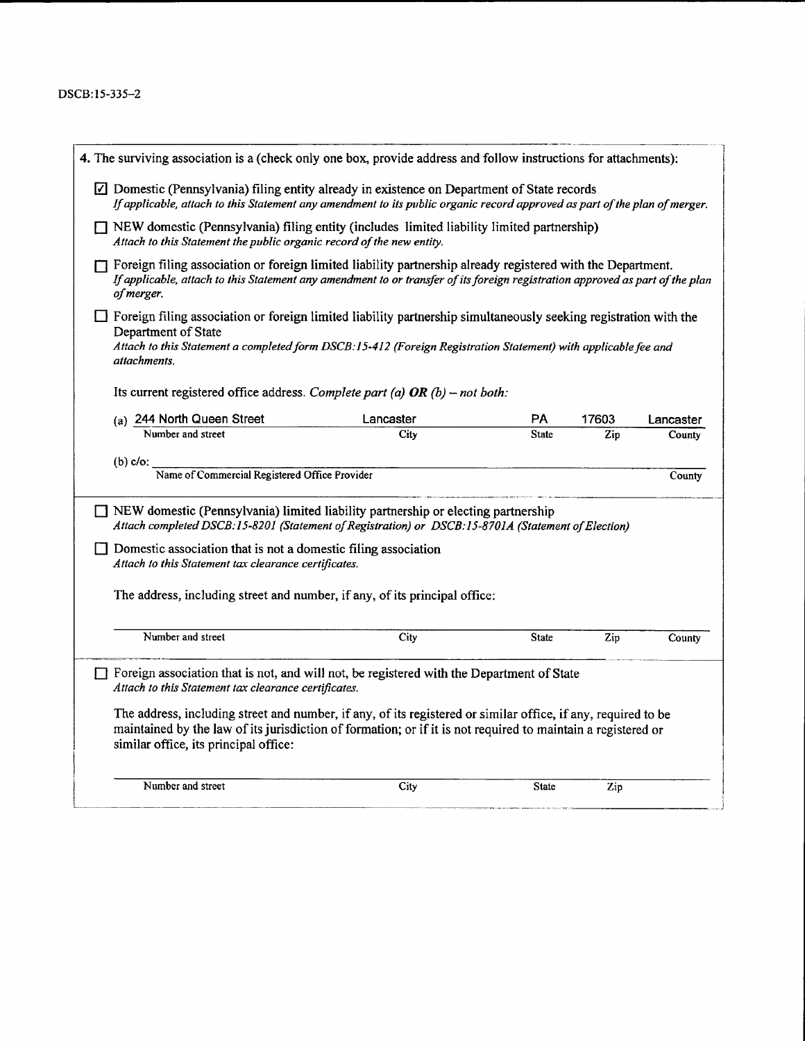### DSCB:15-335-2

| 4. The surviving association is a (check only one box, provide address and follow instructions for attachments):                                                                                                                                                                 |           |              |       |           |
|----------------------------------------------------------------------------------------------------------------------------------------------------------------------------------------------------------------------------------------------------------------------------------|-----------|--------------|-------|-----------|
| $\Box$ Domestic (Pennsylvania) filing entity already in existence on Department of State records<br>If applicable, attach to this Statement any amendment to its public organic record approved as part of the plan of merger.                                                   |           |              |       |           |
| $\Box$ NEW domestic (Pennsylvania) filing entity (includes limited liability limited partnership)<br>Attach to this Statement the public organic record of the new entity.                                                                                                       |           |              |       |           |
| $\Box$ Foreign filing association or foreign limited liability partnership already registered with the Department.<br>If applicable, attach to this Statement any amendment to or transfer of its foreign registration approved as part of the plan<br>of merger.                |           |              |       |           |
| $\Box$ Foreign filing association or foreign limited liability partnership simultaneously seeking registration with the<br>Department of State<br>Attach to this Statement a completed form DSCB:15-412 (Foreign Registration Statement) with applicable fee and<br>attachments. |           |              |       |           |
| Its current registered office address. Complete part (a) OR (b) – not both:                                                                                                                                                                                                      |           |              |       |           |
| (a) 244 North Queen Street                                                                                                                                                                                                                                                       | Lancaster | PA           | 17603 | Lancaster |
| Number and street                                                                                                                                                                                                                                                                | City      | State        | Zip   | County    |
| $(b)$ c/o:                                                                                                                                                                                                                                                                       |           |              |       |           |
| Name of Commercial Registered Office Provider                                                                                                                                                                                                                                    |           |              |       | County    |
| $\Box$ NEW domestic (Pennsylvania) limited liability partnership or electing partnership<br>Attach completed DSCB:15-8201 (Statement of Registration) or DSCB:15-8701A (Statement of Election)                                                                                   |           |              |       |           |
| Domestic association that is not a domestic filing association<br>Attach to this Statement tax clearance certificates.                                                                                                                                                           |           |              |       |           |
| The address, including street and number, if any, of its principal office:                                                                                                                                                                                                       |           |              |       |           |
| Number and street                                                                                                                                                                                                                                                                | City      | <b>State</b> | Zip   | County    |
| $\Box$ Foreign association that is not, and will not, be registered with the Department of State<br>Attach to this Statement tax clearance certificates.                                                                                                                         |           |              |       |           |
| The address, including street and number, if any, of its registered or similar office, if any, required to be<br>maintained by the law of its jurisdiction of formation; or if it is not required to maintain a registered or<br>similar office, its principal office:           |           |              |       |           |
| Number and street                                                                                                                                                                                                                                                                | City      | <b>State</b> | Zip   |           |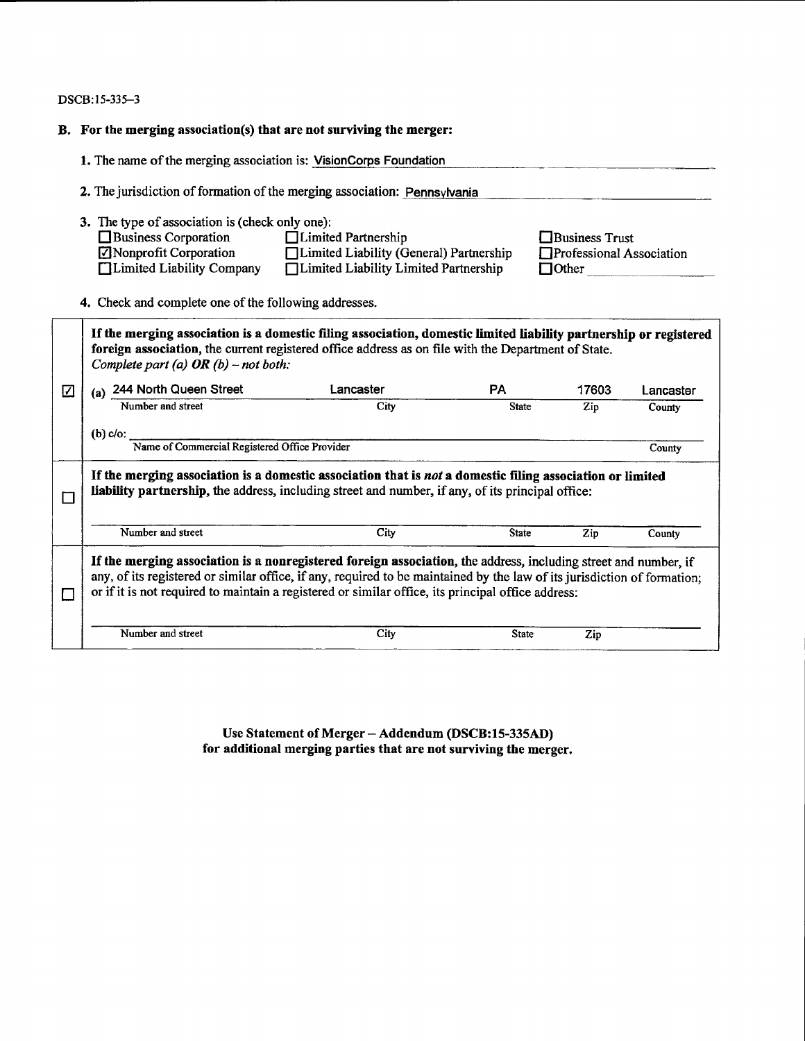DSCB:15-335-3

|   | B. For the merging association(s) that are not surviving the merger:                                                                                                                            |                                                                                                                                                                                                                                                                                                                                                   |              |                                                            |           |  |  |  |  |
|---|-------------------------------------------------------------------------------------------------------------------------------------------------------------------------------------------------|---------------------------------------------------------------------------------------------------------------------------------------------------------------------------------------------------------------------------------------------------------------------------------------------------------------------------------------------------|--------------|------------------------------------------------------------|-----------|--|--|--|--|
|   | 1. The name of the merging association is: VisionCorps Foundation                                                                                                                               |                                                                                                                                                                                                                                                                                                                                                   |              |                                                            |           |  |  |  |  |
|   | 2. The jurisdiction of formation of the merging association: Pennsylvania                                                                                                                       |                                                                                                                                                                                                                                                                                                                                                   |              |                                                            |           |  |  |  |  |
|   | 3. The type of association is (check only one):<br>$\Box$ Business Corporation<br>Nonprofit Corporation<br>□ Limited Liability Company<br>4. Check and complete one of the following addresses. | □ Limited Partnership<br>□ Limited Liability (General) Partnership<br>□ Limited Liability Limited Partnership                                                                                                                                                                                                                                     |              | Business Trust<br>Professional Association<br>$\Box$ Other |           |  |  |  |  |
|   | Complete part (a) OR (b) - not both:                                                                                                                                                            | If the merging association is a domestic filing association, domestic limited liability partnership or registered<br>foreign association, the current registered office address as on file with the Department of State.                                                                                                                          |              |                                                            |           |  |  |  |  |
| ☑ | 244 North Queen Street                                                                                                                                                                          | Lancaster                                                                                                                                                                                                                                                                                                                                         | <b>PA</b>    | 17603                                                      | Lancaster |  |  |  |  |
|   | Number and street                                                                                                                                                                               | City                                                                                                                                                                                                                                                                                                                                              | <b>State</b> | Zip                                                        | County    |  |  |  |  |
|   | $(b)$ c/o:<br>Name of Commercial Registered Office Provider                                                                                                                                     |                                                                                                                                                                                                                                                                                                                                                   |              |                                                            | County    |  |  |  |  |
| П |                                                                                                                                                                                                 | If the merging association is a domestic association that is not a domestic filing association or limited<br>liability partnership, the address, including street and number, if any, of its principal office:                                                                                                                                    |              |                                                            |           |  |  |  |  |
|   | Number and street                                                                                                                                                                               | City                                                                                                                                                                                                                                                                                                                                              | <b>State</b> | Zip                                                        | County    |  |  |  |  |
| П |                                                                                                                                                                                                 | If the merging association is a nonregistered foreign association, the address, including street and number, if<br>any, of its registered or similar office, if any, required to be maintained by the law of its jurisdiction of formation:<br>or if it is not required to maintain a registered or similar office, its principal office address: |              |                                                            |           |  |  |  |  |
|   | Number and street                                                                                                                                                                               | City                                                                                                                                                                                                                                                                                                                                              | <b>State</b> | Zip                                                        |           |  |  |  |  |

Use Statement of Merger - Addendum (DSCB:15-335AD)<br>for additional merging parties that are not surviving the merger.